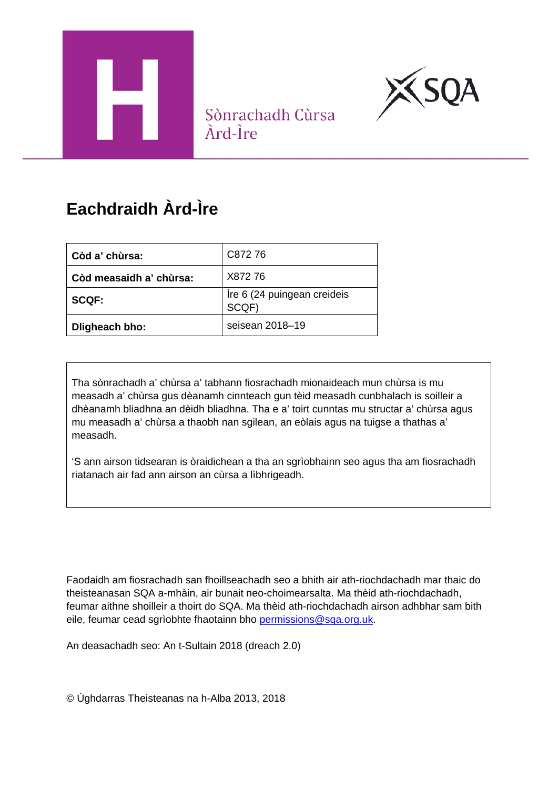



Sònrachadh Cùrsa Àrd-Ìre

# **Eachdraidh Àrd-Ìre**

| Còd a' chùrsa:          | C87276                               |
|-------------------------|--------------------------------------|
| Còd measaidh a' chùrsa: | X87276                               |
| <b>SCQF:</b>            | Ire 6 (24 puingean creideis<br>SCQF) |
| Dligheach bho:          | seisean 2018–19                      |

Tha sònrachadh a' chùrsa a' tabhann fiosrachadh mionaideach mun chùrsa is mu measadh a' chùrsa gus dèanamh cinnteach gun tèid measadh cunbhalach is soilleir a dhèanamh bliadhna an dèidh bliadhna. Tha e a' toirt cunntas mu structar a' chùrsa agus mu measadh a' chùrsa a thaobh nan sgilean, an eòlais agus na tuigse a thathas a' measadh.

'S ann airson tidsearan is òraidichean a tha an sgrìobhainn seo agus tha am fiosrachadh riatanach air fad ann airson an cùrsa a lìbhrigeadh.

Faodaidh am fiosrachadh san fhoillseachadh seo a bhith air ath-riochdachadh mar thaic do theisteanasan SQA a-mhàin, air bunait neo-choimearsalta. Ma thèid ath-riochdachadh, feumar aithne shoilleir a thoirt do SQA. Ma thèid ath-riochdachadh airson adhbhar sam bith eile, feumar cead sgrìobhte fhaotainn bho [permissions@sqa.org.uk.](mailto:permissions@sqa.org.uk)

An deasachadh seo: An t-Sultain 2018 (dreach 2.0)

© Ùghdarras Theisteanas na h-Alba 2013, 2018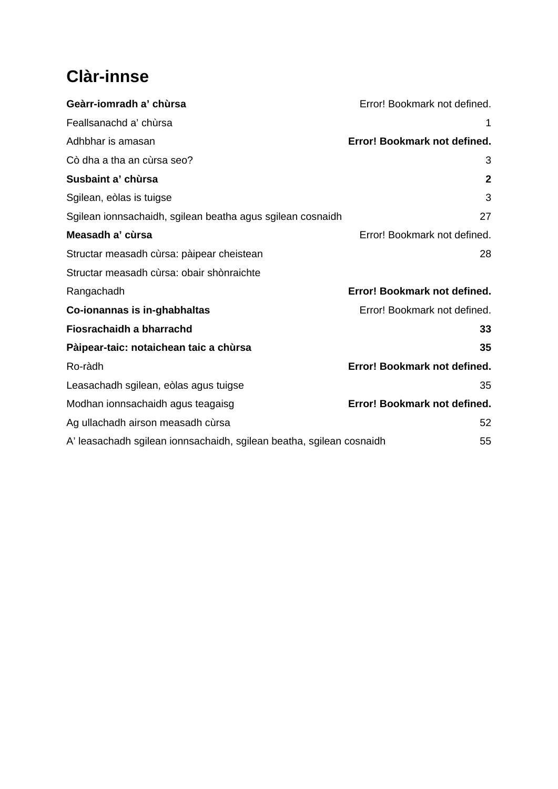## **Clàr-innse**

| Geàrr-iomradh a' chùrsa                                              | Error! Bookmark not defined. |
|----------------------------------------------------------------------|------------------------------|
| Feallsanachd a' chùrsa                                               | 1                            |
| Adhbhar is amasan                                                    | Error! Bookmark not defined. |
| Cò dha a tha an cùrsa seo?                                           | 3                            |
| Susbaint a' chùrsa                                                   | $\mathbf{2}$                 |
| Sgilean, eòlas is tuigse                                             | 3                            |
| Sgilean ionnsachaidh, sgilean beatha agus sgilean cosnaidh           | 27                           |
| Measadh a' cùrsa                                                     | Error! Bookmark not defined. |
| Structar measadh cùrsa: pàipear cheistean                            | 28                           |
| Structar measadh cùrsa: obair shònraichte                            |                              |
| Rangachadh                                                           | Error! Bookmark not defined. |
| Co-ionannas is in-ghabhaltas                                         | Error! Bookmark not defined. |
| Fiosrachaidh a bharrachd                                             | 33                           |
| Pàipear-taic: notaichean taic a chùrsa                               | 35                           |
| Ro-ràdh                                                              | Error! Bookmark not defined. |
| Leasachadh sgilean, eòlas agus tuigse                                | 35                           |
| Modhan ionnsachaidh agus teagaisg                                    | Error! Bookmark not defined. |
| Ag ullachadh airson measadh cùrsa                                    | 52                           |
| A' leasachadh sgilean ionnsachaidh, sgilean beatha, sgilean cosnaidh | 55                           |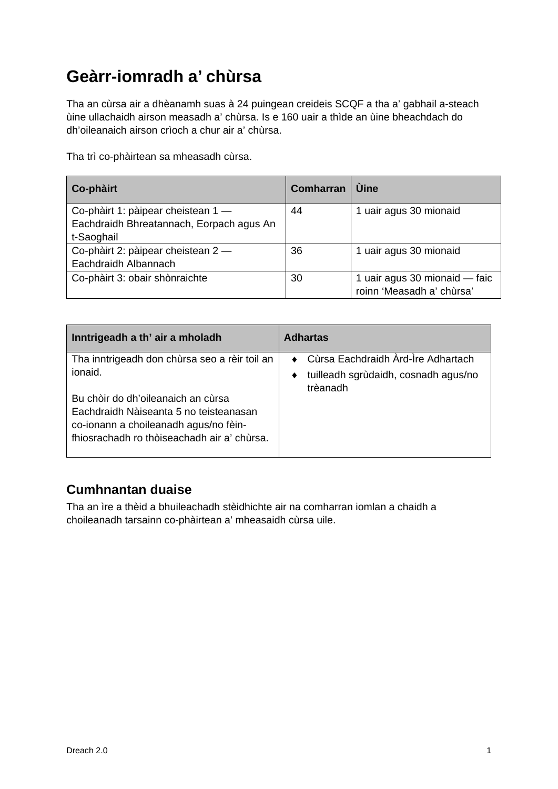## **Geàrr-iomradh a' chùrsa**

Tha an cùrsa air a dhèanamh suas à 24 puingean creideis SCQF a tha a' gabhail a-steach ùine ullachaidh airson measadh a' chùrsa. Is e 160 uair a thìde an ùine bheachdach do dh'oileanaich airson crìoch a chur air a' chùrsa.

Tha trì co-phàirtean sa mheasadh cùrsa.

| Co-phàirt                                | <b>Comharran</b> | <b>Ú</b> ine                  |
|------------------------------------------|------------------|-------------------------------|
| Co-phàirt 1: pàipear cheistean 1 -       | 44               | 1 uair agus 30 mionaid        |
| Eachdraidh Bhreatannach, Eorpach agus An |                  |                               |
| t-Saoghail                               |                  |                               |
| Co-phàirt 2: pàipear cheistean 2-        | 36               | 1 uair agus 30 mionaid        |
| Eachdraidh Albannach                     |                  |                               |
| Co-phàirt 3: obair shònraichte           | 30               | 1 uair agus 30 mionaid — faic |
|                                          |                  | roinn 'Measadh a' chùrsa'     |

| Inntrigeadh a th' air a mholadh                                                                                                                                      | <b>Adhartas</b>                                  |
|----------------------------------------------------------------------------------------------------------------------------------------------------------------------|--------------------------------------------------|
| Tha inntrigeadh don chùrsa seo a rèir toil an<br>ionaid.                                                                                                             | • Cùrsa Eachdraidh Àrd-Ìre Adhartach             |
| Bu chòir do dh'oileanaich an cùrsa<br>Eachdraidh Nàiseanta 5 no teisteanasan<br>co-ionann a choileanadh agus/no fèin-<br>fhiosrachadh ro thòiseachadh air a' chùrsa. | tuilleadh sgrùdaidh, cosnadh agus/no<br>trèanadh |

## **Cumhnantan duaise**

<span id="page-2-0"></span>Tha an ìre a thèid a bhuileachadh stèidhichte air na comharran iomlan a chaidh a choileanadh tarsainn co-phàirtean a' mheasaidh cùrsa uile.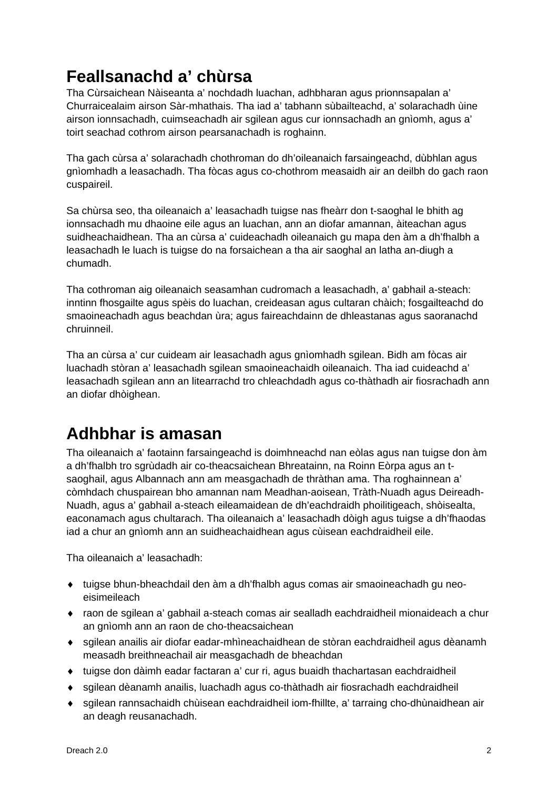## **Feallsanachd a' chùrsa**

Tha Cùrsaichean Nàiseanta a' nochdadh luachan, adhbharan agus prionnsapalan a' Churraicealaim airson Sàr-mhathais. Tha iad a' tabhann sùbailteachd, a' solarachadh ùine airson ionnsachadh, cuimseachadh air sgilean agus cur ionnsachadh an gnìomh, agus a' toirt seachad cothrom airson pearsanachadh is roghainn.

Tha gach cùrsa a' solarachadh chothroman do dh'oileanaich farsaingeachd, dùbhlan agus gnìomhadh a leasachadh. Tha fòcas agus co-chothrom measaidh air an deilbh do gach raon cuspaireil.

Sa chùrsa seo, tha oileanaich a' leasachadh tuigse nas fheàrr don t-saoghal le bhith ag ionnsachadh mu dhaoine eile agus an luachan, ann an diofar amannan, àiteachan agus suidheachaidhean. Tha an cùrsa a' cuideachadh oileanaich gu mapa den àm a dh'fhalbh a leasachadh le luach is tuigse do na forsaichean a tha air saoghal an latha an-diugh a chumadh.

Tha cothroman aig oileanaich seasamhan cudromach a leasachadh, a' gabhail a-steach: inntinn fhosgailte agus spèis do luachan, creideasan agus cultaran chàich; fosgailteachd do smaoineachadh agus beachdan ùra; agus faireachdainn de dhleastanas agus saoranachd chruinneil.

Tha an cùrsa a' cur cuideam air leasachadh agus gnìomhadh sgilean. Bidh am fòcas air luachadh stòran a' leasachadh sgilean smaoineachaidh oileanaich. Tha iad cuideachd a' leasachadh sgilean ann an litearrachd tro chleachdadh agus co-thàthadh air fiosrachadh ann an diofar dhòighean.

## **Adhbhar is amasan**

Tha oileanaich a' faotainn farsaingeachd is doimhneachd nan eòlas agus nan tuigse don àm a dh'fhalbh tro sgrùdadh air co-theacsaichean Bhreatainn, na Roinn Eòrpa agus an tsaoghail, agus Albannach ann am measgachadh de thràthan ama. Tha roghainnean a' còmhdach chuspairean bho amannan nam Meadhan-aoisean, Tràth-Nuadh agus Deireadh-Nuadh, agus a' gabhail a-steach eileamaidean de dh'eachdraidh phoilitigeach, shòisealta, eaconamach agus chultarach. Tha oileanaich a' leasachadh dòigh agus tuigse a dh'fhaodas iad a chur an gnìomh ann an suidheachaidhean agus cùisean eachdraidheil eile.

Tha oileanaich a' leasachadh:

- ♦ tuigse bhun-bheachdail den àm a dh'fhalbh agus comas air smaoineachadh gu neoeisimeileach
- ♦ raon de sgilean a' gabhail a-steach comas air sealladh eachdraidheil mionaideach a chur an gnìomh ann an raon de cho-theacsaichean
- ♦ sgilean anailis air diofar eadar-mhìneachaidhean de stòran eachdraidheil agus dèanamh measadh breithneachail air measgachadh de bheachdan
- ♦ tuigse don dàimh eadar factaran a' cur ri, agus buaidh thachartasan eachdraidheil
- ♦ sgilean dèanamh anailis, luachadh agus co-thàthadh air fiosrachadh eachdraidheil
- <span id="page-3-0"></span>♦ sgilean rannsachaidh chùisean eachdraidheil iom-fhillte, a' tarraing cho-dhùnaidhean air an deagh reusanachadh.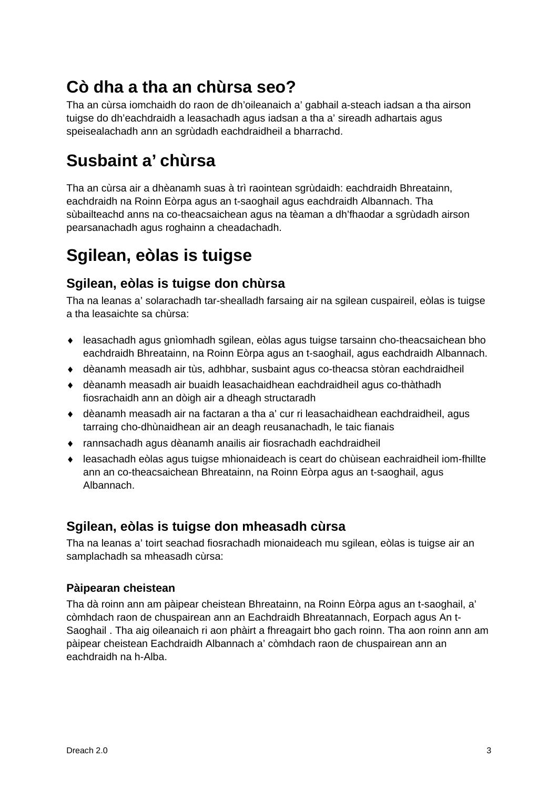## **Cò dha a tha an chùrsa seo?**

Tha an cùrsa iomchaidh do raon de dh'oileanaich a' gabhail a-steach iadsan a tha airson tuigse do dh'eachdraidh a leasachadh agus iadsan a tha a' sireadh adhartais agus speisealachadh ann an sgrùdadh eachdraidheil a bharrachd.

## **Susbaint a' chùrsa**

Tha an cùrsa air a dhèanamh suas à trì raointean sgrùdaidh: eachdraidh Bhreatainn, eachdraidh na Roinn Eòrpa agus an t-saoghail agus eachdraidh Albannach. Tha sùbailteachd anns na co-theacsaichean agus na tèaman a dh'fhaodar a sgrùdadh airson pearsanachadh agus roghainn a cheadachadh.

## <span id="page-4-0"></span>**Sgilean, eòlas is tuigse**

## **Sgilean, eòlas is tuigse don chùrsa**

Tha na leanas a' solarachadh tar-shealladh farsaing air na sgilean cuspaireil, eòlas is tuigse a tha leasaichte sa chùrsa:

- ♦ leasachadh agus gnìomhadh sgilean, eòlas agus tuigse tarsainn cho-theacsaichean bho eachdraidh Bhreatainn, na Roinn Eòrpa agus an t-saoghail, agus eachdraidh Albannach.
- ♦ dèanamh measadh air tùs, adhbhar, susbaint agus co-theacsa stòran eachdraidheil
- ♦ dèanamh measadh air buaidh leasachaidhean eachdraidheil agus co-thàthadh fiosrachaidh ann an dòigh air a dheagh structaradh
- ♦ dèanamh measadh air na factaran a tha a' cur ri leasachaidhean eachdraidheil, agus tarraing cho-dhùnaidhean air an deagh reusanachadh, le taic fianais
- ♦ rannsachadh agus dèanamh anailis air fiosrachadh eachdraidheil
- ♦ leasachadh eòlas agus tuigse mhionaideach is ceart do chùisean eachraidheil iom-fhillte ann an co-theacsaichean Bhreatainn, na Roinn Eòrpa agus an t-saoghail, agus Albannach.

## **Sgilean, eòlas is tuigse don mheasadh cùrsa**

Tha na leanas a' toirt seachad fiosrachadh mionaideach mu sgilean, eòlas is tuigse air an samplachadh sa mheasadh cùrsa:

## **Pàipearan cheistean**

Tha dà roinn ann am pàipear cheistean Bhreatainn, na Roinn Eòrpa agus an t-saoghail, a' còmhdach raon de chuspairean ann an Eachdraidh Bhreatannach, Eorpach agus An t-Saoghail . Tha aig oileanaich ri aon phàirt a fhreagairt bho gach roinn. Tha aon roinn ann am pàipear cheistean Eachdraidh Albannach a' còmhdach raon de chuspairean ann an eachdraidh na h-Alba.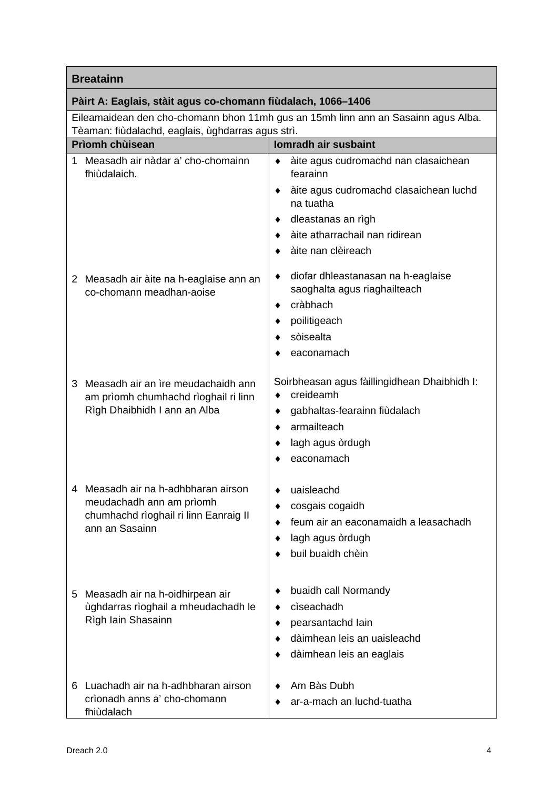## **Pàirt A: Eaglais, stàit agus co-chomann fiùdalach, 1066–1406**

Eileamaidean den cho-chomann bhon 11mh gus an 15mh linn ann an Sasainn agus Alba. Tèaman: fiùdalachd, eaglais, ùghdarras agus strì.

|    | i earrian. nuualaunu, eaglais, ugnuarras agus sin.<br><b>Prìomh chùisean</b>                               | <b>Iomradh air susbaint</b>                                    |
|----|------------------------------------------------------------------------------------------------------------|----------------------------------------------------------------|
|    |                                                                                                            |                                                                |
|    | Measadh air nàdar a' cho-chomainn<br>fhiùdalaich.                                                          | àite agus cudromachd nan clasaichean<br>fearainn               |
|    |                                                                                                            | àite agus cudromachd clasaichean luchd<br>٠<br>na tuatha       |
|    |                                                                                                            | dleastanas an rìgh                                             |
|    |                                                                                                            | àite atharrachail nan ridirean                                 |
|    |                                                                                                            | àite nan clèireach                                             |
|    | 2 Measadh air àite na h-eaglaise ann an                                                                    | diofar dhleastanasan na h-eaglaise                             |
|    | co-chomann meadhan-aoise                                                                                   | saoghalta agus riaghailteach<br>cràbhach<br>٠                  |
|    |                                                                                                            | poilitigeach                                                   |
|    |                                                                                                            | sòisealta                                                      |
|    |                                                                                                            | eaconamach                                                     |
| 3  | Measadh air an ìre meudachaidh ann<br>am prìomh chumhachd rìoghail ri linn<br>Rìgh Dhaibhidh I ann an Alba | Soirbheasan agus fàillingidhean Dhaibhidh I:<br>creideamh<br>٠ |
|    |                                                                                                            | gabhaltas-fearainn fiùdalach                                   |
|    |                                                                                                            | armailteach                                                    |
|    |                                                                                                            | lagh agus òrdugh                                               |
|    |                                                                                                            | eaconamach                                                     |
|    | 4 Measadh air na h-adhbharan airson                                                                        | uaisleachd                                                     |
|    | meudachadh ann am prìomh<br>chumhachd rìoghail ri linn Eanraig II                                          | cosgais cogaidh                                                |
|    |                                                                                                            | feum air an eaconamaidh a leasachadh                           |
|    | ann an Sasainn                                                                                             | lagh agus òrdugh                                               |
|    |                                                                                                            | buil buaidh chèin                                              |
|    |                                                                                                            |                                                                |
| 5. | Measadh air na h-oidhirpean air                                                                            | buaidh call Normandy                                           |
|    | ùghdarras rìoghail a mheudachadh le                                                                        | ciseachadh                                                     |
|    | Rìgh Iain Shasainn                                                                                         | pearsantachd lain                                              |
|    |                                                                                                            | dàimhean leis an uaisleachd                                    |
|    |                                                                                                            | dàimhean leis an eaglais                                       |
| 6  | Luachadh air na h-adhbharan airson                                                                         | Am Bàs Dubh                                                    |
|    | crìonadh anns a' cho-chomann                                                                               | ar-a-mach an luchd-tuatha                                      |
|    | fhiùdalach                                                                                                 |                                                                |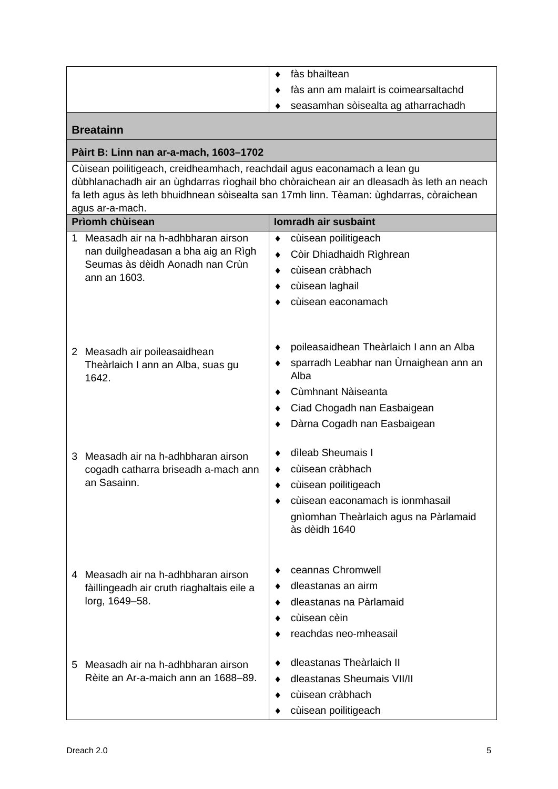|  | fàs bhailtean                         |
|--|---------------------------------------|
|  | fàs ann am malairt is coimearsaltachd |
|  | seasamhan sòisealta ag atharrachadh   |

## **Pàirt B: Linn nan ar-a-mach, 1603–1702**

Cùisean poilitigeach, creidheamhach, reachdail agus eaconamach a lean gu dùbhlanachadh air an ùghdarras rìoghail bho chòraichean air an dleasadh às leth an neach fa leth agus às leth bhuidhnean sòisealta san 17mh linn. Tèaman: ùghdarras, còraichean agus ar-a-mach.

|   | Prìomh chùisean                                                                                                             | Iomradh air susbaint                                                                                                                                                          |
|---|-----------------------------------------------------------------------------------------------------------------------------|-------------------------------------------------------------------------------------------------------------------------------------------------------------------------------|
| 1 | Measadh air na h-adhbharan airson<br>nan duilgheadasan a bha aig an Rìgh<br>Seumas às dèidh Aonadh nan Crùn<br>ann an 1603. | cùisean poilitigeach<br>٠<br>Còir Dhiadhaidh Rìghrean<br>cùisean cràbhach<br>٠<br>cùisean laghail<br>٠<br>cùisean eaconamach                                                  |
|   | 2 Measadh air poileasaidhean<br>Theàrlaich I ann an Alba, suas gu<br>1642.                                                  | poileasaidhean Theàrlaich I ann an Alba<br>sparradh Leabhar nan Ùrnaighean ann an<br>Alba<br>Cùmhnant Nàiseanta<br>Ciad Chogadh nan Easbaigean<br>Dàrna Cogadh nan Easbaigean |
| 3 | Measadh air na h-adhbharan airson<br>cogadh catharra briseadh a-mach ann<br>an Sasainn.                                     | dìleab Sheumais I<br>cùisean cràbhach<br>cùisean poilitigeach<br>٠<br>cùisean eaconamach is ionmhasail<br>gnìomhan Theàrlaich agus na Pàrlamaid<br>às dèidh 1640              |
|   | 4 Measadh air na h-adhbharan airson<br>fàillingeadh air cruth riaghaltais eile a<br>lorg, 1649-58.                          | ceannas Chromwell<br>dleastanas an airm<br>dleastanas na Pàrlamaid<br>cùisean cèin<br>reachdas neo-mheasail                                                                   |
| 5 | Measadh air na h-adhbharan airson<br>Rèite an Ar-a-maich ann an 1688–89.                                                    | dleastanas Theàrlaich II<br>dleastanas Sheumais VII/II<br>cùisean cràbhach<br>cùisean poilitigeach                                                                            |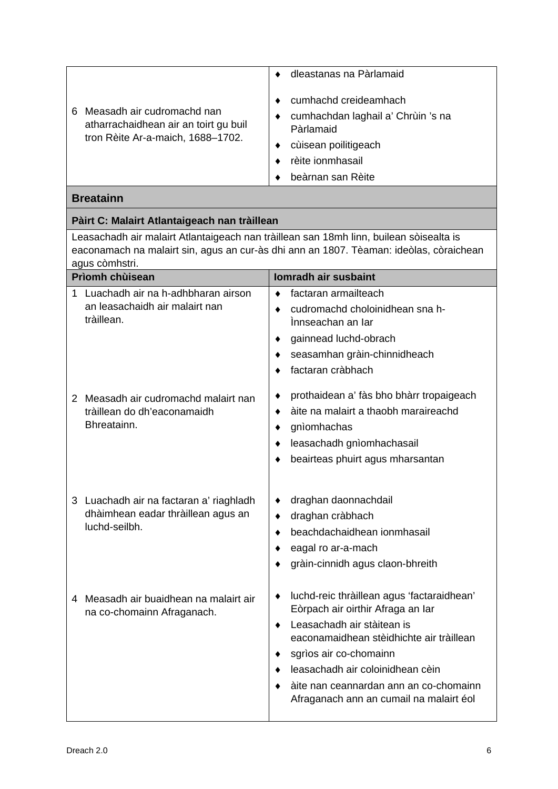|   |                                                                     | dleastanas na Pàrlamaid                                                  |
|---|---------------------------------------------------------------------|--------------------------------------------------------------------------|
| 6 | Measadh air cudromachd nan<br>atharrachaidhean air an toirt gu buil | cumhachd creideamhach<br>cumhachdan laghail a' Chrùin 's na<br>Pàrlamaid |
|   | tron Rèite Ar-a-maich, 1688-1702.                                   | cùisean poilitigeach                                                     |
|   |                                                                     | rèite ionmhasail                                                         |
|   |                                                                     | beàrnan san Rèite                                                        |
|   |                                                                     |                                                                          |

## **Pàirt C: Malairt Atlantaigeach nan tràillean**

Leasachadh air malairt Atlantaigeach nan tràillean san 18mh linn, builean sòisealta is eaconamach na malairt sin, agus an cur-às dhi ann an 1807. Tèaman: ideòlas, còraichean agus còmhstri.

|   | <b>Prìomh chùisean</b>                                                                         |                                  | <b>Iomradh air susbaint</b>                                                                                                       |
|---|------------------------------------------------------------------------------------------------|----------------------------------|-----------------------------------------------------------------------------------------------------------------------------------|
| 1 | Luachadh air na h-adhbharan airson<br>an leasachaidh air malairt nan<br>tràillean.             | $\bullet$<br>٠                   | factaran armailteach<br>cudromachd choloinidhean sna h-<br>Innseachan an Iar                                                      |
|   |                                                                                                | $\bullet$                        | gainnead luchd-obrach                                                                                                             |
|   |                                                                                                |                                  | seasamhan gràin-chinnidheach<br>factaran cràbhach                                                                                 |
|   |                                                                                                |                                  |                                                                                                                                   |
|   | 2 Measadh air cudromachd malairt nan                                                           | ٠                                | prothaidean a' fàs bho bhàrr tropaigeach                                                                                          |
|   | tràillean do dh'eaconamaidh<br>Bhreatainn.                                                     | ٠                                | àite na malairt a thaobh maraireachd                                                                                              |
|   |                                                                                                | ٠<br>٠                           | gnìomhachas<br>leasachadh gnìomhachasail                                                                                          |
|   |                                                                                                |                                  | beairteas phuirt agus mharsantan                                                                                                  |
|   |                                                                                                |                                  |                                                                                                                                   |
|   | 3 Luachadh air na factaran a' riaghladh<br>dhàimhean eadar thràillean agus an<br>luchd-seilbh. | ٠<br>$\bullet$<br>$\bullet$<br>٠ | draghan daonnachdail<br>draghan cràbhach<br>beachdachaidhean ionmhasail<br>eagal ro ar-a-mach<br>gràin-cinnidh agus claon-bhreith |
| 4 | Measadh air buaidhean na malairt air<br>na co-chomainn Afraganach.                             | ٠<br>$\bullet$                   | luchd-reic thràillean agus 'factaraidhean'<br>Eòrpach air oirthir Afraga an Iar<br>Leasachadh air stàitean is                     |
|   |                                                                                                |                                  | eaconamaidhean stèidhichte air tràillean                                                                                          |
|   |                                                                                                | ٠                                | sgrìos air co-chomainn                                                                                                            |
|   |                                                                                                | $\bullet$                        | leasachadh air coloinidhean cèin                                                                                                  |
|   |                                                                                                |                                  | àite nan ceannardan ann an co-chomainn<br>Afraganach ann an cumail na malairt éol                                                 |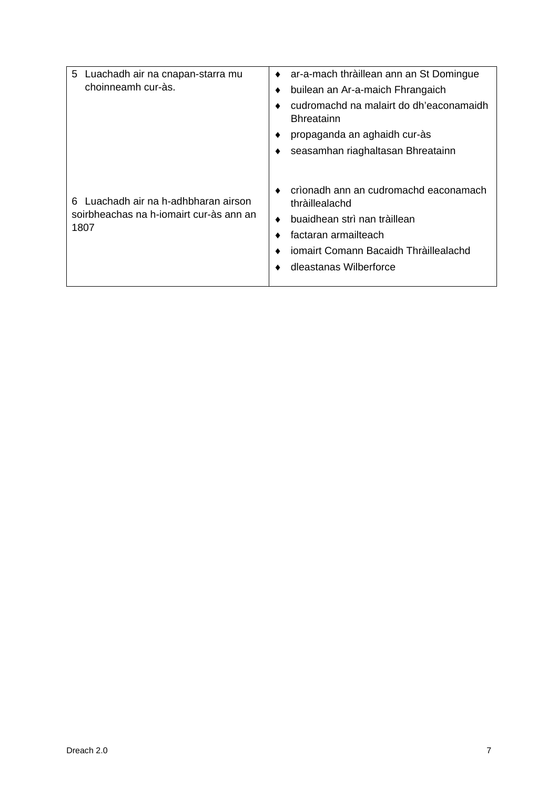| Luachadh air na cnapan-starra mu<br>5                                                      | ar-a-mach thràillean ann an St Domingue                                                                                                                                            |
|--------------------------------------------------------------------------------------------|------------------------------------------------------------------------------------------------------------------------------------------------------------------------------------|
| choinneamh cur-às.                                                                         | builean an Ar-a-maich Fhrangaich                                                                                                                                                   |
|                                                                                            | cudromachd na malairt do dh'eaconamaidh<br><b>Bhreatainn</b>                                                                                                                       |
|                                                                                            | propaganda an aghaidh cur-às                                                                                                                                                       |
|                                                                                            | seasamhan riaghaltasan Bhreatainn                                                                                                                                                  |
| Luachadh air na h-adhbharan airson<br>հ<br>soirbheachas na h-iomairt cur-às ann an<br>1807 | crìonadh ann an cudromachd eaconamach<br>thràillealachd<br>buaidhean strì nan tràillean<br>factaran armailteach<br>iomairt Comann Bacaidh Thràillealachd<br>dleastanas Wilberforce |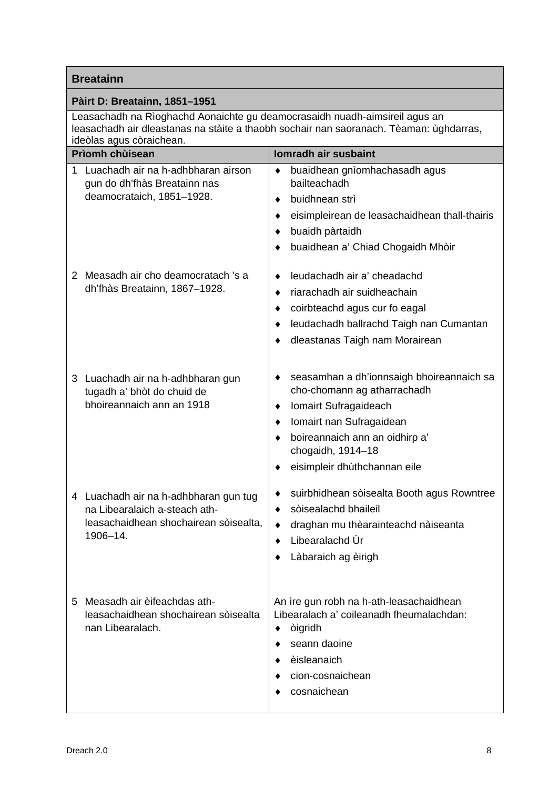## **Pàirt D: Breatainn, 1851–1951**

Leasachadh na Rìoghachd Aonaichte gu deamocrasaidh nuadh-aimsireil agus an leasachadh air dleastanas na stàite a thaobh sochair nan saoranach. Tèaman: ùghdarras, ideòlas agus còraichean.

|    | <b>Prìomh chùisean</b>                                                                                                      | Iomradh air susbaint                                                                                                                                                                                                                     |
|----|-----------------------------------------------------------------------------------------------------------------------------|------------------------------------------------------------------------------------------------------------------------------------------------------------------------------------------------------------------------------------------|
| 1. | Luachadh air na h-adhbharan airson<br>gun do dh'fhàs Breatainn nas<br>deamocrataich, 1851-1928.                             | buaidhean gnìomhachasadh agus<br>٠<br>bailteachadh<br>buidhnean strì<br>٠<br>eisimpleirean de leasachaidhean thall-thairis<br>٠<br>buaidh pàrtaidh<br>٠<br>buaidhean a' Chiad Chogaidh Mhòir                                             |
| 2  | Measadh air cho deamocratach 's a<br>dh'fhàs Breatainn, 1867-1928.                                                          | leudachadh air a' cheadachd<br>٠<br>riarachadh air suidheachain<br>٠<br>coirbteachd agus cur fo eagal<br>٠<br>leudachadh ballrachd Taigh nan Cumantan<br>٠<br>dleastanas Taigh nam Morairean                                             |
| 3  | Luachadh air na h-adhbharan gun<br>tugadh a' bhòt do chuid de<br>bhoireannaich ann an 1918                                  | seasamhan a dh'ionnsaigh bhoireannaich sa<br>٠<br>cho-chomann ag atharrachadh<br>Iomairt Sufragaideach<br>٠<br>Iomairt nan Sufragaidean<br>٠<br>boireannaich ann an oidhirp a'<br>chogaidh, 1914-18<br>eisimpleir dhùthchannan eile<br>٠ |
|    | 4 Luachadh air na h-adhbharan gun tug<br>na Libearalaich a-steach ath-<br>leasachaidhean shochairean sòisealta,<br>1906-14. | suirbhidhean sòisealta Booth agus Rowntree<br>sòisealachd bhaileil<br>٠<br>draghan mu thèarainteachd nàiseanta<br>٠<br>Libearalachd Ùr<br>٠<br>Làbaraich ag èirigh                                                                       |
|    | 5 Measadh air èifeachdas ath-<br>leasachaidhean shochairean sòisealta<br>nan Libearalach.                                   | An ìre gun robh na h-ath-leasachaidhean<br>Libearalach a' coileanadh fheumalachdan:<br>òigridh<br>٠<br>seann daoine<br>èisleanaich<br>cion-cosnaichean<br>cosnaichean                                                                    |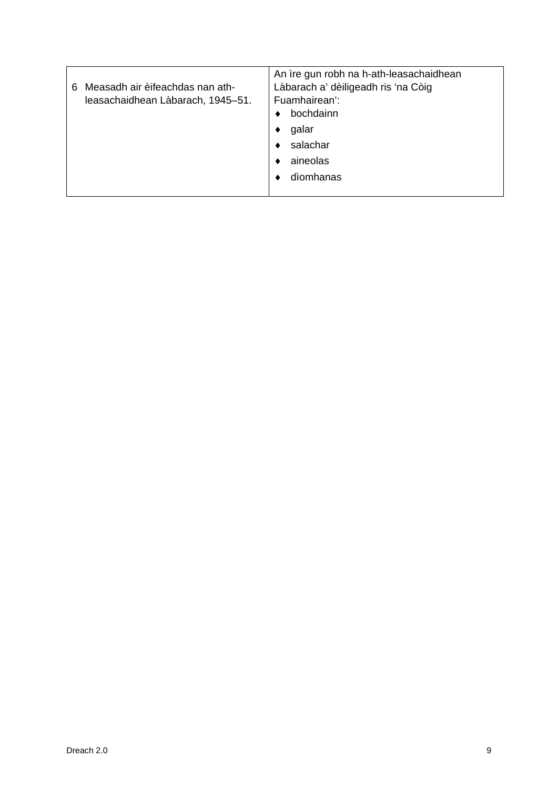| 6 | Measadh air èifeachdas nan ath-<br>leasachaidhean Làbarach, 1945–51. | An ìre gun robh na h-ath-leasachaidhean<br>Làbarach a' dèiligeadh ris 'na Còig<br>Fuamhairean':<br>bochdainn |           |
|---|----------------------------------------------------------------------|--------------------------------------------------------------------------------------------------------------|-----------|
|   |                                                                      |                                                                                                              | galar     |
|   |                                                                      |                                                                                                              | salachar  |
|   |                                                                      |                                                                                                              | aineolas  |
|   |                                                                      |                                                                                                              | dìomhanas |
|   |                                                                      |                                                                                                              |           |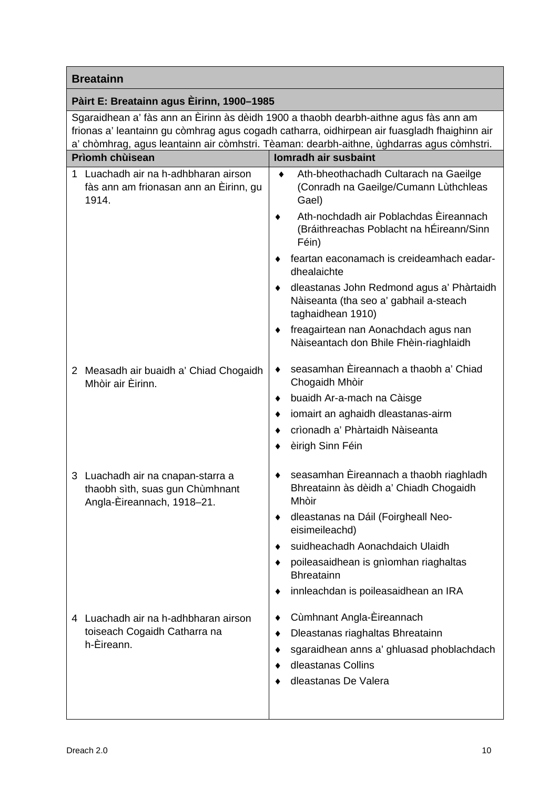## **Pàirt E: Breatainn agus Èirinn, 1900***–***1985**

Sgaraidhean a' fàs ann an Èirinn às dèidh 1900 a thaobh dearbh-aithne agus fàs ann am frionas a' leantainn gu còmhrag agus cogadh catharra, oidhirpean air fuasgladh fhaighinn air a' chòmhrag, agus leantainn air còmhstri. Tèaman: dearbh-aithne, ùghdarras agus còmhstri.

| <b>Prìomh chùisean</b> |                                                                                                    | <b>Iomradh air susbaint</b>                                                                                     |  |  |
|------------------------|----------------------------------------------------------------------------------------------------|-----------------------------------------------------------------------------------------------------------------|--|--|
| 1                      | Luachadh air na h-adhbharan airson<br>fàs ann am frionasan ann an Èirinn, gu<br>1914.              | Ath-bheothachadh Cultarach na Gaeilge<br>٠<br>(Conradh na Gaeilge/Cumann Lùthchleas<br>Gael)                    |  |  |
|                        |                                                                                                    | Ath-nochdadh air Poblachdas Èireannach<br>(Bráithreachas Poblacht na hÉireann/Sinn<br>Féin)                     |  |  |
|                        |                                                                                                    | feartan eaconamach is creideamhach eadar-<br>dhealaichte                                                        |  |  |
|                        |                                                                                                    | dleastanas John Redmond agus a' Phàrtaidh<br>٠<br>Nàiseanta (tha seo a' gabhail a-steach<br>taghaidhean 1910)   |  |  |
|                        |                                                                                                    | freagairtean nan Aonachdach agus nan<br>٠<br>Nàiseantach don Bhile Fhèin-riaghlaidh                             |  |  |
| 2                      | Measadh air buaidh a' Chiad Chogaidh<br>Mhòir air Èirinn.                                          | seasamhan Èireannach a thaobh a' Chiad<br>٠<br>Chogaidh Mhòir                                                   |  |  |
|                        |                                                                                                    | buaidh Ar-a-mach na Càisge<br>٠                                                                                 |  |  |
|                        |                                                                                                    | iomairt an aghaidh dleastanas-airm                                                                              |  |  |
|                        |                                                                                                    | crìonadh a' Phàrtaidh Nàiseanta                                                                                 |  |  |
|                        |                                                                                                    | èirigh Sinn Féin                                                                                                |  |  |
|                        | 3 Luachadh air na cnapan-starra a<br>thaobh sìth, suas gun Chùmhnant<br>Angla-Èireannach, 1918-21. | seasamhan Eireannach a thaobh riaghladh<br>٠<br>Bhreatainn às dèidh a' Chiadh Chogaidh<br>Mhòir                 |  |  |
|                        |                                                                                                    | dleastanas na Dáil (Foirgheall Neo-<br>٠<br>eisimeileachd)                                                      |  |  |
|                        |                                                                                                    | suidheachadh Aonachdaich Ulaidh<br>٠                                                                            |  |  |
|                        |                                                                                                    | poileasaidhean is gnìomhan riaghaltas<br><b>Bhreatainn</b>                                                      |  |  |
|                        |                                                                                                    | innleachdan is poileasaidhean an IRA<br>٠                                                                       |  |  |
|                        | 4 Luachadh air na h-adhbharan airson<br>toiseach Cogaidh Catharra na<br>h-Èireann.                 | Cùmhnant Angla-Èireannach<br>Dleastanas riaghaltas Bhreatainn<br>٠<br>sgaraidhean anns a' ghluasad phoblachdach |  |  |
|                        |                                                                                                    | dleastanas Collins<br>dleastanas De Valera                                                                      |  |  |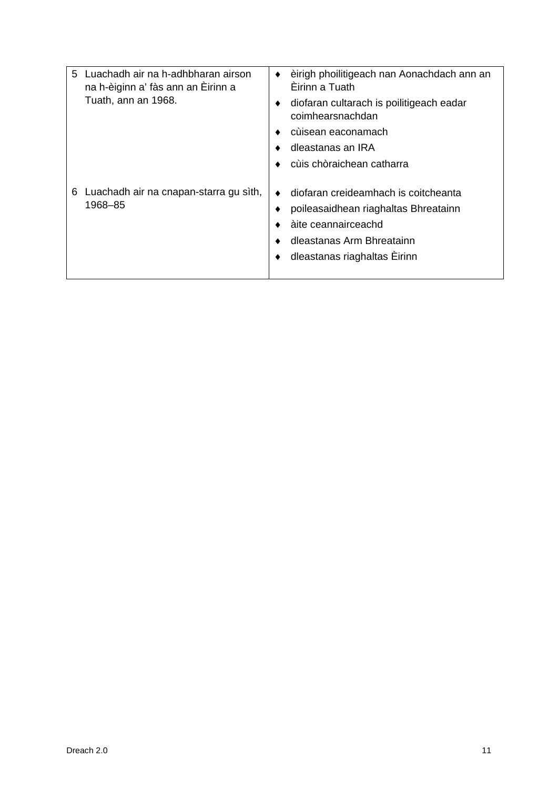| 5 | Luachadh air na h-adhbharan airson<br>na h-èiginn a' fàs ann an Èirinn a | èirigh phoilitigeach nan Aonachdach ann an<br>Èirinn a Tuath                                                                                                     |
|---|--------------------------------------------------------------------------|------------------------------------------------------------------------------------------------------------------------------------------------------------------|
|   | Tuath, ann an 1968.                                                      | diofaran cultarach is poilitigeach eadar<br>coimhearsnachdan                                                                                                     |
|   |                                                                          | cùisean eaconamach                                                                                                                                               |
|   |                                                                          | dleastanas an IRA                                                                                                                                                |
|   |                                                                          | cùis chòraichean catharra                                                                                                                                        |
| 6 | Luachadh air na cnapan-starra gu sìth,<br>1968-85                        | diofaran creideamhach is coitcheanta<br>poileasaidhean riaghaltas Bhreatainn<br>àite ceannairceachd<br>dleastanas Arm Bhreatainn<br>dleastanas riaghaltas Eirinn |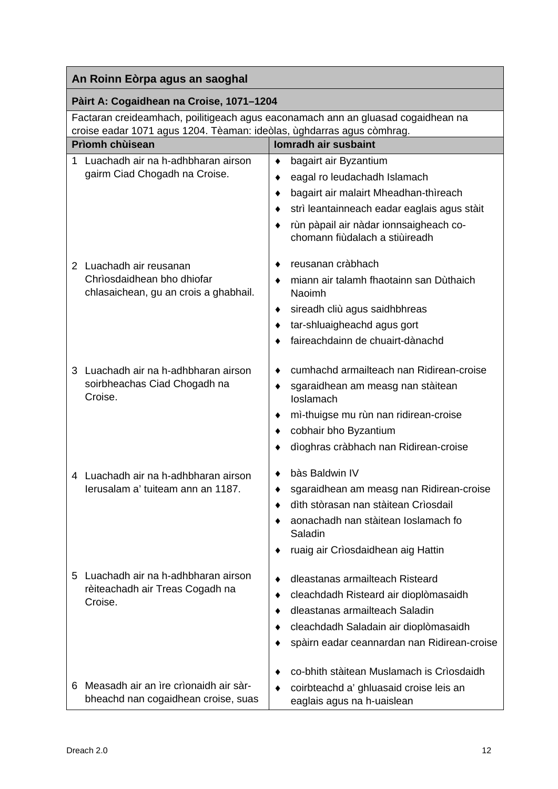## **Pàirt A: Cogaidhean na Croise, 1071–1204**

Factaran creideamhach, poilitigeach agus eaconamach ann an gluasad cogaidhean na croise eadar 1071 agus 1204. Tèaman: ideòlas, ùghdarras agus còmhrag.

| 0.0130 0000 TOTT agus TZOT. Tuaman. 1000103, agusanas agus commag.<br><b>Prìomh chùisean</b> | Iomradh air susbaint                                                                  |
|----------------------------------------------------------------------------------------------|---------------------------------------------------------------------------------------|
| Luachadh air na h-adhbharan airson<br>1                                                      | bagairt air Byzantium<br>٠                                                            |
| gairm Ciad Chogadh na Croise.                                                                | eagal ro leudachadh Islamach<br>٠                                                     |
|                                                                                              | bagairt air malairt Mheadhan-thìreach<br>٠                                            |
|                                                                                              | strì leantainneach eadar eaglais agus stàit                                           |
|                                                                                              | rùn pàpail air nàdar ionnsaigheach co-                                                |
|                                                                                              | chomann fiùdalach a stiùireadh                                                        |
|                                                                                              |                                                                                       |
| 2 Luachadh air reusanan                                                                      | reusanan cràbhach                                                                     |
| Chrìosdaidhean bho dhiofar<br>chlasaichean, gu an crois a ghabhail.                          | miann air talamh fhaotainn san Dùthaich<br><b>Naoimh</b>                              |
|                                                                                              | sireadh cliù agus saidhbhreas<br>٠                                                    |
|                                                                                              | tar-shluaigheachd agus gort                                                           |
|                                                                                              | faireachdainn de chuairt-dànachd                                                      |
|                                                                                              |                                                                                       |
| 3 Luachadh air na h-adhbharan airson                                                         | cumhachd armailteach nan Ridirean-croise                                              |
| soirbheachas Ciad Chogadh na<br>Croise.                                                      | sgaraidhean am measg nan stàitean<br>loslamach                                        |
|                                                                                              | mi-thuigse mu rùn nan ridirean-croise                                                 |
|                                                                                              | cobhair bho Byzantium                                                                 |
|                                                                                              | dìoghras cràbhach nan Ridirean-croise                                                 |
|                                                                                              |                                                                                       |
| Luachadh air na h-adhbharan airson<br>4                                                      | bàs Baldwin IV<br>٠                                                                   |
| lerusalam a' tuiteam ann an 1187.                                                            | sgaraidhean am measg nan Ridirean-croise<br>٠<br>dìth stòrasan nan stàitean Crìosdail |
|                                                                                              | aonachadh nan stàitean Ioslamach fo                                                   |
|                                                                                              | Saladin                                                                               |
|                                                                                              | ruaig air Crìosdaidhean aig Hattin                                                    |
|                                                                                              |                                                                                       |
| Luachadh air na h-adhbharan airson<br>5.                                                     | dleastanas armailteach Risteard                                                       |
| rèiteachadh air Treas Cogadh na                                                              | cleachdadh Risteard air dioplòmasaidh                                                 |
| Croise.                                                                                      | dleastanas armailteach Saladin                                                        |
|                                                                                              | cleachdadh Saladain air dioplòmasaidh                                                 |
|                                                                                              | spàirn eadar ceannardan nan Ridirean-croise                                           |
|                                                                                              |                                                                                       |
|                                                                                              | co-bhith stàitean Muslamach is Crìosdaidh                                             |
| Measadh air an ìre crìonaidh air sàr-<br>6<br>bheachd nan cogaidhean croise, suas            | coirbteachd a' ghluasaid croise leis an<br>eaglais agus na h-uaislean                 |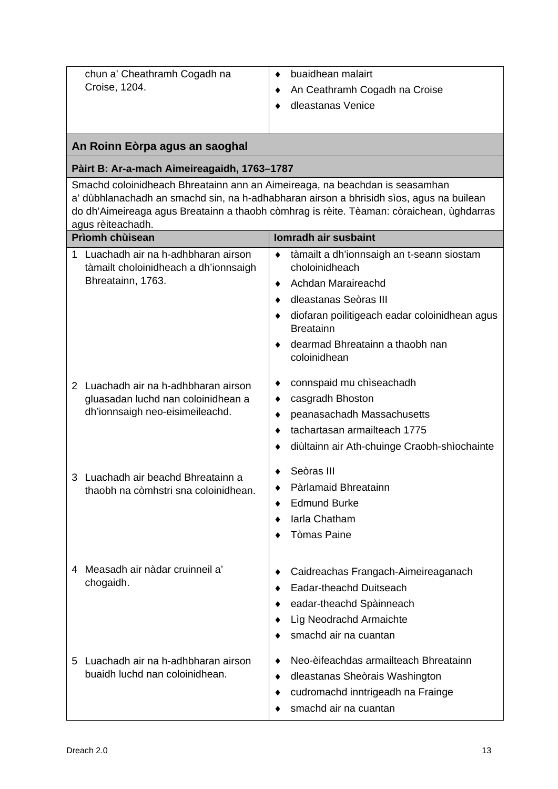| chun a' Cheathramh Cogadh na                                                                                                                                                                                                                                                            | buaidhean malairt<br>٠                                                                                                                         |  |  |  |
|-----------------------------------------------------------------------------------------------------------------------------------------------------------------------------------------------------------------------------------------------------------------------------------------|------------------------------------------------------------------------------------------------------------------------------------------------|--|--|--|
| Croise, 1204.                                                                                                                                                                                                                                                                           | An Ceathramh Cogadh na Croise                                                                                                                  |  |  |  |
|                                                                                                                                                                                                                                                                                         | dleastanas Venice                                                                                                                              |  |  |  |
|                                                                                                                                                                                                                                                                                         |                                                                                                                                                |  |  |  |
| An Roinn Eòrpa agus an saoghal                                                                                                                                                                                                                                                          |                                                                                                                                                |  |  |  |
| Pàirt B: Ar-a-mach Aimeireagaidh, 1763-1787                                                                                                                                                                                                                                             |                                                                                                                                                |  |  |  |
| Smachd coloinidheach Bhreatainn ann an Aimeireaga, na beachdan is seasamhan<br>a' dùbhlanachadh an smachd sin, na h-adhabharan airson a bhrisidh sìos, agus na builean<br>do dh'Aimeireaga agus Breatainn a thaobh còmhrag is rèite. Tèaman: còraichean, ùghdarras<br>agus rèiteachadh. |                                                                                                                                                |  |  |  |
| Prìomh chùisean                                                                                                                                                                                                                                                                         | <b>Iomradh air susbaint</b>                                                                                                                    |  |  |  |
| Luachadh air na h-adhbharan airson<br>1<br>tàmailt choloinidheach a dh'ionnsaigh                                                                                                                                                                                                        | tàmailt a dh'ionnsaigh an t-seann siostam<br>٠<br>choloinidheach                                                                               |  |  |  |
| Bhreatainn, 1763.                                                                                                                                                                                                                                                                       | Achdan Maraireachd<br>٠                                                                                                                        |  |  |  |
|                                                                                                                                                                                                                                                                                         | dleastanas Seòras III                                                                                                                          |  |  |  |
|                                                                                                                                                                                                                                                                                         | diofaran poilitigeach eadar coloinidhean agus<br><b>Breatainn</b>                                                                              |  |  |  |
|                                                                                                                                                                                                                                                                                         | dearmad Bhreatainn a thaobh nan<br>coloinidhean                                                                                                |  |  |  |
| 2 Luachadh air na h-adhbharan airson                                                                                                                                                                                                                                                    | connspaid mu chiseachadh<br>٠                                                                                                                  |  |  |  |
| gluasadan luchd nan coloinidhean a                                                                                                                                                                                                                                                      | casgradh Bhoston<br>٠                                                                                                                          |  |  |  |
| dh'ionnsaigh neo-eisimeileachd.                                                                                                                                                                                                                                                         | peanasachadh Massachusetts                                                                                                                     |  |  |  |
|                                                                                                                                                                                                                                                                                         | tachartasan armailteach 1775                                                                                                                   |  |  |  |
|                                                                                                                                                                                                                                                                                         | diùltainn air Ath-chuinge Craobh-shìochainte                                                                                                   |  |  |  |
| 3 Luachadh air beachd Bhreatainn a                                                                                                                                                                                                                                                      | Seòras III                                                                                                                                     |  |  |  |
| thaobh na còmhstri sna coloinidhean.                                                                                                                                                                                                                                                    | Pàrlamaid Bhreatainn                                                                                                                           |  |  |  |
|                                                                                                                                                                                                                                                                                         | <b>Edmund Burke</b>                                                                                                                            |  |  |  |
|                                                                                                                                                                                                                                                                                         | Iarla Chatham                                                                                                                                  |  |  |  |
|                                                                                                                                                                                                                                                                                         | <b>Tòmas Paine</b>                                                                                                                             |  |  |  |
| Measadh air nàdar cruinneil a'<br>4<br>chogaidh.                                                                                                                                                                                                                                        | Caidreachas Frangach-Aimeireaganach<br>Eadar-theachd Duitseach<br>eadar-theachd Spàinneach<br>Lìg Neodrachd Armaichte<br>smachd air na cuantan |  |  |  |
| Luachadh air na h-adhbharan airson<br>5<br>buaidh luchd nan coloinidhean.                                                                                                                                                                                                               | Neo-èifeachdas armailteach Bhreatainn<br>dleastanas Sheòrais Washington<br>٠<br>cudromachd inntrigeadh na Frainge<br>smachd air na cuantan     |  |  |  |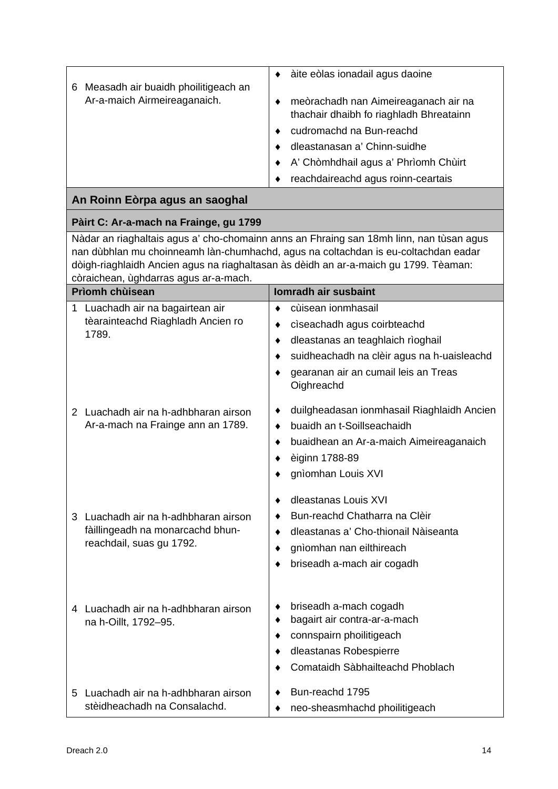| Measadh air buaidh phoilitigeach an | àite eòlas ionadail agus daoine                                                 |  |  |
|-------------------------------------|---------------------------------------------------------------------------------|--|--|
| 6<br>Ar-a-maich Airmeireaganaich.   | meòrachadh nan Aimeireaganach air na<br>thachair dhaibh fo riaghladh Bhreatainn |  |  |
|                                     | cudromachd na Bun-reachd                                                        |  |  |
|                                     | dleastanasan a' Chinn-suidhe                                                    |  |  |
|                                     | A' Chòmhdhail agus a' Phrìomh Chùirt                                            |  |  |
|                                     | reachdaireachd agus roinn-ceartais                                              |  |  |
| An Roinn Eòrpa agus an saoghal      |                                                                                 |  |  |

## **Pàirt C: Ar-a-mach na Frainge, gu 1799**

Nàdar an riaghaltais agus a' cho-chomainn anns an Fhraing san 18mh linn, nan tùsan agus nan dùbhlan mu choinneamh làn-chumhachd, agus na coltachdan is eu-coltachdan eadar dòigh-riaghlaidh Ancien agus na riaghaltasan às dèidh an ar-a-maich gu 1799. Tèaman: còraichean, ùghdarras agus ar-a-mach.

| Prìomh chùisean |                                                                                                      | Iomradh air susbaint                                                                                                                                                                                      |  |  |
|-----------------|------------------------------------------------------------------------------------------------------|-----------------------------------------------------------------------------------------------------------------------------------------------------------------------------------------------------------|--|--|
| 1               | Luachadh air na bagairtean air<br>tèarainteachd Riaghladh Ancien ro<br>1789.                         | cùisean ionmhasail<br>٠<br>cìseachadh agus coirbteachd<br>٠<br>dleastanas an teaghlaich rìoghail<br>٠<br>suidheachadh na clèir agus na h-uaisleachd<br>gearanan air an cumail leis an Treas<br>Oighreachd |  |  |
| $\overline{2}$  | Luachadh air na h-adhbharan airson<br>Ar-a-mach na Frainge ann an 1789.                              | duilgheadasan ionmhasail Riaghlaidh Ancien<br>٠<br>buaidh an t-Soillseachaidh<br>٠<br>buaidhean an Ar-a-maich Aimeireaganaich<br>٠<br>èiginn 1788-89<br>gnìomhan Louis XVI                                |  |  |
|                 | 3 Luachadh air na h-adhbharan airson<br>fàillingeadh na monarcachd bhun-<br>reachdail, suas gu 1792. | dleastanas Louis XVI<br>٠<br>Bun-reachd Chatharra na Clèir<br>dleastanas a' Cho-thionail Nàiseanta<br>٠<br>gnìomhan nan eilthireach<br>٠<br>briseadh a-mach air cogadh                                    |  |  |
|                 | 4 Luachadh air na h-adhbharan airson<br>na h-Oillt, 1792-95.                                         | briseadh a-mach cogadh<br>٠<br>bagairt air contra-ar-a-mach<br>٠<br>connspairn phoilitigeach<br>٠<br>dleastanas Robespierre<br>٠<br>Comataidh Sàbhailteachd Phoblach                                      |  |  |
| 5               | Luachadh air na h-adhbharan airson<br>stèidheachadh na Consalachd.                                   | Bun-reachd 1795<br>neo-sheasmhachd phoilitigeach                                                                                                                                                          |  |  |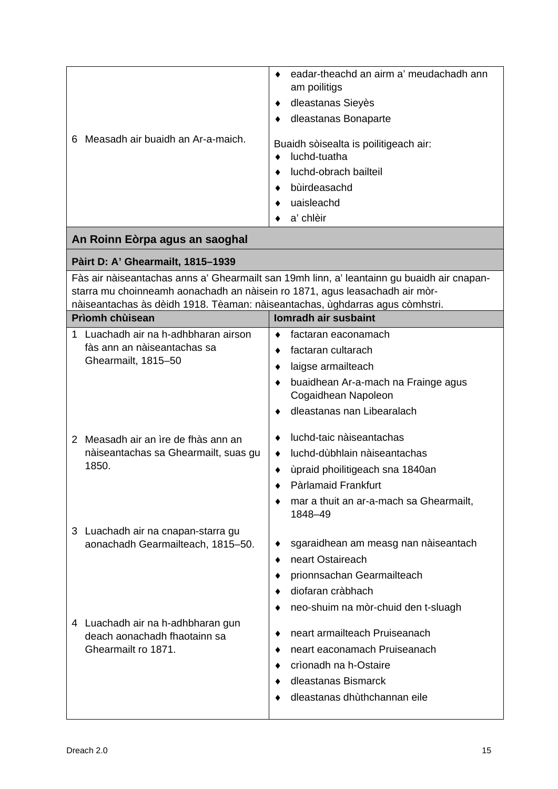| am poilitigs<br>dleastanas Sieyès<br>٠<br>dleastanas Bonaparte<br>٠<br>Measadh air buaidh an Ar-a-maich.<br>6<br>Buaidh sòisealta is poilitigeach air:<br>luchd-tuatha<br>luchd-obrach bailteil<br>bùirdeasachd<br>uaisleachd<br>a' chlèir<br>An Roinn Eòrpa agus an saoghal<br>Pàirt D: A' Ghearmailt, 1815-1939<br>Fàs air nàiseantachas anns a' Ghearmailt san 19mh linn, a' leantainn gu buaidh air cnapan-<br>starra mu choinneamh aonachadh an nàisein ro 1871, agus leasachadh air mòr-<br>nàiseantachas às dèidh 1918. Tèaman: nàiseantachas, ùghdarras agus còmhstri.<br><b>Prìomh chùisean</b><br>Iomradh air susbaint<br>Luachadh air na h-adhbharan airson<br>1.<br>factaran eaconamach<br>٠<br>fàs ann an nàiseantachas sa<br>factaran cultarach<br>٠<br>Ghearmailt, 1815-50<br>laigse armailteach<br>٠<br>buaidhean Ar-a-mach na Frainge agus<br>Cogaidhean Napoleon<br>dleastanas nan Libearalach<br>٠<br>luchd-taic nàiseantachas<br>2 Measadh air an ìre de fhàs ann an<br>nàiseantachas sa Ghearmailt, suas gu<br>luchd-dùbhlain nàiseantachas<br>٠<br>1850.<br>ùpraid phoilitigeach sna 1840an<br>Pàrlamaid Frankfurt<br>mar a thuit an ar-a-mach sa Ghearmailt,<br>1848-49<br>3 Luachadh air na cnapan-starra gu<br>sgaraidhean am measg nan nàiseantach<br>aonachadh Gearmailteach, 1815-50.<br>٠ |
|------------------------------------------------------------------------------------------------------------------------------------------------------------------------------------------------------------------------------------------------------------------------------------------------------------------------------------------------------------------------------------------------------------------------------------------------------------------------------------------------------------------------------------------------------------------------------------------------------------------------------------------------------------------------------------------------------------------------------------------------------------------------------------------------------------------------------------------------------------------------------------------------------------------------------------------------------------------------------------------------------------------------------------------------------------------------------------------------------------------------------------------------------------------------------------------------------------------------------------------------------------------------------------------------------------------------|
|                                                                                                                                                                                                                                                                                                                                                                                                                                                                                                                                                                                                                                                                                                                                                                                                                                                                                                                                                                                                                                                                                                                                                                                                                                                                                                                        |
|                                                                                                                                                                                                                                                                                                                                                                                                                                                                                                                                                                                                                                                                                                                                                                                                                                                                                                                                                                                                                                                                                                                                                                                                                                                                                                                        |
|                                                                                                                                                                                                                                                                                                                                                                                                                                                                                                                                                                                                                                                                                                                                                                                                                                                                                                                                                                                                                                                                                                                                                                                                                                                                                                                        |
|                                                                                                                                                                                                                                                                                                                                                                                                                                                                                                                                                                                                                                                                                                                                                                                                                                                                                                                                                                                                                                                                                                                                                                                                                                                                                                                        |
|                                                                                                                                                                                                                                                                                                                                                                                                                                                                                                                                                                                                                                                                                                                                                                                                                                                                                                                                                                                                                                                                                                                                                                                                                                                                                                                        |
|                                                                                                                                                                                                                                                                                                                                                                                                                                                                                                                                                                                                                                                                                                                                                                                                                                                                                                                                                                                                                                                                                                                                                                                                                                                                                                                        |
|                                                                                                                                                                                                                                                                                                                                                                                                                                                                                                                                                                                                                                                                                                                                                                                                                                                                                                                                                                                                                                                                                                                                                                                                                                                                                                                        |
|                                                                                                                                                                                                                                                                                                                                                                                                                                                                                                                                                                                                                                                                                                                                                                                                                                                                                                                                                                                                                                                                                                                                                                                                                                                                                                                        |
|                                                                                                                                                                                                                                                                                                                                                                                                                                                                                                                                                                                                                                                                                                                                                                                                                                                                                                                                                                                                                                                                                                                                                                                                                                                                                                                        |
|                                                                                                                                                                                                                                                                                                                                                                                                                                                                                                                                                                                                                                                                                                                                                                                                                                                                                                                                                                                                                                                                                                                                                                                                                                                                                                                        |
|                                                                                                                                                                                                                                                                                                                                                                                                                                                                                                                                                                                                                                                                                                                                                                                                                                                                                                                                                                                                                                                                                                                                                                                                                                                                                                                        |
|                                                                                                                                                                                                                                                                                                                                                                                                                                                                                                                                                                                                                                                                                                                                                                                                                                                                                                                                                                                                                                                                                                                                                                                                                                                                                                                        |
|                                                                                                                                                                                                                                                                                                                                                                                                                                                                                                                                                                                                                                                                                                                                                                                                                                                                                                                                                                                                                                                                                                                                                                                                                                                                                                                        |
|                                                                                                                                                                                                                                                                                                                                                                                                                                                                                                                                                                                                                                                                                                                                                                                                                                                                                                                                                                                                                                                                                                                                                                                                                                                                                                                        |
|                                                                                                                                                                                                                                                                                                                                                                                                                                                                                                                                                                                                                                                                                                                                                                                                                                                                                                                                                                                                                                                                                                                                                                                                                                                                                                                        |
|                                                                                                                                                                                                                                                                                                                                                                                                                                                                                                                                                                                                                                                                                                                                                                                                                                                                                                                                                                                                                                                                                                                                                                                                                                                                                                                        |
|                                                                                                                                                                                                                                                                                                                                                                                                                                                                                                                                                                                                                                                                                                                                                                                                                                                                                                                                                                                                                                                                                                                                                                                                                                                                                                                        |
|                                                                                                                                                                                                                                                                                                                                                                                                                                                                                                                                                                                                                                                                                                                                                                                                                                                                                                                                                                                                                                                                                                                                                                                                                                                                                                                        |
|                                                                                                                                                                                                                                                                                                                                                                                                                                                                                                                                                                                                                                                                                                                                                                                                                                                                                                                                                                                                                                                                                                                                                                                                                                                                                                                        |
|                                                                                                                                                                                                                                                                                                                                                                                                                                                                                                                                                                                                                                                                                                                                                                                                                                                                                                                                                                                                                                                                                                                                                                                                                                                                                                                        |
|                                                                                                                                                                                                                                                                                                                                                                                                                                                                                                                                                                                                                                                                                                                                                                                                                                                                                                                                                                                                                                                                                                                                                                                                                                                                                                                        |
|                                                                                                                                                                                                                                                                                                                                                                                                                                                                                                                                                                                                                                                                                                                                                                                                                                                                                                                                                                                                                                                                                                                                                                                                                                                                                                                        |
|                                                                                                                                                                                                                                                                                                                                                                                                                                                                                                                                                                                                                                                                                                                                                                                                                                                                                                                                                                                                                                                                                                                                                                                                                                                                                                                        |
|                                                                                                                                                                                                                                                                                                                                                                                                                                                                                                                                                                                                                                                                                                                                                                                                                                                                                                                                                                                                                                                                                                                                                                                                                                                                                                                        |
|                                                                                                                                                                                                                                                                                                                                                                                                                                                                                                                                                                                                                                                                                                                                                                                                                                                                                                                                                                                                                                                                                                                                                                                                                                                                                                                        |
|                                                                                                                                                                                                                                                                                                                                                                                                                                                                                                                                                                                                                                                                                                                                                                                                                                                                                                                                                                                                                                                                                                                                                                                                                                                                                                                        |
| neart Ostaireach<br>٠                                                                                                                                                                                                                                                                                                                                                                                                                                                                                                                                                                                                                                                                                                                                                                                                                                                                                                                                                                                                                                                                                                                                                                                                                                                                                                  |
| prionnsachan Gearmailteach                                                                                                                                                                                                                                                                                                                                                                                                                                                                                                                                                                                                                                                                                                                                                                                                                                                                                                                                                                                                                                                                                                                                                                                                                                                                                             |
| diofaran cràbhach                                                                                                                                                                                                                                                                                                                                                                                                                                                                                                                                                                                                                                                                                                                                                                                                                                                                                                                                                                                                                                                                                                                                                                                                                                                                                                      |
| neo-shuim na mòr-chuid den t-sluagh                                                                                                                                                                                                                                                                                                                                                                                                                                                                                                                                                                                                                                                                                                                                                                                                                                                                                                                                                                                                                                                                                                                                                                                                                                                                                    |
| 4 Luachadh air na h-adhbharan gun                                                                                                                                                                                                                                                                                                                                                                                                                                                                                                                                                                                                                                                                                                                                                                                                                                                                                                                                                                                                                                                                                                                                                                                                                                                                                      |
| neart armailteach Pruiseanach<br>deach aonachadh fhaotainn sa                                                                                                                                                                                                                                                                                                                                                                                                                                                                                                                                                                                                                                                                                                                                                                                                                                                                                                                                                                                                                                                                                                                                                                                                                                                          |
| Ghearmailt ro 1871.<br>neart eaconamach Pruiseanach                                                                                                                                                                                                                                                                                                                                                                                                                                                                                                                                                                                                                                                                                                                                                                                                                                                                                                                                                                                                                                                                                                                                                                                                                                                                    |
| crìonadh na h-Ostaire                                                                                                                                                                                                                                                                                                                                                                                                                                                                                                                                                                                                                                                                                                                                                                                                                                                                                                                                                                                                                                                                                                                                                                                                                                                                                                  |
| dleastanas Bismarck                                                                                                                                                                                                                                                                                                                                                                                                                                                                                                                                                                                                                                                                                                                                                                                                                                                                                                                                                                                                                                                                                                                                                                                                                                                                                                    |
| dleastanas dhùthchannan eile                                                                                                                                                                                                                                                                                                                                                                                                                                                                                                                                                                                                                                                                                                                                                                                                                                                                                                                                                                                                                                                                                                                                                                                                                                                                                           |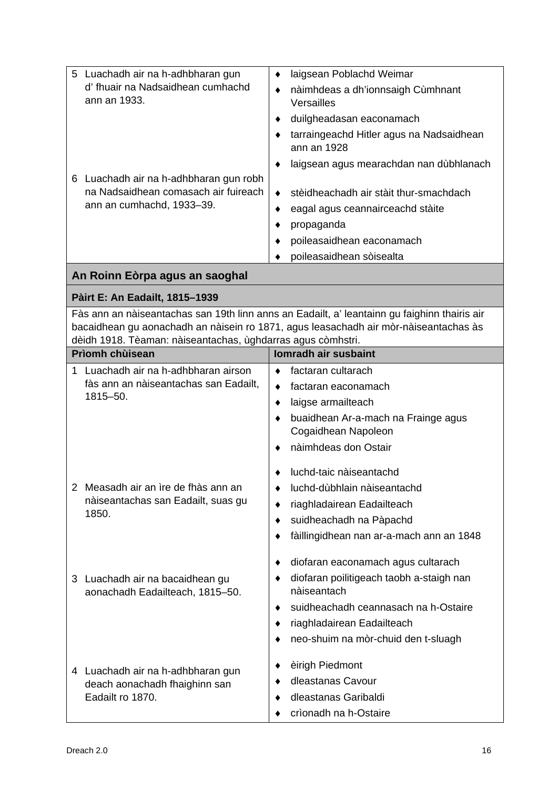| Luachadh air na h-adhbharan gun<br>$5^{\circ}$                     | laigsean Poblachd Weimar<br>$\bullet$                                                                                                                                                |
|--------------------------------------------------------------------|--------------------------------------------------------------------------------------------------------------------------------------------------------------------------------------|
| d' fhuair na Nadsaidhean cumhachd<br>ann an 1933.                  | nàimhdeas a dh'ionnsaigh Cùmhnant<br>٠<br>Versailles                                                                                                                                 |
|                                                                    | duilgheadasan eaconamach<br>٠                                                                                                                                                        |
|                                                                    | tarraingeachd Hitler agus na Nadsaidhean<br>ann an 1928                                                                                                                              |
| 6 Luachadh air na h-adhbharan gun robh                             | laigsean agus mearachdan nan dùbhlanach                                                                                                                                              |
| na Nadsaidhean comasach air fuireach                               | stèidheachadh air stàit thur-smachdach<br>٠                                                                                                                                          |
| ann an cumhachd, 1933-39.                                          | eagal agus ceannairceachd stàite<br>٠                                                                                                                                                |
|                                                                    | propaganda                                                                                                                                                                           |
|                                                                    | poileasaidhean eaconamach                                                                                                                                                            |
|                                                                    | poileasaidhean sòisealta                                                                                                                                                             |
| An Roinn Eòrpa agus an saoghal                                     |                                                                                                                                                                                      |
| Pàirt E: An Eadailt, 1815-1939                                     |                                                                                                                                                                                      |
| dèidh 1918. Tèaman: nàiseantachas, ùghdarras agus còmhstri.        | Fàs ann an nàiseantachas san 19th linn anns an Eadailt, a' leantainn gu faighinn thairis air<br>bacaidhean gu aonachadh an nàisein ro 1871, agus leasachadh air mòr-nàiseantachas às |
| <b>Prìomh chùisean</b>                                             | Iomradh air susbaint                                                                                                                                                                 |
| Luachadh air na h-adhbharan airson<br>1                            | factaran cultarach<br>٠                                                                                                                                                              |
| fàs ann an nàiseantachas san Eadailt,                              | factaran eaconamach                                                                                                                                                                  |
| 1815-50.                                                           | laigse armailteach<br>٠                                                                                                                                                              |
|                                                                    | buaidhean Ar-a-mach na Frainge agus<br>Cogaidhean Napoleon                                                                                                                           |
|                                                                    | nàimhdeas don Ostair                                                                                                                                                                 |
|                                                                    | luchd-taic nàiseantachd                                                                                                                                                              |
| 2 Measadh air an ìre de fhàs ann an                                | luchd-dùbhlain nàiseantachd                                                                                                                                                          |
| nàiseantachas san Eadailt, suas gu<br>1850.                        | riaghladairean Eadailteach                                                                                                                                                           |
|                                                                    | suidheachadh na Pàpachd                                                                                                                                                              |
|                                                                    | fàillingidhean nan ar-a-mach ann an 1848                                                                                                                                             |
|                                                                    | diofaran eaconamach agus cultarach                                                                                                                                                   |
| 3 Luachadh air na bacaidhean gu<br>aonachadh Eadailteach, 1815-50. | diofaran poilitigeach taobh a-staigh nan<br>nàiseantach                                                                                                                              |
|                                                                    | suidheachadh ceannasach na h-Ostaire                                                                                                                                                 |
|                                                                    | riaghladairean Eadailteach                                                                                                                                                           |
|                                                                    | neo-shuim na mòr-chuid den t-sluagh                                                                                                                                                  |
| 4 Luachadh air na h-adhbharan gun                                  | èirigh Piedmont                                                                                                                                                                      |
| deach aonachadh fhaighinn san                                      | dleastanas Cavour                                                                                                                                                                    |
| Eadailt ro 1870.                                                   | dleastanas Garibaldi                                                                                                                                                                 |
|                                                                    | crìonadh na h-Ostaire                                                                                                                                                                |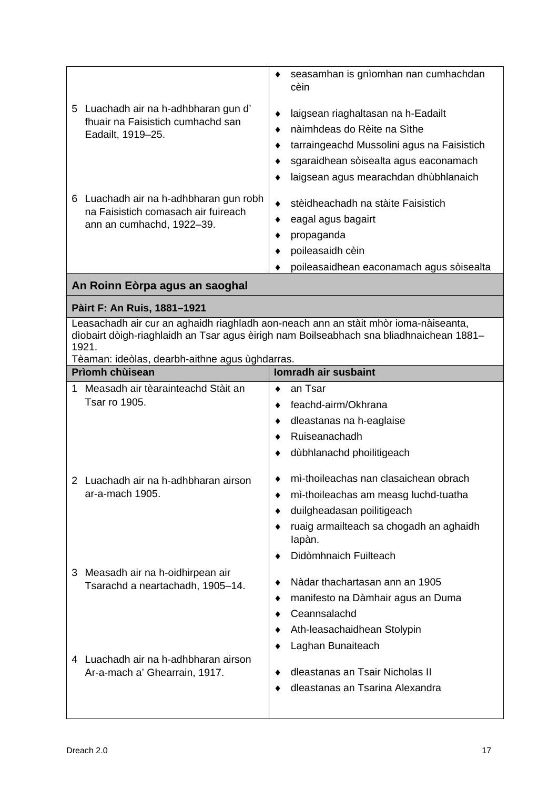| 5 Luachadh air na h-adhbharan gun d'<br>fhuair na Faisistich cumhachd san<br>Eadailt, 1919-25.<br>6 Luachadh air na h-adhbharan gun robh<br>na Faisistich comasach air fuireach | seasamhan is gnìomhan nan cumhachdan<br>cèin<br>laigsean riaghaltasan na h-Eadailt<br>nàimhdeas do Rèite na Sìthe<br>٠<br>tarraingeachd Mussolini agus na Faisistich<br>sgaraidhean sòisealta agus eaconamach<br>laigsean agus mearachdan dhùbhlanaich<br>stèidheachadh na stàite Faisistich<br>٠ |
|---------------------------------------------------------------------------------------------------------------------------------------------------------------------------------|---------------------------------------------------------------------------------------------------------------------------------------------------------------------------------------------------------------------------------------------------------------------------------------------------|
| ann an cumhachd, 1922-39.                                                                                                                                                       | eagal agus bagairt<br>٠<br>propaganda<br>poileasaidh cèin                                                                                                                                                                                                                                         |
|                                                                                                                                                                                 | poileasaidhean eaconamach agus sòisealta                                                                                                                                                                                                                                                          |
| An Roinn Eòrpa agus an saoghal                                                                                                                                                  |                                                                                                                                                                                                                                                                                                   |
| Pàirt F: An Ruis, 1881-1921                                                                                                                                                     |                                                                                                                                                                                                                                                                                                   |
| 1921.                                                                                                                                                                           | Leasachadh air cur an aghaidh riaghladh aon-neach ann an stàit mhòr ioma-nàiseanta,<br>dìobairt dòigh-riaghlaidh an Tsar agus èirigh nam Boilseabhach sna bliadhnaichean 1881-                                                                                                                    |
| Tèaman: ideòlas, dearbh-aithne agus ùghdarras.<br>Prìomh chùisean                                                                                                               | Iomradh air susbaint                                                                                                                                                                                                                                                                              |
| Measadh air tèarainteachd Stàit an<br>1                                                                                                                                         | an Tsar                                                                                                                                                                                                                                                                                           |
| Tsar ro 1905.                                                                                                                                                                   | feachd-airm/Okhrana<br>٠<br>dleastanas na h-eaglaise<br>Ruiseanachadh<br>dùbhlanachd phoilitigeach                                                                                                                                                                                                |
| 2 Luachadh air na h-adhbharan airson<br>ar-a-mach 1905.                                                                                                                         | mì-thoileachas nan clasaichean obrach<br>mì-thoileachas am measg luchd-tuatha<br>duilgheadasan poilitigeach<br>ruaig armailteach sa chogadh an aghaidh                                                                                                                                            |
|                                                                                                                                                                                 | lapàn.<br>Didòmhnaich Fuilteach                                                                                                                                                                                                                                                                   |
| 3 Measadh air na h-oidhirpean air<br>Tsarachd a neartachadh, 1905-14.                                                                                                           | Nàdar thachartasan ann an 1905<br>manifesto na Dàmhair agus an Duma<br>Ceannsalachd<br>Ath-leasachaidhean Stolypin<br>Laghan Bunaiteach                                                                                                                                                           |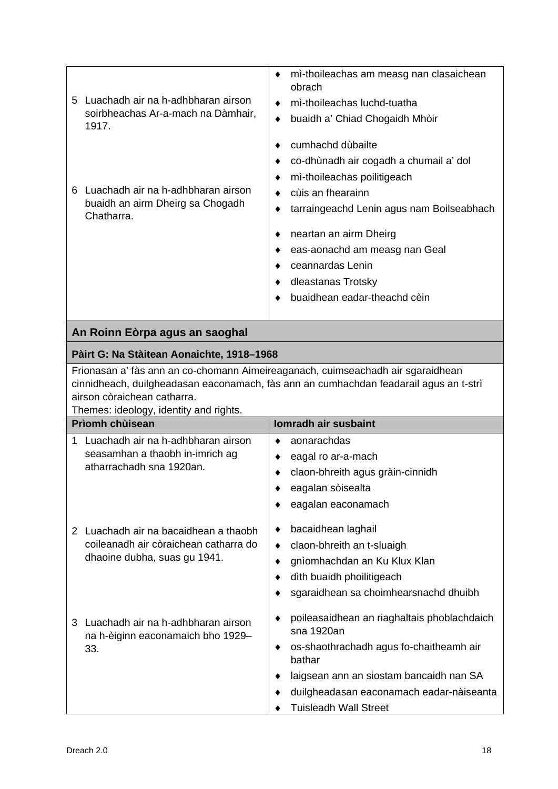| 5 | Luachadh air na h-adhbharan airson.<br>soirbheachas Ar-a-mach na Dàmhair,<br>1917. | obrach | mi-thoileachas am measg nan clasaichean<br>mì-thoileachas luchd-tuatha<br>buaidh a' Chiad Chogaidh Mhòir |
|---|------------------------------------------------------------------------------------|--------|----------------------------------------------------------------------------------------------------------|
|   |                                                                                    |        | cumhachd dùbailte                                                                                        |
|   |                                                                                    |        | co-dhùnadh air cogadh a chumail a' dol                                                                   |
|   |                                                                                    |        | mi-thoileachas poilitigeach                                                                              |
| 6 | Luachadh air na h-adhbharan airson                                                 |        | cùis an fhearainn                                                                                        |
|   | buaidh an airm Dheirg sa Chogadh<br>Chatharra.                                     |        | tarraingeachd Lenin agus nam Boilseabhach                                                                |
|   |                                                                                    |        | neartan an airm Dheirg                                                                                   |
|   |                                                                                    |        | eas-aonachd am measg nan Geal                                                                            |
|   |                                                                                    |        | ceannardas Lenin                                                                                         |
|   |                                                                                    |        | dleastanas Trotsky                                                                                       |
|   |                                                                                    |        | buaidhean eadar-theachd cèin                                                                             |
|   |                                                                                    |        |                                                                                                          |

## **Pàirt G: Na Stàitean Aonaichte, 1918–1968**

Frionasan a' fàs ann an co-chomann Aimeireaganach, cuimseachadh air sgaraidhean cinnidheach, duilgheadasan eaconamach, fàs ann an cumhachdan feadarail agus an t-strì airson còraichean catharra.

Themes: ideology, identity and rights.

| <b>Prìomh chùisean</b> |                                                                                                              |   | <b>Iomradh air susbaint</b>                               |
|------------------------|--------------------------------------------------------------------------------------------------------------|---|-----------------------------------------------------------|
| 1                      | Luachadh air na h-adhbharan airson                                                                           | ٠ | aonarachdas                                               |
|                        | seasamhan a thaobh in-imrich ag<br>atharrachadh sna 1920an.                                                  |   | eagal ro ar-a-mach                                        |
|                        |                                                                                                              |   | claon-bhreith agus gràin-cinnidh                          |
|                        |                                                                                                              |   | eagalan sòisealta                                         |
|                        |                                                                                                              |   | eagalan eaconamach                                        |
| $\mathcal{P}$          | Luachadh air na bacaidhean a thaobh<br>coileanadh air còraichean catharra do<br>dhaoine dubha, suas gu 1941. | ٠ | bacaidhean laghail                                        |
|                        |                                                                                                              | ٠ | claon-bhreith an t-sluaigh                                |
|                        |                                                                                                              |   | gnìomhachdan an Ku Klux Klan                              |
|                        |                                                                                                              |   | dìth buaidh phoilitigeach                                 |
|                        |                                                                                                              |   | sgaraidhean sa choimhearsnachd dhuibh                     |
| 3                      | Luachadh air na h-adhbharan airson<br>na h-èiginn eaconamaich bho 1929-<br>٠<br>33.<br>٠                     |   | poileasaidhean an riaghaltais phoblachdaich<br>sna 1920an |
|                        |                                                                                                              |   | os-shaothrachadh agus fo-chaitheamh air<br>bathar         |
|                        |                                                                                                              |   | laigsean ann an siostam bancaidh nan SA                   |
|                        |                                                                                                              |   | duilgheadasan eaconamach eadar-nàiseanta                  |
|                        |                                                                                                              |   | Tuisleadh Wall Street                                     |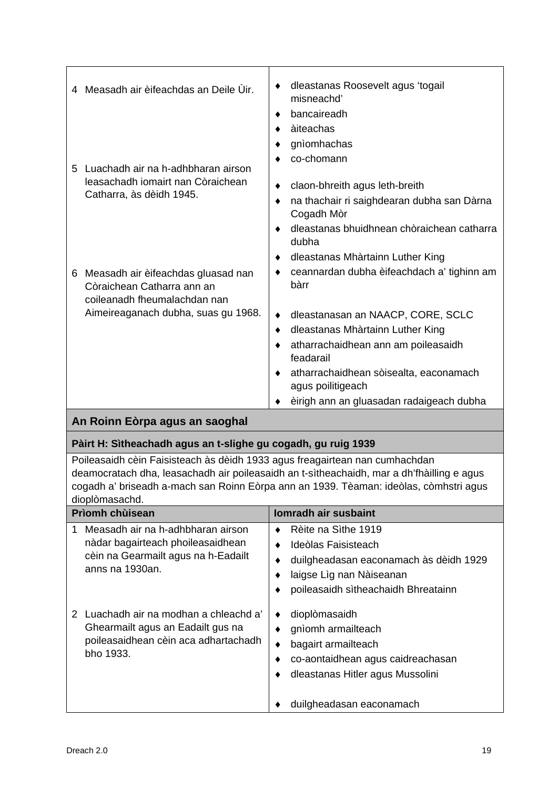|   | 4 Measadh air èifeachdas an Deile Ùir.                                                           | dleastanas Roosevelt agus 'togail<br>misneachd'<br>bancaireadh<br>àiteachas |
|---|--------------------------------------------------------------------------------------------------|-----------------------------------------------------------------------------|
|   |                                                                                                  | gnìomhachas<br>co-chomann                                                   |
|   | 5 Luachadh air na h-adhbharan airson<br>leasachadh iomairt nan Còraichean                        | claon-bhreith agus leth-breith                                              |
|   | Catharra, às dèidh 1945.                                                                         | na thachair ri saighdearan dubha san Dàrna<br>Cogadh Mòr                    |
|   |                                                                                                  | dleastanas bhuidhnean chòraichean catharra<br>dubha                         |
|   |                                                                                                  | dleastanas Mhàrtainn Luther King                                            |
| 6 | Measadh air èifeachdas gluasad nan<br>Còraichean Catharra ann an<br>coileanadh fheumalachdan nan | ceannardan dubha èifeachdach a' tighinn am<br>bàrr                          |
|   | Aimeireaganach dubha, suas gu 1968.                                                              | dleastanasan an NAACP, CORE, SCLC                                           |
|   |                                                                                                  | dleastanas Mhàrtainn Luther King                                            |
|   |                                                                                                  | atharrachaidhean ann am poileasaidh<br>feadarail                            |
|   |                                                                                                  | atharrachaidhean sòisealta, eaconamach<br>agus poilitigeach                 |
|   |                                                                                                  | èirigh ann an gluasadan radaigeach dubha                                    |

## **Pàirt H: Sìtheachadh agus an t-slighe gu cogadh, gu ruig 1939**

Poileasaidh cèin Faisisteach às dèidh 1933 agus freagairtean nan cumhachdan deamocratach dha, leasachadh air poileasaidh an t-sìtheachaidh, mar a dh'fhàilling e agus cogadh a' briseadh a-mach san Roinn Eòrpa ann an 1939. Tèaman: ideòlas, còmhstri agus dioplòmasachd.

| <b>Prìomh chùisean</b>                                                                                                           | <b>Iomradh air susbaint</b>                                                                                                                                               |
|----------------------------------------------------------------------------------------------------------------------------------|---------------------------------------------------------------------------------------------------------------------------------------------------------------------------|
| Measadh air na h-adhbharan airson<br>nàdar bagairteach phoileasaidhean<br>cèin na Gearmailt agus na h-Eadailt<br>anns na 1930an. | Rèite na Sìthe 1919<br>Ideòlas Faisisteach<br>duilgheadasan eaconamach às dèidh 1929<br>laigse Lìg nan Nàiseanan<br>poileasaidh sìtheachaidh Bhreatainn                   |
| Luachadh air na modhan a chleachd a'<br>Ghearmailt agus an Eadailt gus na<br>poileasaidhean cèin aca adhartachadh<br>bho 1933.   | dioplòmasaidh<br>٠<br>gnìomh armailteach<br>bagairt armailteach<br>٠<br>co-aontaidhean agus caidreachasan<br>dleastanas Hitler agus Mussolini<br>duilgheadasan eaconamach |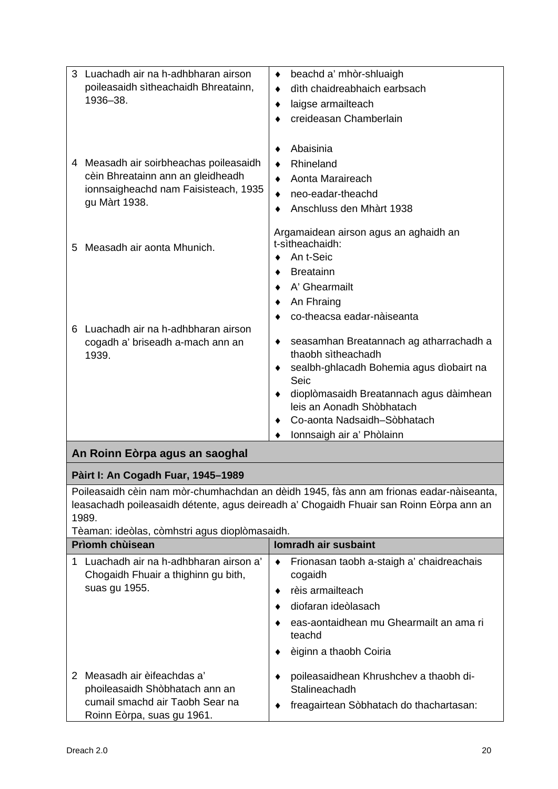| Luachadh air na h-adhbharan airson<br>poileasaidh sìtheachaidh Bhreatainn,<br>1936-38.                                                  | beachd a' mhòr-shluaigh<br>٠<br>dìth chaidreabhaich earbsach<br>٠<br>laigse armailteach<br>٠<br>creideasan Chamberlain                                                                                                                                                              |
|-----------------------------------------------------------------------------------------------------------------------------------------|-------------------------------------------------------------------------------------------------------------------------------------------------------------------------------------------------------------------------------------------------------------------------------------|
| Measadh air soirbheachas poileasaidh<br>4<br>cèin Bhreatainn ann an gleidheadh<br>ionnsaigheachd nam Faisisteach, 1935<br>gu Màrt 1938. | Abaisinia<br>Rhineland<br>$\bullet$<br>Aonta Maraireach<br>neo-eadar-theachd<br>Anschluss den Mhàrt 1938                                                                                                                                                                            |
| Measadh air aonta Mhunich.<br>5                                                                                                         | Argamaidean airson agus an aghaidh an<br>t-sìtheachaidh:<br>An t-Seic<br>٠<br><b>Breatainn</b><br>A' Ghearmailt<br>An Fhraing                                                                                                                                                       |
| Luachadh air na h-adhbharan airson<br>6<br>cogadh a' briseadh a-mach ann an<br>1939.                                                    | co-theacsa eadar-nàiseanta<br>seasamhan Breatannach ag atharrachadh a<br>thaobh sìtheachadh<br>sealbh-ghlacadh Bohemia agus dìobairt na<br>Seic<br>dioplòmasaidh Breatannach agus dàimhean<br>leis an Aonadh Shòbhatach<br>Co-aonta Nadsaidh-Sòbhatach<br>Ionnsaigh air a' Phòlainn |

## **Pàirt I: An Cogadh Fuar, 1945–1989**

Poileasaidh cèin nam mòr-chumhachdan an dèidh 1945, fàs ann am frionas eadar-nàiseanta, leasachadh poileasaidh détente, agus deireadh a' Chogaidh Fhuair san Roinn Eòrpa ann an 1989.

Tèaman: ideòlas, còmhstri agus dioplòmasaidh.

| <b>Prìomh chùisean</b>                                                                                                       | <b>Iomradh air susbaint</b>                                                                                                                                                    |
|------------------------------------------------------------------------------------------------------------------------------|--------------------------------------------------------------------------------------------------------------------------------------------------------------------------------|
| Luachadh air na h-adhbharan airson a'<br>Chogaidh Fhuair a thighinn gu bith,<br>suas gu 1955.                                | Frionasan taobh a-staigh a' chaidreachais<br>cogaidh<br>rèis armailteach<br>diofaran ideòlasach<br>eas-aontaidhean mu Ghearmailt an ama ri<br>teachd<br>èiginn a thaobh Coiria |
| Measadh air èifeachdas a'<br>phoileasaidh Shòbhatach ann an<br>cumail smachd air Taobh Sear na<br>Roinn Eòrpa, suas gu 1961. | poileasaidhean Khrushchev a thaobh di-<br>Stalineachadh<br>freagairtean Sòbhatach do thachartasan:<br>٠                                                                        |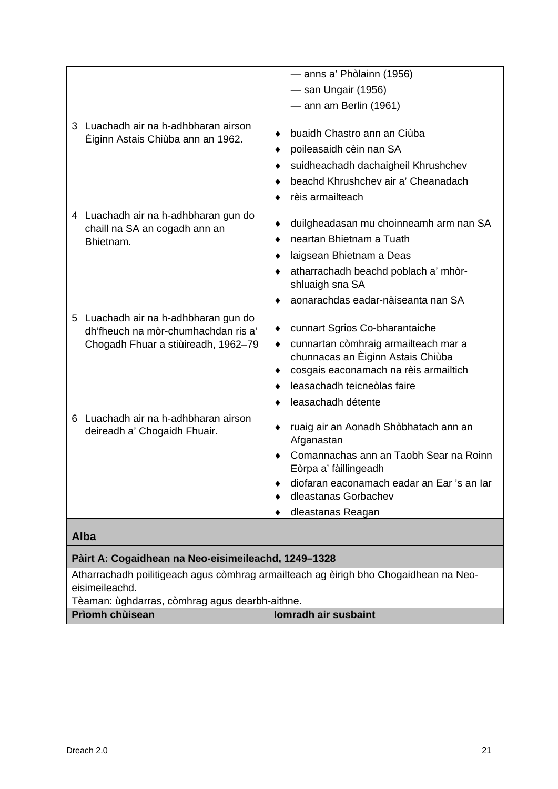|                                                                                    | — anns a' Phòlainn (1956)                                                                                                                                                                       |
|------------------------------------------------------------------------------------|-------------------------------------------------------------------------------------------------------------------------------------------------------------------------------------------------|
|                                                                                    | — san Ungair (1956)                                                                                                                                                                             |
|                                                                                    | $-$ ann am Berlin (1961)                                                                                                                                                                        |
| 3 Luachadh air na h-adhbharan airson                                               |                                                                                                                                                                                                 |
| Eiginn Astais Chiùba ann an 1962.                                                  | buaidh Chastro ann an Ciùba                                                                                                                                                                     |
|                                                                                    | poileasaidh cèin nan SA                                                                                                                                                                         |
|                                                                                    | suidheachadh dachaigheil Khrushchev<br>٠                                                                                                                                                        |
|                                                                                    | beachd Khrushchev air a' Cheanadach                                                                                                                                                             |
|                                                                                    | rèis armailteach                                                                                                                                                                                |
| 4 Luachadh air na h-adhbharan gun do<br>chaill na SA an cogadh ann an<br>Bhietnam. | duilgheadasan mu choinneamh arm nan SA<br>neartan Bhietnam a Tuath<br>laigsean Bhietnam a Deas<br>atharrachadh beachd poblach a' mhòr-<br>shluaigh sna SA<br>aonarachdas eadar-nàiseanta nan SA |
| Luachadh air na h-adhbharan gun do<br>5                                            |                                                                                                                                                                                                 |
| dh'fheuch na mòr-chumhachdan ris a'                                                | cunnart Sgrios Co-bharantaiche<br>٠                                                                                                                                                             |
| Chogadh Fhuar a stiùireadh, 1962-79                                                | cunnartan còmhraig armailteach mar a<br>٠                                                                                                                                                       |
|                                                                                    | chunnacas an Èiginn Astais Chiùba                                                                                                                                                               |
|                                                                                    | cosgais eaconamach na rèis armailtich<br>leasachadh teicneòlas faire                                                                                                                            |
|                                                                                    |                                                                                                                                                                                                 |
|                                                                                    | leasachadh détente                                                                                                                                                                              |
| Luachadh air na h-adhbharan airson<br>6<br>deireadh a' Chogaidh Fhuair.            | ruaig air an Aonadh Shòbhatach ann an<br>٠<br>Afganastan                                                                                                                                        |
|                                                                                    | Comannachas ann an Taobh Sear na Roinn<br>Eòrpa a' fàillingeadh                                                                                                                                 |
|                                                                                    | diofaran eaconamach eadar an Ear 's an Iar<br>dleastanas Gorbachev                                                                                                                              |
|                                                                                    | dleastanas Reagan                                                                                                                                                                               |
| <b>Alba</b>                                                                        |                                                                                                                                                                                                 |
|                                                                                    |                                                                                                                                                                                                 |
| Pàirt A: Cogaidhean na Neo-eisimeileachd, 1249-1328                                |                                                                                                                                                                                                 |

Atharrachadh poilitigeach agus còmhrag armailteach ag èirigh bho Chogaidhean na Neoeisimeileachd.

Tèaman: ùghdarras, còmhrag agus dearbh-aithne.

| Prìomh chùisean | Iomradh air susbaint |
|-----------------|----------------------|
|                 |                      |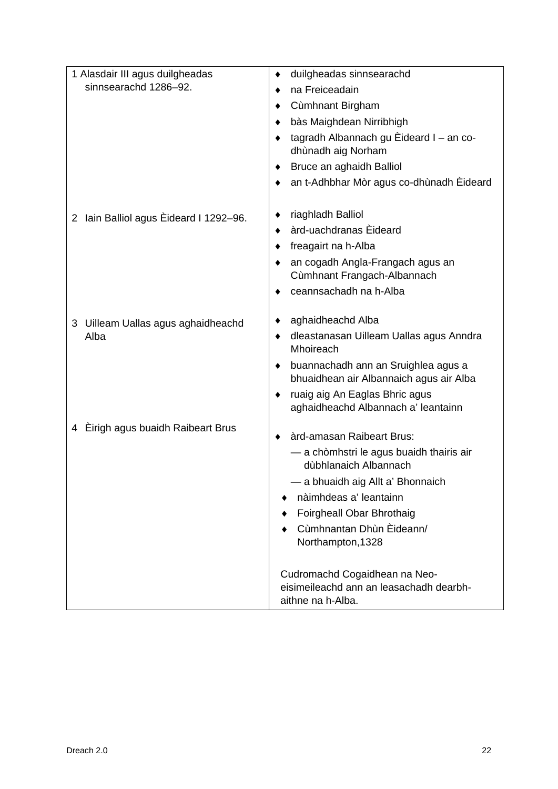| 1 Alasdair III agus duilgheadas        | duilgheadas sinnsearachd<br>٠                                                                 |
|----------------------------------------|-----------------------------------------------------------------------------------------------|
| sinnsearachd 1286-92.                  | na Freiceadain<br>٠                                                                           |
|                                        | Cùmhnant Birgham                                                                              |
|                                        | bàs Maighdean Nirribhigh                                                                      |
|                                        | tagradh Albannach gu Èideard I - an co-<br>dhùnadh aig Norham                                 |
|                                        | Bruce an aghaidh Balliol                                                                      |
|                                        | an t-Adhbhar Mòr agus co-dhùnadh Èideard                                                      |
|                                        |                                                                                               |
| 2 Iain Balliol agus Eideard I 1292-96. | riaghladh Balliol<br>٠                                                                        |
|                                        | àrd-uachdranas Èideard                                                                        |
|                                        | freagairt na h-Alba                                                                           |
|                                        | an cogadh Angla-Frangach agus an<br>Cùmhnant Frangach-Albannach                               |
|                                        | ceannsachadh na h-Alba                                                                        |
| 3 Uilleam Uallas agus aghaidheachd     | aghaidheachd Alba                                                                             |
| Alba                                   | dleastanasan Uilleam Uallas agus Anndra<br>٠<br>Mhoireach                                     |
|                                        | buannachadh ann an Sruighlea agus a<br>٠<br>bhuaidhean air Albannaich agus air Alba           |
|                                        | ruaig aig An Eaglas Bhric agus<br>aghaidheachd Albannach a' leantainn                         |
| 4 Eirigh agus buaidh Raibeart Brus     |                                                                                               |
|                                        | àrd-amasan Raibeart Brus:                                                                     |
|                                        | - a chòmhstri le agus buaidh thairis air<br>dùbhlanaich Albannach                             |
|                                        | — a bhuaidh aig Allt a' Bhonnaich                                                             |
|                                        | nàimhdeas a' leantainn                                                                        |
|                                        | Foirgheall Obar Bhrothaig                                                                     |
|                                        | Cùmhnantan Dhùn Èideann/<br>Northampton, 1328                                                 |
|                                        | Cudromachd Cogaidhean na Neo-<br>eisimeileachd ann an leasachadh dearbh-<br>aithne na h-Alba. |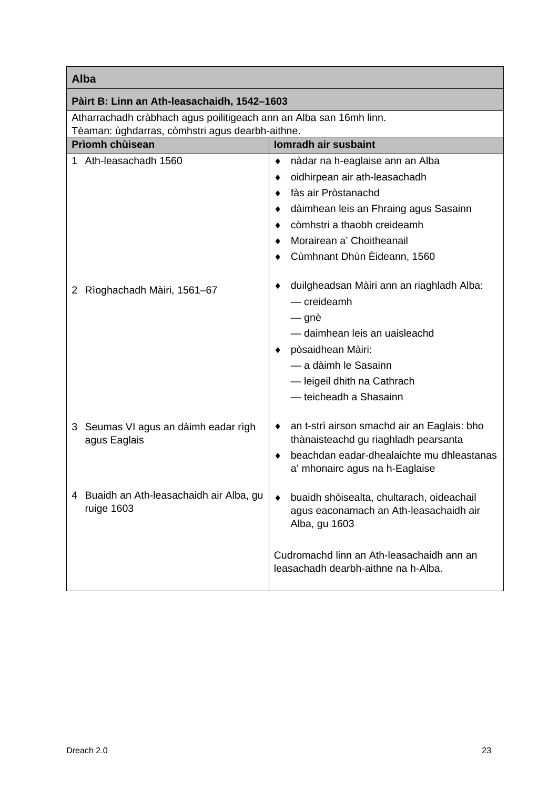| Alba                                                               |                                                                                                                                                                                                           |
|--------------------------------------------------------------------|-----------------------------------------------------------------------------------------------------------------------------------------------------------------------------------------------------------|
| Pàirt B: Linn an Ath-leasachaidh, 1542-1603                        |                                                                                                                                                                                                           |
| Atharrachadh cràbhach agus poilitigeach ann an Alba san 16mh linn. |                                                                                                                                                                                                           |
| Tèaman: ùghdarras, còmhstri agus dearbh-aithne.                    |                                                                                                                                                                                                           |
| Prìomh chùisean                                                    | <b>Iomradh air susbaint</b>                                                                                                                                                                               |
| 1 Ath-leasachadh 1560                                              | nàdar na h-eaglaise ann an Alba                                                                                                                                                                           |
|                                                                    | oidhirpean air ath-leasachadh<br>٠                                                                                                                                                                        |
|                                                                    | fàs air Pròstanachd                                                                                                                                                                                       |
|                                                                    | dàimhean leis an Fhraing agus Sasainn                                                                                                                                                                     |
|                                                                    | còmhstri a thaobh creideamh                                                                                                                                                                               |
|                                                                    | Morairean a' Choitheanail                                                                                                                                                                                 |
|                                                                    | Cùmhnant Dhùn Èideann, 1560                                                                                                                                                                               |
| Rìoghachadh Màiri, 1561-67<br>$\mathbf{2}^{\prime}$                | duilgheadsan Màiri ann an riaghladh Alba:<br>$-$ creideamh<br>— gnè<br>- daimhean leis an uaisleachd<br>pòsaidhean Màiri:<br>- a dàimh le Sasainn<br>-leigeil dhith na Cathrach<br>- teicheadh a Shasainn |
| 3 Seumas VI agus an dàimh eadar rìgh<br>agus Eaglais               | an t-strì airson smachd air an Eaglais: bho<br>٠<br>thànaisteachd gu riaghladh pearsanta<br>beachdan eadar-dhealaichte mu dhleastanas                                                                     |
|                                                                    | a' mhonairc agus na h-Eaglaise                                                                                                                                                                            |
| 4 Buaidh an Ath-leasachaidh air Alba, gu  <br>ruige 1603           | buaidh shòisealta, chultarach, oideachail<br>agus eaconamach an Ath-leasachaidh air<br>Alba, gu 1603                                                                                                      |
|                                                                    | Cudromachd linn an Ath-leasachaidh ann an<br>leasachadh dearbh-aithne na h-Alba.                                                                                                                          |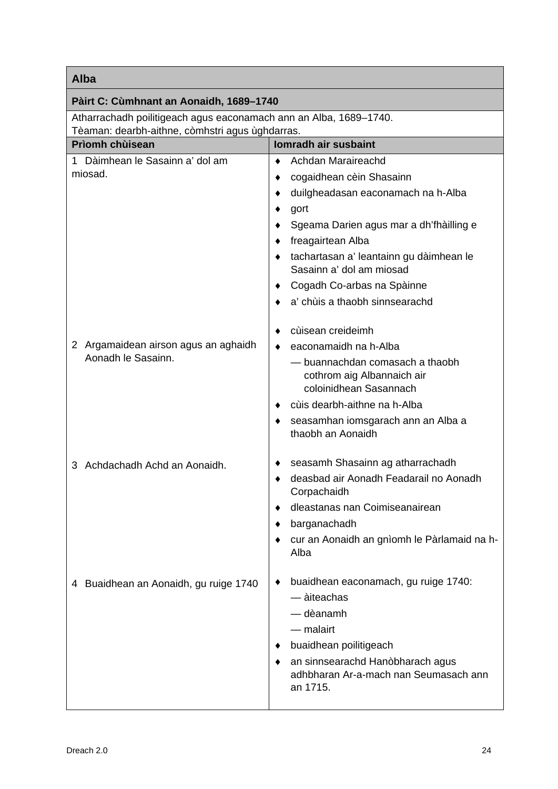## Г

| Alba                                                               |                                                                                                                                                                                          |
|--------------------------------------------------------------------|------------------------------------------------------------------------------------------------------------------------------------------------------------------------------------------|
| Pàirt C: Cùmhnant an Aonaidh, 1689-1740                            |                                                                                                                                                                                          |
| Atharrachadh poilitigeach agus eaconamach ann an Alba, 1689-1740.  |                                                                                                                                                                                          |
| Tèaman: dearbh-aithne, còmhstri agus ùghdarras.<br>Prìomh chùisean | <b>Iomradh air susbaint</b>                                                                                                                                                              |
| 1 Dàimhean le Sasainn a' dol am                                    | Achdan Maraireachd                                                                                                                                                                       |
| miosad.                                                            | cogaidhean cèin Shasainn                                                                                                                                                                 |
|                                                                    | duilgheadasan eaconamach na h-Alba                                                                                                                                                       |
|                                                                    | gort<br>٠                                                                                                                                                                                |
|                                                                    | Sgeama Darien agus mar a dh'fhàilling e                                                                                                                                                  |
|                                                                    | freagairtean Alba<br>٠                                                                                                                                                                   |
|                                                                    | tachartasan a' leantainn gu dàimhean le<br>Sasainn a' dol am miosad                                                                                                                      |
|                                                                    | Cogadh Co-arbas na Spàinne                                                                                                                                                               |
|                                                                    | a' chùis a thaobh sinnsearachd                                                                                                                                                           |
|                                                                    | cùisean creideimh                                                                                                                                                                        |
| 2 Argamaidean airson agus an aghaidh                               | eaconamaidh na h-Alba                                                                                                                                                                    |
| Aonadh le Sasainn.                                                 | — buannachdan comasach a thaobh<br>cothrom aig Albannaich air<br>coloinidhean Sasannach                                                                                                  |
|                                                                    | cùis dearbh-aithne na h-Alba                                                                                                                                                             |
|                                                                    | seasamhan iomsgarach ann an Alba a<br>thaobh an Aonaidh                                                                                                                                  |
| 3 Achdachadh Achd an Aonaidh.                                      | seasamh Shasainn ag atharrachadh                                                                                                                                                         |
|                                                                    | deasbad air Aonadh Feadarail no Aonadh<br>Corpachaidh                                                                                                                                    |
|                                                                    | dleastanas nan Coimiseanairean                                                                                                                                                           |
|                                                                    | barganachadh                                                                                                                                                                             |
|                                                                    | cur an Aonaidh an gnìomh le Pàrlamaid na h-<br>Alba                                                                                                                                      |
| 4 Buaidhean an Aonaidh, gu ruige 1740                              | buaidhean eaconamach, gu ruige 1740:<br>$-$ àiteachas<br>— dèanamh<br>$-$ malairt<br>buaidhean poilitigeach<br>an sinnsearachd Hanòbharach agus<br>adhbharan Ar-a-mach nan Seumasach ann |
|                                                                    | an 1715.                                                                                                                                                                                 |

٦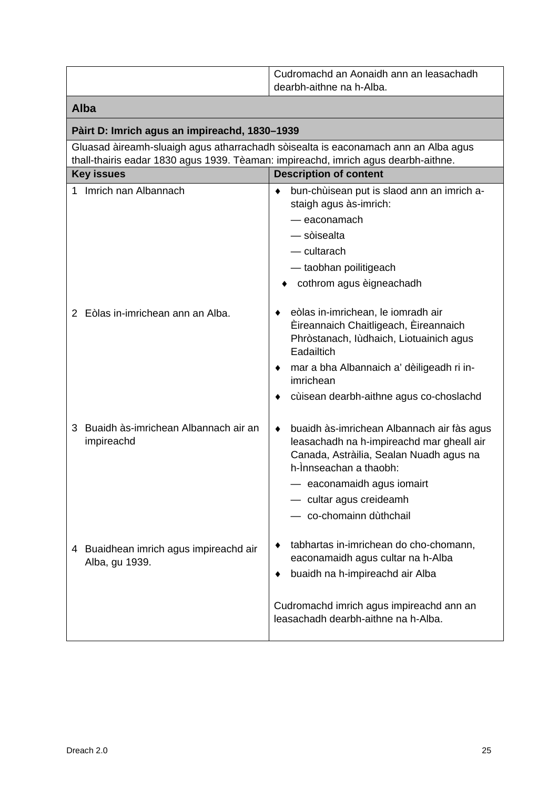|                                                                                                         | Cudromachd an Aonaidh ann an leasachadh<br>dearbh-aithne na h-Alba.                                                                                                                                                                            |
|---------------------------------------------------------------------------------------------------------|------------------------------------------------------------------------------------------------------------------------------------------------------------------------------------------------------------------------------------------------|
| <b>Alba</b>                                                                                             |                                                                                                                                                                                                                                                |
| Pàirt D: Imrich agus an impireachd, 1830-1939                                                           |                                                                                                                                                                                                                                                |
|                                                                                                         | Gluasad àireamh-sluaigh agus atharrachadh sòisealta is eaconamach ann an Alba agus                                                                                                                                                             |
| thall-thairis eadar 1830 agus 1939. Tèaman: impireachd, imrich agus dearbh-aithne.<br><b>Key issues</b> | <b>Description of content</b>                                                                                                                                                                                                                  |
| Imrich nan Albannach                                                                                    | bun-chùisean put is slaod ann an imrich a-<br>٠<br>staigh agus às-imrich:<br>— eaconamach<br>— sòisealta<br>$-$ cultarach<br>- taobhan poilitigeach<br>cothrom agus èigneachadh                                                                |
| 2 Eòlas in-imrichean ann an Alba.                                                                       | eòlas in-imrichean, le iomradh air<br>Èireannaich Chaitligeach, Èireannaich<br>Phròstanach, Iùdhaich, Liotuainich agus<br>Eadailtich<br>mar a bha Albannaich a' dèiligeadh ri in-<br>imrichean<br>cùisean dearbh-aithne agus co-choslachd      |
| Buaidh às-imrichean Albannach air an<br>3<br>impireachd                                                 | buaidh às-imrichean Albannach air fàs agus<br>leasachadh na h-impireachd mar gheall air<br>Canada, Astràilia, Sealan Nuadh agus na<br>h-Ìnnseachan a thaobh:<br>- eaconamaidh agus iomairt<br>- cultar agus creideamh<br>co-chomainn dùthchail |
| 4 Buaidhean imrich agus impireachd air<br>Alba, gu 1939.                                                | tabhartas in-imrichean do cho-chomann,<br>eaconamaidh agus cultar na h-Alba<br>buaidh na h-impireachd air Alba<br>Cudromachd imrich agus impireachd ann an<br>leasachadh dearbh-aithne na h-Alba.                                              |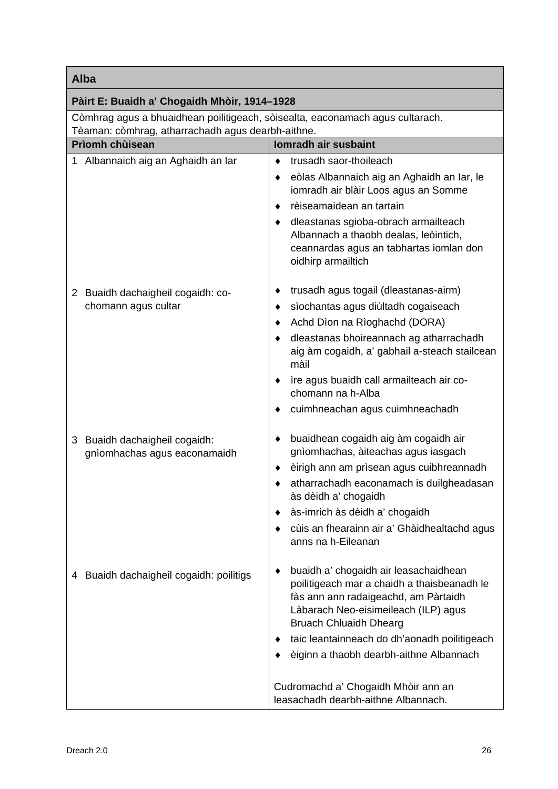## **Alba**

| <b>Alba</b>                                                                   |                                                                                                                                                                                                       |
|-------------------------------------------------------------------------------|-------------------------------------------------------------------------------------------------------------------------------------------------------------------------------------------------------|
| Pàirt E: Buaidh a' Chogaidh Mhòir, 1914-1928                                  |                                                                                                                                                                                                       |
| Còmhrag agus a bhuaidhean poilitigeach, sòisealta, eaconamach agus cultarach. |                                                                                                                                                                                                       |
| Tèaman: còmhrag, atharrachadh agus dearbh-aithne.                             |                                                                                                                                                                                                       |
| Prìomh chùisean                                                               | Iomradh air susbaint                                                                                                                                                                                  |
| 1 Albannaich aig an Aghaidh an Iar                                            | trusadh saor-thoileach<br>٠<br>eòlas Albannaich aig an Aghaidh an Iar, le<br>iomradh air blàir Loos agus an Somme<br>rèiseamaidean an tartain<br>٠<br>dleastanas sgioba-obrach armailteach<br>٠       |
|                                                                               | Albannach a thaobh dealas, leòintich,<br>ceannardas agus an tabhartas iomlan don<br>oidhirp armailtich                                                                                                |
| 2 Buaidh dachaigheil cogaidh: co-                                             | trusadh agus togail (dleastanas-airm)<br>٠                                                                                                                                                            |
| chomann agus cultar                                                           | sìochantas agus diùltadh cogaiseach<br>٠                                                                                                                                                              |
|                                                                               | Achd Dìon na Rìoghachd (DORA)                                                                                                                                                                         |
|                                                                               | dleastanas bhoireannach ag atharrachadh<br>aig àm cogaidh, a' gabhail a-steach stailcean<br>màil                                                                                                      |
|                                                                               | ìre agus buaidh call armailteach air co-<br>٠<br>chomann na h-Alba                                                                                                                                    |
|                                                                               | cuimhneachan agus cuimhneachadh                                                                                                                                                                       |
| 3 Buaidh dachaigheil cogaidh:<br>gnìomhachas agus eaconamaidh                 | buaidhean cogaidh aig àm cogaidh air<br>gnìomhachas, àiteachas agus iasgach                                                                                                                           |
|                                                                               | èirigh ann am prìsean agus cuibhreannadh<br>٠                                                                                                                                                         |
|                                                                               | atharrachadh eaconamach is duilgheadasan<br>às dèidh a' chogaidh                                                                                                                                      |
|                                                                               | às-imrich às dèidh a' chogaidh                                                                                                                                                                        |
|                                                                               | cùis an fhearainn air a' Ghàidhealtachd agus<br>anns na h-Eileanan                                                                                                                                    |
| Buaidh dachaigheil cogaidh: poilitigs<br>4                                    | buaidh a' chogaidh air leasachaidhean<br>poilitigeach mar a chaidh a thaisbeanadh le<br>fàs ann ann radaigeachd, am Pàrtaidh<br>Làbarach Neo-eisimeileach (ILP) agus<br><b>Bruach Chluaidh Dhearg</b> |
|                                                                               | taic leantainneach do dh'aonadh poilitigeach                                                                                                                                                          |
|                                                                               | èiginn a thaobh dearbh-aithne Albannach                                                                                                                                                               |
|                                                                               | Cudromachd a' Chogaidh Mhòir ann an<br>leasachadh dearbh-aithne Albannach.                                                                                                                            |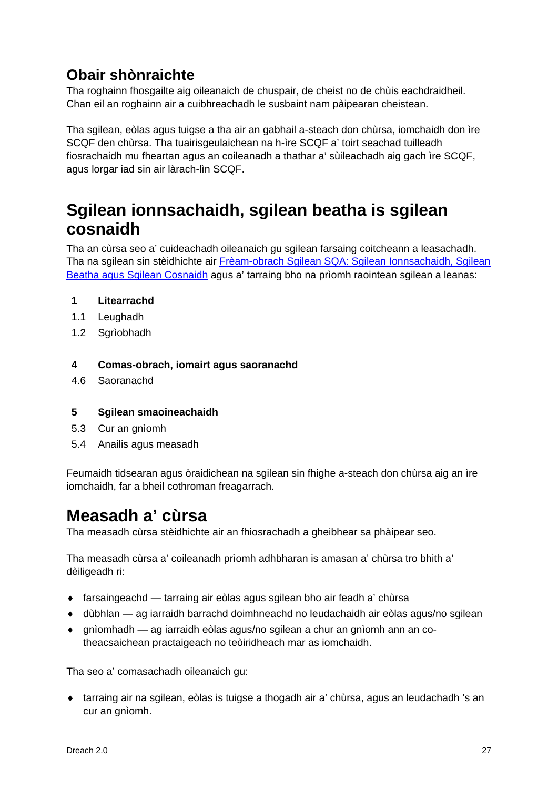## **Obair shònraichte**

Tha roghainn fhosgailte aig oileanaich de chuspair, de cheist no de chùis eachdraidheil. Chan eil an roghainn air a cuibhreachadh le susbaint nam pàipearan cheistean.

Tha sgilean, eòlas agus tuigse a tha air an gabhail a-steach don chùrsa, iomchaidh don ìre SCQF den chùrsa. Tha tuairisgeulaichean na h-ìre SCQF a' toirt seachad tuilleadh fiosrachaidh mu fheartan agus an coileanadh a thathar a' sùileachadh aig gach ìre SCQF, agus lorgar iad sin air làrach-lìn SCQF.

## <span id="page-28-0"></span>**Sgilean ionnsachaidh, sgilean beatha is sgilean cosnaidh**

Tha an cùrsa seo a' cuideachadh oileanaich gu sgilean farsaing coitcheann a leasachadh. Tha na sgilean sin stèidhichte air [Frèam-obrach Sgilean SQA: Sgilean Ionnsachaidh, Sgilean](http://www.sqa.org.uk/sqa/63101.html)  Beatha [agus Sgilean Cosnaidh](http://www.sqa.org.uk/sqa/63101.html) agus a' tarraing bho na prìomh raointean sgilean a leanas:

## **1 Litearrachd**

- 1.1 Leughadh
- 1.2 Sgrìobhadh

### **4 Comas-obrach, iomairt agus saoranachd**

4.6 Saoranachd

### **5 Sgilean smaoineachaidh**

- 5.3 Cur an gnìomh
- 5.4 Anailis agus measadh

Feumaidh tidsearan agus òraidichean na sgilean sin fhighe a-steach don chùrsa aig an ìre iomchaidh, far a bheil cothroman freagarrach.

## **Measadh a' cùrsa**

Tha measadh cùrsa stèidhichte air an fhiosrachadh a gheibhear sa phàipear seo.

Tha measadh cùrsa a' coileanadh prìomh adhbharan is amasan a' chùrsa tro bhith a' dèiligeadh ri:

- ♦ farsaingeachd tarraing air eòlas agus sgilean bho air feadh a' chùrsa
- ♦ dùbhlan ag iarraidh barrachd doimhneachd no leudachaidh air eòlas agus/no sgilean
- ♦ gnìomhadh ag iarraidh eòlas agus/no sgilean a chur an gnìomh ann an cotheacsaichean practaigeach no teòiridheach mar as iomchaidh.

Tha seo a' comasachadh oileanaich gu:

♦ tarraing air na sgilean, eòlas is tuigse a thogadh air a' chùrsa, agus an leudachadh 's an cur an gnìomh.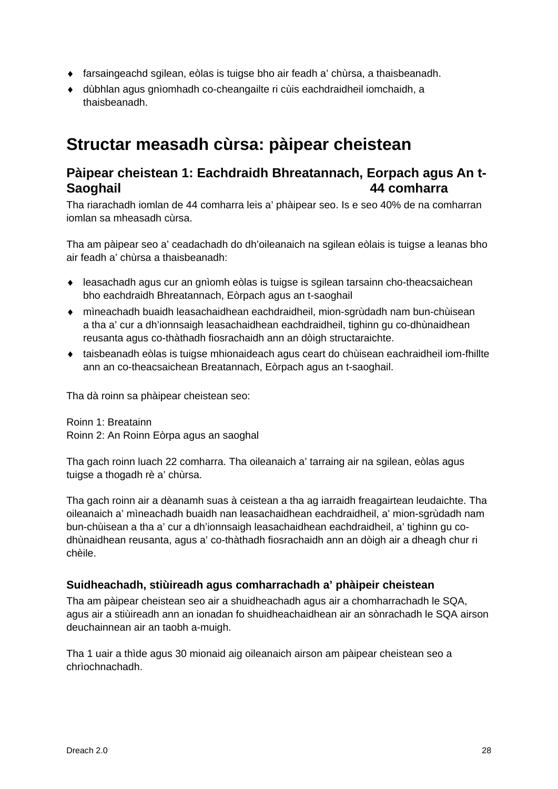- ♦ farsaingeachd sgilean, eòlas is tuigse bho air feadh a' chùrsa, a thaisbeanadh.
- ♦ dùbhlan agus gnìomhadh co-cheangailte ri cùis eachdraidheil iomchaidh, a thaisbeanadh.

## <span id="page-29-0"></span>**Structar measadh cùrsa: pàipear cheistean**

## **Pàipear cheistean 1: Eachdraidh Bhreatannach, Eorpach agus An t-Saoghail 44 comharra**

Tha riarachadh iomlan de 44 comharra leis a' phàipear seo. Is e seo 40% de na comharran iomlan sa mheasadh cùrsa.

Tha am pàipear seo a' ceadachadh do dh'oileanaich na sgilean eòlais is tuigse a leanas bho air feadh a' chùrsa a thaisbeanadh:

- ♦ leasachadh agus cur an gnìomh eòlas is tuigse is sgilean tarsainn cho-theacsaichean bho eachdraidh Bhreatannach, Eòrpach agus an t-saoghail
- ♦ mìneachadh buaidh leasachaidhean eachdraidheil, mion-sgrùdadh nam bun-chùisean a tha a' cur a dh'ionnsaigh leasachaidhean eachdraidheil, tighinn gu co-dhùnaidhean reusanta agus co-thàthadh fiosrachaidh ann an dòigh structaraichte.
- ♦ taisbeanadh eòlas is tuigse mhionaideach agus ceart do chùisean eachraidheil iom-fhillte ann an co-theacsaichean Breatannach, Eòrpach agus an t-saoghail.

Tha dà roinn sa phàipear cheistean seo:

Roinn 1: Breatainn Roinn 2: An Roinn Eòrpa agus an saoghal

Tha gach roinn luach 22 comharra. Tha oileanaich a' tarraing air na sgilean, eòlas agus tuigse a thogadh rè a' chùrsa.

Tha gach roinn air a dèanamh suas à ceistean a tha ag iarraidh freagairtean leudaichte. Tha oileanaich a' mìneachadh buaidh nan leasachaidhean eachdraidheil, a' mion-sgrùdadh nam bun-chùisean a tha a' cur a dh'ionnsaigh leasachaidhean eachdraidheil, a' tighinn gu codhùnaidhean reusanta, agus a' co-thàthadh fiosrachaidh ann an dòigh air a dheagh chur ri chèile.

### **Suidheachadh, stiùireadh agus comharrachadh a' phàipeir cheistean**

Tha am pàipear cheistean seo air a shuidheachadh agus air a chomharrachadh le SQA, agus air a stiùireadh ann an ionadan fo shuidheachaidhean air an sònrachadh le SQA airson deuchainnean air an taobh a-muigh.

Tha 1 uair a thìde agus 30 mionaid aig oileanaich airson am pàipear cheistean seo a chrìochnachadh.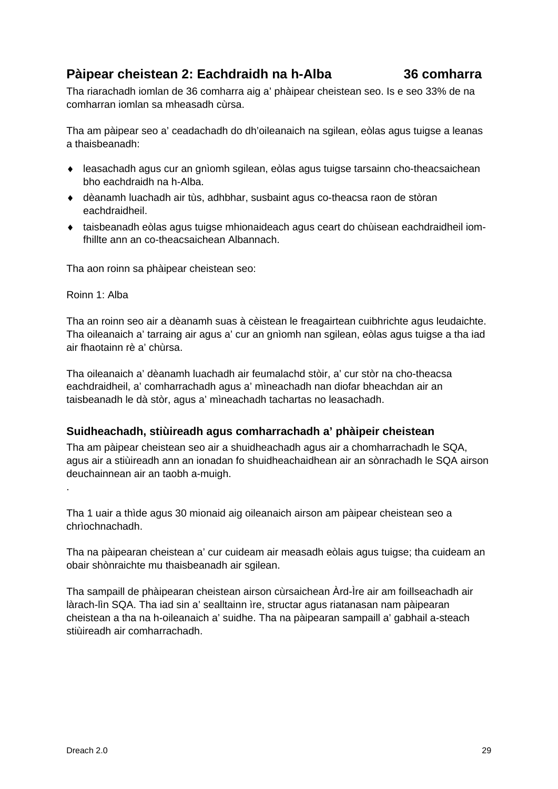## **Pàipear cheistean 2: Eachdraidh na h-Alba 36 comharra**

Tha riarachadh iomlan de 36 comharra aig a' phàipear cheistean seo. Is e seo 33% de na comharran iomlan sa mheasadh cùrsa.

Tha am pàipear seo a' ceadachadh do dh'oileanaich na sgilean, eòlas agus tuigse a leanas a thaisbeanadh:

- ♦ leasachadh agus cur an gnìomh sgilean, eòlas agus tuigse tarsainn cho-theacsaichean bho eachdraidh na h-Alba.
- ♦ dèanamh luachadh air tùs, adhbhar, susbaint agus co-theacsa raon de stòran eachdraidheil.
- ♦ taisbeanadh eòlas agus tuigse mhionaideach agus ceart do chùisean eachdraidheil iomfhillte ann an co-theacsaichean Albannach.

Tha aon roinn sa phàipear cheistean seo:

Roinn 1: Alba

.

Tha an roinn seo air a dèanamh suas à cèistean le freagairtean cuibhrichte agus leudaichte. Tha oileanaich a' tarraing air agus a' cur an gnìomh nan sgilean, eòlas agus tuigse a tha iad air fhaotainn rè a' chùrsa.

Tha oileanaich a' dèanamh luachadh air feumalachd stòir, a' cur stòr na cho-theacsa eachdraidheil, a' comharrachadh agus a' mìneachadh nan diofar bheachdan air an taisbeanadh le dà stòr, agus a' mìneachadh tachartas no leasachadh.

## **Suidheachadh, stiùireadh agus comharrachadh a' phàipeir cheistean**

Tha am pàipear cheistean seo air a shuidheachadh agus air a chomharrachadh le SQA, agus air a stiùireadh ann an ionadan fo shuidheachaidhean air an sònrachadh le SQA airson deuchainnean air an taobh a-muigh.

Tha 1 uair a thìde agus 30 mionaid aig oileanaich airson am pàipear cheistean seo a chrìochnachadh.

Tha na pàipearan cheistean a' cur cuideam air measadh eòlais agus tuigse; tha cuideam an obair shònraichte mu thaisbeanadh air sgilean.

Tha sampaill de phàipearan cheistean airson cùrsaichean Àrd-Ìre air am foillseachadh air làrach-lìn SQA. Tha iad sin a' sealltainn ìre, structar agus riatanasan nam pàipearan cheistean a tha na h-oileanaich a' suidhe. Tha na pàipearan sampaill a' gabhail a-steach stiùireadh air comharrachadh.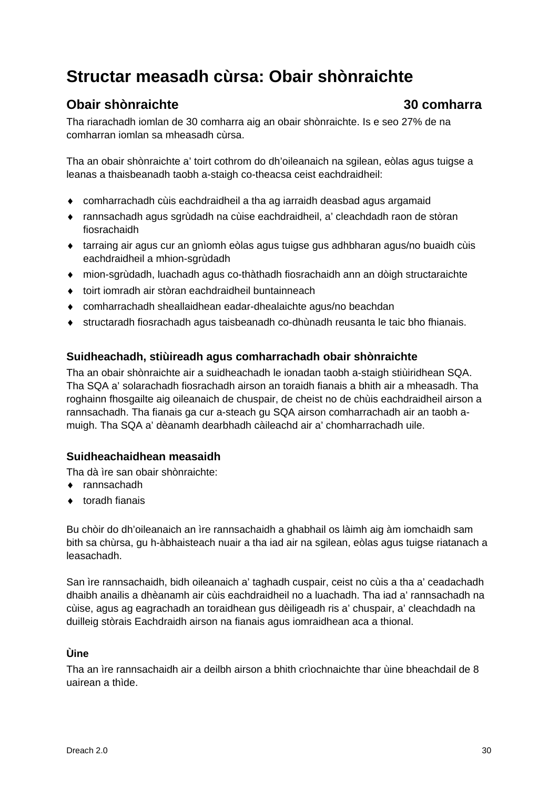## **Structar measadh cùrsa: Obair shònraichte**

## **Obair shònraichte 30 comharra**

Tha riarachadh iomlan de 30 comharra aig an obair shònraichte. Is e seo 27% de na comharran iomlan sa mheasadh cùrsa.

Tha an obair shònraichte a' toirt cothrom do dh'oileanaich na sgilean, eòlas agus tuigse a leanas a thaisbeanadh taobh a-staigh co-theacsa ceist eachdraidheil:

- ♦ comharrachadh cùis eachdraidheil a tha ag iarraidh deasbad agus argamaid
- ♦ rannsachadh agus sgrùdadh na cùise eachdraidheil, a' cleachdadh raon de stòran fiosrachaidh
- ♦ tarraing air agus cur an gnìomh eòlas agus tuigse gus adhbharan agus/no buaidh cùis eachdraidheil a mhion-sgrùdadh
- ♦ mion-sgrùdadh, luachadh agus co-thàthadh fiosrachaidh ann an dòigh structaraichte
- ♦ toirt iomradh air stòran eachdraidheil buntainneach
- ♦ comharrachadh sheallaidhean eadar-dhealaichte agus/no beachdan
- ♦ structaradh fiosrachadh agus taisbeanadh co-dhùnadh reusanta le taic bho fhianais.

## **Suidheachadh, stiùireadh agus comharrachadh obair shònraichte**

Tha an obair shònraichte air a suidheachadh le ionadan taobh a-staigh stiùiridhean SQA. Tha SQA a' solarachadh fiosrachadh airson an toraidh fianais a bhith air a mheasadh. Tha roghainn fhosgailte aig oileanaich de chuspair, de cheist no de chùis eachdraidheil airson a rannsachadh. Tha fianais ga cur a-steach gu SQA airson comharrachadh air an taobh amuigh. Tha SQA a' dèanamh dearbhadh càileachd air a' chomharrachadh uile.

## **Suidheachaidhean measaidh**

Tha dà ìre san obair shònraichte:

- ♦ rannsachadh
- ♦ toradh fianais

Bu chòir do dh'oileanaich an ìre rannsachaidh a ghabhail os làimh aig àm iomchaidh sam bith sa chùrsa, gu h-àbhaisteach nuair a tha iad air na sgilean, eòlas agus tuigse riatanach a leasachadh.

San ìre rannsachaidh, bidh oileanaich a' taghadh cuspair, ceist no cùis a tha a' ceadachadh dhaibh anailis a dhèanamh air cùis eachdraidheil no a luachadh. Tha iad a' rannsachadh na cùise, agus ag eagrachadh an toraidhean gus dèiligeadh ris a' chuspair, a' cleachdadh na duilleig stòrais Eachdraidh airson na fianais agus iomraidhean aca a thional.

### **Ùine**

Tha an ìre rannsachaidh air a deilbh airson a bhith crìochnaichte thar ùine bheachdail de 8 uairean a thìde.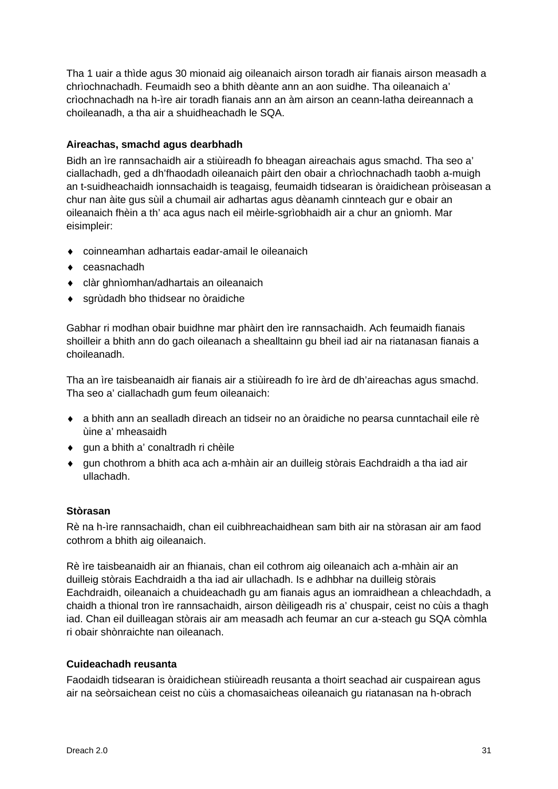Tha 1 uair a thìde agus 30 mionaid aig oileanaich airson toradh air fianais airson measadh a chrìochnachadh. Feumaidh seo a bhith dèante ann an aon suidhe. Tha oileanaich a' crìochnachadh na h-ìre air toradh fianais ann an àm airson an ceann-latha deireannach a choileanadh, a tha air a shuidheachadh le SQA.

### **Aireachas, smachd agus dearbhadh**

Bidh an ìre rannsachaidh air a stiùireadh fo bheagan aireachais agus smachd. Tha seo a' ciallachadh, ged a dh'fhaodadh oileanaich pàirt den obair a chrìochnachadh taobh a-muigh an t-suidheachaidh ionnsachaidh is teagaisg, feumaidh tidsearan is òraidichean pròiseasan a chur nan àite gus sùil a chumail air adhartas agus dèanamh cinnteach gur e obair an oileanaich fhèin a th' aca agus nach eil mèirle-sgrìobhaidh air a chur an gnìomh. Mar eisimpleir:

- ♦ coinneamhan adhartais eadar-amail le oileanaich
- ♦ ceasnachadh
- ♦ clàr ghnìomhan/adhartais an oileanaich
- ♦ sgrùdadh bho thidsear no òraidiche

Gabhar ri modhan obair buidhne mar phàirt den ìre rannsachaidh. Ach feumaidh fianais shoilleir a bhith ann do gach oileanach a shealltainn gu bheil iad air na riatanasan fianais a choileanadh.

Tha an ìre taisbeanaidh air fianais air a stiùireadh fo ìre àrd de dh'aireachas agus smachd. Tha seo a' ciallachadh gum feum oileanaich:

- ♦ a bhith ann an sealladh dìreach an tidseir no an òraidiche no pearsa cunntachail eile rè ùine a' mheasaidh
- ♦ gun a bhith a' conaltradh ri chèile
- ♦ gun chothrom a bhith aca ach a-mhàin air an duilleig stòrais Eachdraidh a tha iad air ullachadh.

### **Stòrasan**

Rè na h-ìre rannsachaidh, chan eil cuibhreachaidhean sam bith air na stòrasan air am faod cothrom a bhith aig oileanaich.

Rè ìre taisbeanaidh air an fhianais, chan eil cothrom aig oileanaich ach a-mhàin air an duilleig stòrais Eachdraidh a tha iad air ullachadh. Is e adhbhar na duilleig stòrais Eachdraidh, oileanaich a chuideachadh gu am fianais agus an iomraidhean a chleachdadh, a chaidh a thional tron ìre rannsachaidh, airson dèiligeadh ris a' chuspair, ceist no cùis a thagh iad. Chan eil duilleagan stòrais air am measadh ach feumar an cur a-steach gu SQA còmhla ri obair shònraichte nan oileanach.

### **Cuideachadh reusanta**

Faodaidh tidsearan is òraidichean stiùireadh reusanta a thoirt seachad air cuspairean agus air na seòrsaichean ceist no cùis a chomasaicheas oileanaich gu riatanasan na h-obrach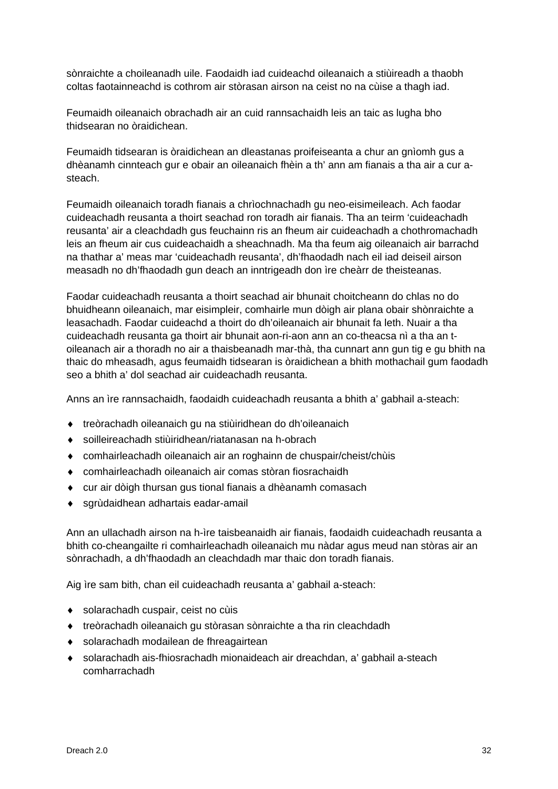sònraichte a choileanadh uile. Faodaidh iad cuideachd oileanaich a stiùireadh a thaobh coltas faotainneachd is cothrom air stòrasan airson na ceist no na cùise a thagh iad.

Feumaidh oileanaich obrachadh air an cuid rannsachaidh leis an taic as lugha bho thidsearan no òraidichean.

Feumaidh tidsearan is òraidichean an dleastanas proifeiseanta a chur an gnìomh gus a dhèanamh cinnteach gur e obair an oileanaich fhèin a th' ann am fianais a tha air a cur asteach.

Feumaidh oileanaich toradh fianais a chrìochnachadh gu neo-eisimeileach. Ach faodar cuideachadh reusanta a thoirt seachad ron toradh air fianais. Tha an teirm 'cuideachadh reusanta' air a cleachdadh gus feuchainn ris an fheum air cuideachadh a chothromachadh leis an fheum air cus cuideachaidh a sheachnadh. Ma tha feum aig oileanaich air barrachd na thathar a' meas mar 'cuideachadh reusanta', dh'fhaodadh nach eil iad deiseil airson measadh no dh'fhaodadh gun deach an inntrigeadh don ìre cheàrr de theisteanas.

Faodar cuideachadh reusanta a thoirt seachad air bhunait choitcheann do chlas no do bhuidheann oileanaich, mar eisimpleir, comhairle mun dòigh air plana obair shònraichte a leasachadh. Faodar cuideachd a thoirt do dh'oileanaich air bhunait fa leth. Nuair a tha cuideachadh reusanta ga thoirt air bhunait aon-ri-aon ann an co-theacsa nì a tha an toileanach air a thoradh no air a thaisbeanadh mar-thà, tha cunnart ann gun tig e gu bhith na thaic do mheasadh, agus feumaidh tidsearan is òraidichean a bhith mothachail gum faodadh seo a bhith a' dol seachad air cuideachadh reusanta.

Anns an ìre rannsachaidh, faodaidh cuideachadh reusanta a bhith a' gabhail a-steach:

- ♦ treòrachadh oileanaich gu na stiùiridhean do dh'oileanaich
- ♦ soilleireachadh stiùiridhean/riatanasan na h-obrach
- ♦ comhairleachadh oileanaich air an roghainn de chuspair/cheist/chùis
- ♦ comhairleachadh oileanaich air comas stòran fiosrachaidh
- ♦ cur air dòigh thursan gus tional fianais a dhèanamh comasach
- ♦ sgrùdaidhean adhartais eadar-amail

Ann an ullachadh airson na h-ìre taisbeanaidh air fianais, faodaidh cuideachadh reusanta a bhith co-cheangailte ri comhairleachadh oileanaich mu nàdar agus meud nan stòras air an sònrachadh, a dh'fhaodadh an cleachdadh mar thaic don toradh fianais.

Aig ìre sam bith, chan eil cuideachadh reusanta a' gabhail a-steach:

- ♦ solarachadh cuspair, ceist no cùis
- ♦ treòrachadh oileanaich gu stòrasan sònraichte a tha rin cleachdadh
- ♦ solarachadh modailean de fhreagairtean
- ♦ solarachadh ais-fhiosrachadh mionaideach air dreachdan, a' gabhail a-steach comharrachadh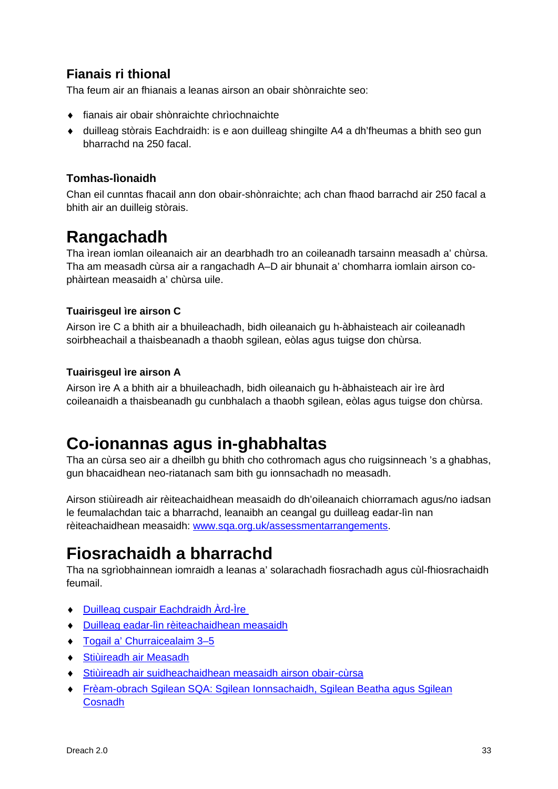## **Fianais ri thional**

Tha feum air an fhianais a leanas airson an obair shònraichte seo:

- ♦ fianais air obair shònraichte chrìochnaichte
- ♦ duilleag stòrais Eachdraidh: is e aon duilleag shingilte A4 a dh'fheumas a bhith seo gun bharrachd na 250 facal.

## **Tomhas-lìonaidh**

Chan eil cunntas fhacail ann don obair-shònraichte; ach chan fhaod barrachd air 250 facal a bhith air an duilleig stòrais.

## **Rangachadh**

Tha ìrean iomlan oileanaich air an dearbhadh tro an coileanadh tarsainn measadh a' chùrsa. Tha am measadh cùrsa air a rangachadh A–D air bhunait a' chomharra iomlain airson cophàirtean measaidh a' chùrsa uile.

## **Tuairisgeul ìre airson C**

Airson ìre C a bhith air a bhuileachadh, bidh oileanaich gu h-àbhaisteach air coileanadh soirbheachail a thaisbeanadh a thaobh sgilean, eòlas agus tuigse don chùrsa.

## **Tuairisgeul ìre airson A**

Airson ìre A a bhith air a bhuileachadh, bidh oileanaich gu h-àbhaisteach air ìre àrd coileanaidh a thaisbeanadh gu cunbhalach a thaobh sgilean, eòlas agus tuigse don chùrsa.

## **Co-ionannas agus in-ghabhaltas**

Tha an cùrsa seo air a dheilbh gu bhith cho cothromach agus cho ruigsinneach 's a ghabhas, gun bhacaidhean neo-riatanach sam bith gu ionnsachadh no measadh.

Airson stiùireadh air rèiteachaidhean measaidh do dh'oileanaich chiorramach agus/no iadsan le feumalachdan taic a bharrachd, leanaibh an ceangal gu duilleag eadar-lìn nan rèiteachaidhean measaidh: [www.sqa.org.uk/assessmentarrangements.](http://www.sqa.org.uk/assessmentarrangements)

## <span id="page-34-0"></span>**Fiosrachaidh a bharrachd**

Tha na sgrìobhainnean iomraidh a leanas a' solarachadh fiosrachadh agus cùl-fhiosrachaidh feumail.

- ♦ [Duilleag cuspair Eachdraidh Àrd-Ìre](http://www.sqa.org.uk/sqa/47923.html)
- ♦ [Duilleag eadar-lìn rèiteachaidhean measaidh](http://www.sqa.org.uk/assessmentarrangements)
- ♦ [Togail a' Churraicealaim 3–5](https://www.education.gov.scot/scottish-education-system/policy-for-scottish-education/policy-drivers/cfe-(building-from-the-statement-appendix-incl-btc1-5)/Building%20the%20Curriculum)
- ♦ [Stiùireadh air Measadh](http://www.sqa.org.uk/sqa/2424.html)
- ♦ [Stiùireadh air suidheachaidhean measaidh airson obair-cùrsa](http://www.sqa.org.uk/sqa/files_ccc/Guidance_on_conditions_of_assessment_for_coursework.pdf)
- ♦ Frèam-obrach Sgilean SQA: [Sgilean Ionnsachaidh, Sgilean Beatha agus](http://www.sqa.org.uk/sqa/63101.html) Sgilean [Cosnadh](http://www.sqa.org.uk/sqa/63101.html)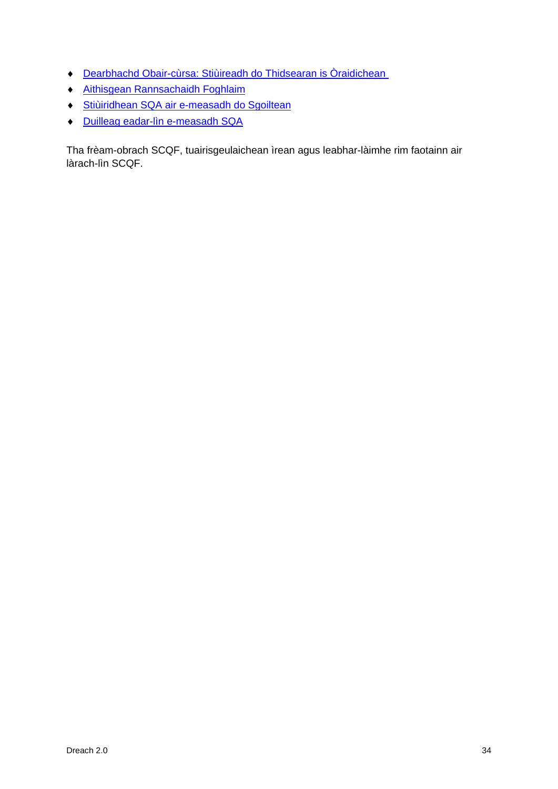- ♦ [Dearbhachd Obair-cùrsa: Stiùireadh do Thidsearan is Òraidichean](http://www.sqa.org.uk/sqa/1418.html)
- ♦ [Aithisgean Rannsachaidh Foghlaim](http://www.sqa.org.uk/sqa/35847.958.html)
- ♦ Stiùiridhean SQA air [e-measadh do Sgoiltean](http://www.sqa.org.uk/sqa/2424.html)
- ♦ Duilleag eadar-lìn e-measadh SQA

Tha frèam-obrach SCQF, tuairisgeulaichean ìrean agus leabhar-làimhe rim faotainn air làrach-lìn SCQF.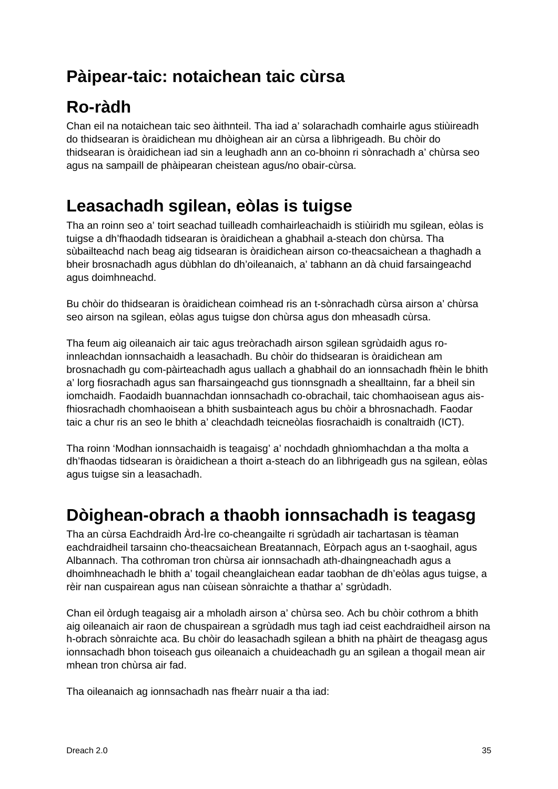## <span id="page-36-0"></span>**Pàipear-taic: notaichean taic cùrsa**

## **Ro-ràdh**

Chan eil na notaichean taic seo àithnteil. Tha iad a' solarachadh comhairle agus stiùireadh do thidsearan is òraidichean mu dhòighean air an cùrsa a lìbhrigeadh. Bu chòir do thidsearan is òraidichean iad sin a leughadh ann an co-bhoinn ri sònrachadh a' chùrsa seo agus na sampaill de phàipearan cheistean agus/no obair-cùrsa.

## <span id="page-36-1"></span>**Leasachadh sgilean, eòlas is tuigse**

Tha an roinn seo a' toirt seachad tuilleadh comhairleachaidh is stiùiridh mu sgilean, eòlas is tuigse a dh'fhaodadh tidsearan is òraidichean a ghabhail a-steach don chùrsa. Tha sùbailteachd nach beag aig tidsearan is òraidichean airson co-theacsaichean a thaghadh a bheir brosnachadh agus dùbhlan do dh'oileanaich, a' tabhann an dà chuid farsaingeachd agus doimhneachd.

Bu chòir do thidsearan is òraidichean coimhead ris an t-sònrachadh cùrsa airson a' chùrsa seo airson na sgilean, eòlas agus tuigse don chùrsa agus don mheasadh cùrsa.

Tha feum aig oileanaich air taic agus treòrachadh airson sgilean sgrùdaidh agus roinnleachdan ionnsachaidh a leasachadh. Bu chòir do thidsearan is òraidichean am brosnachadh gu com-pàirteachadh agus uallach a ghabhail do an ionnsachadh fhèin le bhith a' lorg fiosrachadh agus san fharsaingeachd gus tionnsgnadh a shealltainn, far a bheil sin iomchaidh. Faodaidh buannachdan ionnsachadh co-obrachail, taic chomhaoisean agus aisfhiosrachadh chomhaoisean a bhith susbainteach agus bu chòir a bhrosnachadh. Faodar taic a chur ris an seo le bhith a' cleachdadh teicneòlas fiosrachaidh is conaltraidh (ICT).

Tha roinn 'Modhan ionnsachaidh is teagaisg' a' nochdadh ghnìomhachdan a tha molta a dh'fhaodas tidsearan is òraidichean a thoirt a-steach do an lìbhrigeadh gus na sgilean, eòlas agus tuigse sin a leasachadh.

## **Dòighean-obrach a thaobh ionnsachadh is teagasg**

Tha an cùrsa Eachdraidh Àrd-Ìre co-cheangailte ri sgrùdadh air tachartasan is tèaman eachdraidheil tarsainn cho-theacsaichean Breatannach, Eòrpach agus an t-saoghail, agus Albannach. Tha cothroman tron chùrsa air ionnsachadh ath-dhaingneachadh agus a dhoimhneachadh le bhith a' togail cheanglaichean eadar taobhan de dh'eòlas agus tuigse, a rèir nan cuspairean agus nan cùisean sònraichte a thathar a' sgrùdadh.

Chan eil òrdugh teagaisg air a mholadh airson a' chùrsa seo. Ach bu chòir cothrom a bhith aig oileanaich air raon de chuspairean a sgrùdadh mus tagh iad ceist eachdraidheil airson na h-obrach sònraichte aca. Bu chòir do leasachadh sgilean a bhith na phàirt de theagasg agus ionnsachadh bhon toiseach gus oileanaich a chuideachadh gu an sgilean a thogail mean air mhean tron chùrsa air fad.

Tha oileanaich ag ionnsachadh nas fheàrr nuair a tha iad: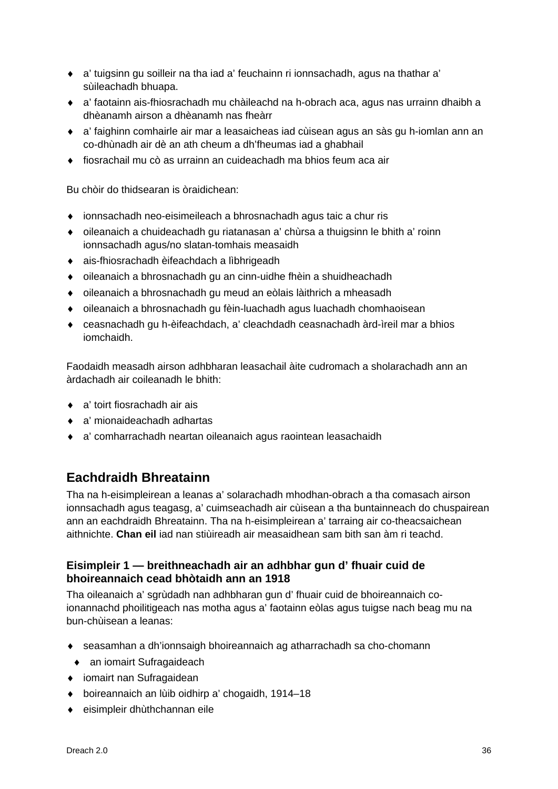- ◆ a' tuigsinn gu soilleir na tha iad a' feuchainn ri ionnsachadh, agus na thathar a' sùileachadh bhuapa.
- ♦ a' faotainn ais-fhiosrachadh mu chàileachd na h-obrach aca, agus nas urrainn dhaibh a dhèanamh airson a dhèanamh nas fheàrr
- ♦ a' faighinn comhairle air mar a leasaicheas iad cùisean agus an sàs gu h-iomlan ann an co-dhùnadh air dè an ath cheum a dh'fheumas iad a ghabhail
- $\bullet$  fiosrachail mu cò as urrainn an cuideachadh ma bhios feum aca air

Bu chòir do thidsearan is òraidichean:

- ♦ ionnsachadh neo-eisimeileach a bhrosnachadh agus taic a chur ris
- ♦ oileanaich a chuideachadh gu riatanasan a' chùrsa a thuigsinn le bhith a' roinn ionnsachadh agus/no slatan-tomhais measaidh
- ♦ ais-fhiosrachadh èifeachdach a lìbhrigeadh
- ♦ oileanaich a bhrosnachadh gu an cinn-uidhe fhèin a shuidheachadh
- ♦ oileanaich a bhrosnachadh gu meud an eòlais làithrich a mheasadh
- ♦ oileanaich a bhrosnachadh gu fèin-luachadh agus luachadh chomhaoisean
- ♦ ceasnachadh gu h-èifeachdach, a' cleachdadh ceasnachadh àrd-ìreil mar a bhios iomchaidh.

Faodaidh measadh airson adhbharan leasachail àite cudromach a sholarachadh ann an àrdachadh air coileanadh le bhith:

- ♦ a' toirt fiosrachadh air ais
- ♦ a' mionaideachadh adhartas
- ♦ a' comharrachadh neartan oileanaich agus raointean leasachaidh

## **Eachdraidh Bhreatainn**

Tha na h-eisimpleirean a leanas a' solarachadh mhodhan-obrach a tha comasach airson ionnsachadh agus teagasg, a' cuimseachadh air cùisean a tha buntainneach do chuspairean ann an eachdraidh Bhreatainn. Tha na h-eisimpleirean a' tarraing air co-theacsaichean aithnichte. **Chan eil** iad nan stiùireadh air measaidhean sam bith san àm ri teachd.

## **Eisimpleir 1 — breithneachadh air an adhbhar gun d' fhuair cuid de bhoireannaich cead bhòtaidh ann an 1918**

Tha oileanaich a' sgrùdadh nan adhbharan gun d' fhuair cuid de bhoireannaich coionannachd phoilitigeach nas motha agus a' faotainn eòlas agus tuigse nach beag mu na bun-chùisean a leanas:

- ♦ seasamhan a dh'ionnsaigh bhoireannaich ag atharrachadh sa cho-chomann
- ♦ an iomairt Sufragaideach
- ♦ iomairt nan Sufragaidean
- ♦ boireannaich an lùib oidhirp a' chogaidh, 1914–18
- ♦ eisimpleir dhùthchannan eile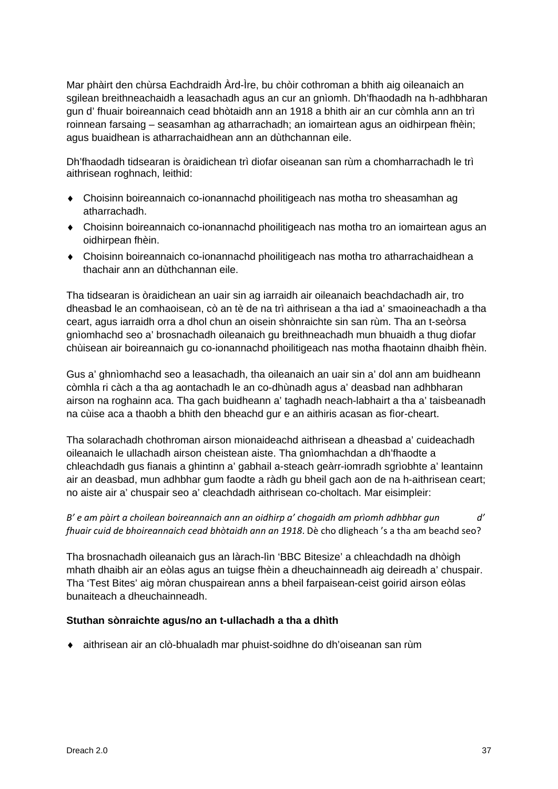Mar phàirt den chùrsa Eachdraidh Àrd-Ìre, bu chòir cothroman a bhith aig oileanaich an sgilean breithneachaidh a leasachadh agus an cur an gnìomh. Dh'fhaodadh na h-adhbharan gun d' fhuair boireannaich cead bhòtaidh ann an 1918 a bhith air an cur còmhla ann an trì roinnean farsaing – seasamhan ag atharrachadh; an iomairtean agus an oidhirpean fhèin; agus buaidhean is atharrachaidhean ann an dùthchannan eile.

Dh'fhaodadh tidsearan is òraidichean trì diofar oiseanan san rùm a chomharrachadh le trì aithrisean roghnach, leithid:

- ♦ Choisinn boireannaich co-ionannachd phoilitigeach nas motha tro sheasamhan ag atharrachadh.
- ♦ Choisinn boireannaich co-ionannachd phoilitigeach nas motha tro an iomairtean agus an oidhirpean fhèin.
- ♦ Choisinn boireannaich co-ionannachd phoilitigeach nas motha tro atharrachaidhean a thachair ann an dùthchannan eile.

Tha tidsearan is òraidichean an uair sin ag iarraidh air oileanaich beachdachadh air, tro dheasbad le an comhaoisean, cò an tè de na trì aithrisean a tha iad a' smaoineachadh a tha ceart, agus iarraidh orra a dhol chun an oisein shònraichte sin san rùm. Tha an t-seòrsa gnìomhachd seo a' brosnachadh oileanaich gu breithneachadh mun bhuaidh a thug diofar chùisean air boireannaich gu co-ionannachd phoilitigeach nas motha fhaotainn dhaibh fhèin.

Gus a' ghnìomhachd seo a leasachadh, tha oileanaich an uair sin a' dol ann am buidheann còmhla ri càch a tha ag aontachadh le an co-dhùnadh agus a' deasbad nan adhbharan airson na roghainn aca. Tha gach buidheann a' taghadh neach-labhairt a tha a' taisbeanadh na cùise aca a thaobh a bhith den bheachd gur e an aithiris acasan as fìor-cheart.

Tha solarachadh chothroman airson mionaideachd aithrisean a dheasbad a' cuideachadh oileanaich le ullachadh airson cheistean aiste. Tha gnìomhachdan a dh'fhaodte a chleachdadh gus fianais a ghintinn a' gabhail a-steach geàrr-iomradh sgrìobhte a' leantainn air an deasbad, mun adhbhar gum faodte a ràdh gu bheil gach aon de na h-aithrisean ceart; no aiste air a' chuspair seo a' cleachdadh aithrisean co-choltach. Mar eisimpleir:

*B' e am pàirt a choilean boireannaich ann an oidhirp a' chogaidh am prìomh adhbhar gun d' fhuair cuid de bhoireannaich cead bhòtaidh ann an 1918*. Dè cho dligheach 's a tha am beachd seo?

Tha brosnachadh oileanaich gus an làrach-lìn 'BBC Bitesize' a chleachdadh na dhòigh mhath dhaibh air an eòlas agus an tuigse fhèin a dheuchainneadh aig deireadh a' chuspair. Tha 'Test Bites' aig mòran chuspairean anns a bheil farpaisean-ceist goirid airson eòlas bunaiteach a dheuchainneadh.

### **Stuthan sònraichte agus/no an t-ullachadh a tha a dhìth**

♦ aithrisean air an clò-bhualadh mar phuist-soidhne do dh'oiseanan san rùm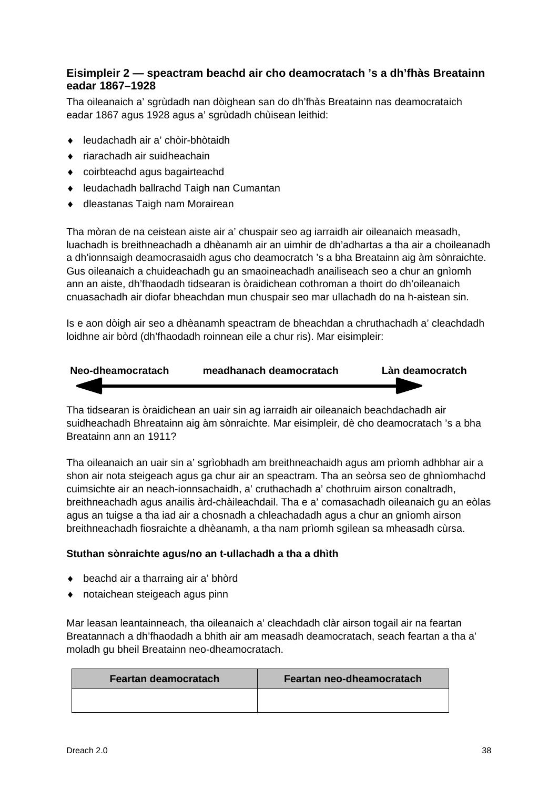## **Eisimpleir 2 — speactram beachd air cho deamocratach 's a dh'fhàs Breatainn eadar 1867–1928**

Tha oileanaich a' sgrùdadh nan dòighean san do dh'fhàs Breatainn nas deamocrataich eadar 1867 agus 1928 agus a' sgrùdadh chùisean leithid:

- ♦ leudachadh air a' chòir-bhòtaidh
- ♦ riarachadh air suidheachain
- ♦ coirbteachd agus bagairteachd
- ♦ leudachadh ballrachd Taigh nan Cumantan
- ♦ dleastanas Taigh nam Morairean

Tha mòran de na ceistean aiste air a' chuspair seo ag iarraidh air oileanaich measadh, luachadh is breithneachadh a dhèanamh air an uimhir de dh'adhartas a tha air a choileanadh a dh'ionnsaigh deamocrasaidh agus cho deamocratch 's a bha Breatainn aig àm sònraichte. Gus oileanaich a chuideachadh gu an smaoineachadh anailiseach seo a chur an gnìomh ann an aiste, dh'fhaodadh tidsearan is òraidichean cothroman a thoirt do dh'oileanaich cnuasachadh air diofar bheachdan mun chuspair seo mar ullachadh do na h-aistean sin.

Is e aon dòigh air seo a dhèanamh speactram de bheachdan a chruthachadh a' cleachdadh loidhne air bòrd (dh'fhaodadh roinnean eile a chur ris). Mar eisimpleir:



Tha tidsearan is òraidichean an uair sin ag iarraidh air oileanaich beachdachadh air suidheachadh Bhreatainn aig àm sònraichte. Mar eisimpleir, dè cho deamocratach 's a bha Breatainn ann an 1911?

Tha oileanaich an uair sin a' sgrìobhadh am breithneachaidh agus am prìomh adhbhar air a shon air nota steigeach agus ga chur air an speactram. Tha an seòrsa seo de ghnìomhachd cuimsichte air an neach-ionnsachaidh, a' cruthachadh a' chothruim airson conaltradh, breithneachadh agus anailis àrd-chàileachdail. Tha e a' comasachadh oileanaich gu an eòlas agus an tuigse a tha iad air a chosnadh a chleachadadh agus a chur an gnìomh airson breithneachadh fiosraichte a dhèanamh, a tha nam prìomh sgilean sa mheasadh cùrsa.

### **Stuthan sònraichte agus/no an t-ullachadh a tha a dhìth**

- ♦ beachd air a tharraing air a' bhòrd
- ♦ notaichean steigeach agus pinn

Mar leasan leantainneach, tha oileanaich a' cleachdadh clàr airson togail air na feartan Breatannach a dh'fhaodadh a bhith air am measadh deamocratach, seach feartan a tha a' moladh gu bheil Breatainn neo-dheamocratach.

| Feartan deamocratach | Feartan neo-dheamocratach |
|----------------------|---------------------------|
|                      |                           |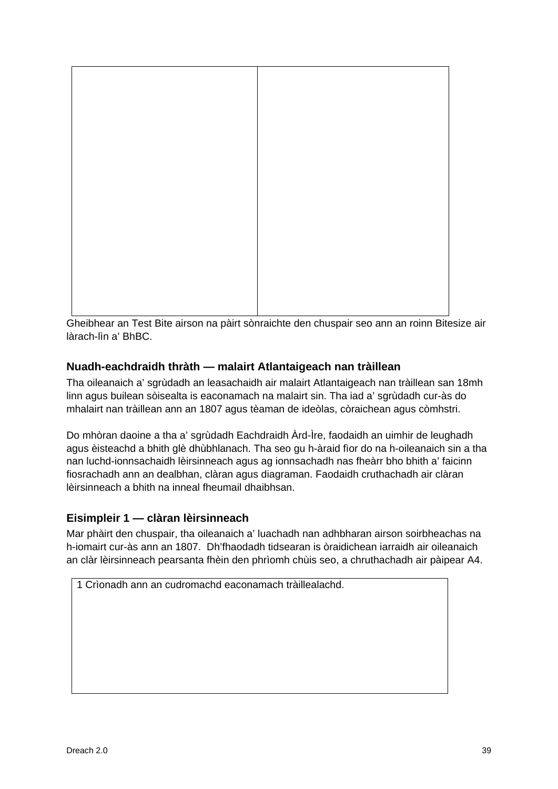

Gheibhear an Test Bite airson na pàirt sònraichte den chuspair seo ann an roinn Bitesize air làrach-lìn a' BhBC.

## **Nuadh-eachdraidh thràth — malairt Atlantaigeach nan tràillean**

Tha oileanaich a' sgrùdadh an leasachaidh air malairt Atlantaigeach nan tràillean san 18mh linn agus builean sòisealta is eaconamach na malairt sin. Tha iad a' sgrùdadh cur-às do mhalairt nan tràillean ann an 1807 agus tèaman de ideòlas, còraichean agus còmhstri.

Do mhòran daoine a tha a' sgrùdadh Eachdraidh Àrd-Ìre, faodaidh an uimhir de leughadh agus èisteachd a bhith glè dhùbhlanach. Tha seo gu h-àraid fìor do na h-oileanaich sin a tha nan luchd-ionnsachaidh lèirsinneach agus ag ionnsachadh nas fheàrr bho bhith a' faicinn fiosrachadh ann an dealbhan, clàran agus diagraman. Faodaidh cruthachadh air clàran lèirsinneach a bhith na inneal fheumail dhaibhsan.

## **Eisimpleir 1 — clàran lèirsinneach**

Mar phàirt den chuspair, tha oileanaich a' luachadh nan adhbharan airson soirbheachas na h-iomairt cur-às ann an 1807. Dh'fhaodadh tidsearan is òraidichean iarraidh air oileanaich an clàr lèirsinneach pearsanta fhèin den phrìomh chùis seo, a chruthachadh air pàipear A4.

1 Crìonadh ann an cudromachd eaconamach tràillealachd.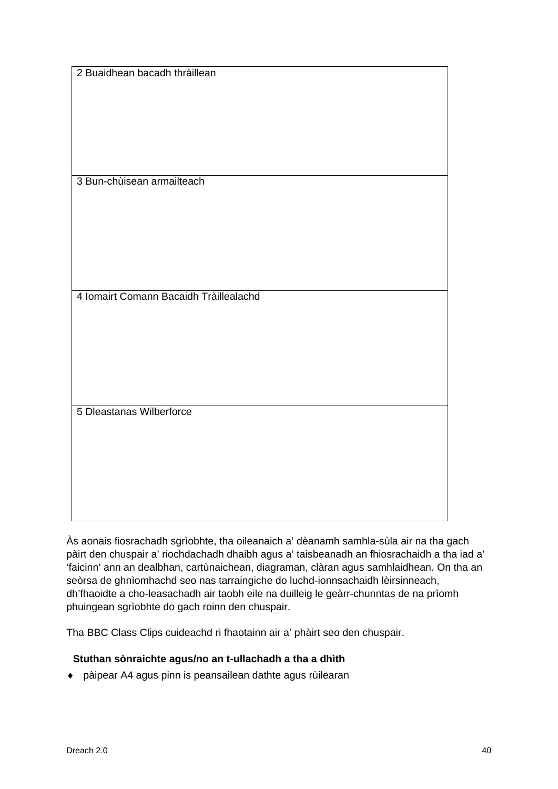| 2 Buaidhean bacadh thràillean          |  |  |
|----------------------------------------|--|--|
|                                        |  |  |
|                                        |  |  |
|                                        |  |  |
|                                        |  |  |
|                                        |  |  |
|                                        |  |  |
|                                        |  |  |
| 3 Bun-chùisean armailteach             |  |  |
|                                        |  |  |
|                                        |  |  |
|                                        |  |  |
|                                        |  |  |
|                                        |  |  |
|                                        |  |  |
|                                        |  |  |
|                                        |  |  |
|                                        |  |  |
| 4 Iomairt Comann Bacaidh Tràillealachd |  |  |
|                                        |  |  |
|                                        |  |  |
|                                        |  |  |
|                                        |  |  |
|                                        |  |  |
|                                        |  |  |
|                                        |  |  |
|                                        |  |  |
| 5 Dleastanas Wilberforce               |  |  |
|                                        |  |  |
|                                        |  |  |
|                                        |  |  |
|                                        |  |  |
|                                        |  |  |
|                                        |  |  |
|                                        |  |  |
|                                        |  |  |
|                                        |  |  |

Às aonais fiosrachadh sgrìobhte, tha oileanaich a' dèanamh samhla-sùla air na tha gach pàirt den chuspair a' riochdachadh dhaibh agus a' taisbeanadh an fhiosrachaidh a tha iad a' 'faicinn' ann an dealbhan, cartùnaichean, diagraman, clàran agus samhlaidhean. On tha an seòrsa de ghnìomhachd seo nas tarraingiche do luchd-ionnsachaidh lèirsinneach, dh'fhaoidte a cho-leasachadh air taobh eile na duilleig le geàrr-chunntas de na prìomh phuingean sgrìobhte do gach roinn den chuspair.

Tha BBC Class Clips cuideachd ri fhaotainn air a' phàirt seo den chuspair.

## **Stuthan sònraichte agus/no an t-ullachadh a tha a dhìth**

♦ pàipear A4 agus pinn is peansailean dathte agus rùilearan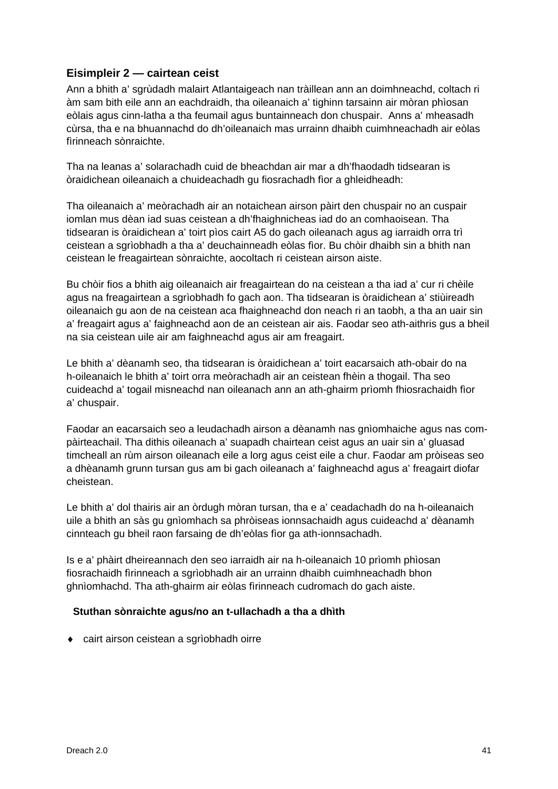## **Eisimpleir 2 — cairtean ceist**

Ann a bhith a' sgrùdadh malairt Atlantaigeach nan tràillean ann an doimhneachd, coltach ri àm sam bith eile ann an eachdraidh, tha oileanaich a' tighinn tarsainn air mòran phìosan eòlais agus cinn-latha a tha feumail agus buntainneach don chuspair. Anns a' mheasadh cùrsa, tha e na bhuannachd do dh'oileanaich mas urrainn dhaibh cuimhneachadh air eòlas fìrinneach sònraichte.

Tha na leanas a' solarachadh cuid de bheachdan air mar a dh'fhaodadh tidsearan is òraidichean oileanaich a chuideachadh gu fiosrachadh fìor a ghleidheadh:

Tha oileanaich a' meòrachadh air an notaichean airson pàirt den chuspair no an cuspair iomlan mus dèan iad suas ceistean a dh'fhaighnicheas iad do an comhaoisean. Tha tidsearan is òraidichean a' toirt pìos cairt A5 do gach oileanach agus ag iarraidh orra trì ceistean a sgrìobhadh a tha a' deuchainneadh eòlas fìor. Bu chòir dhaibh sin a bhith nan ceistean le freagairtean sònraichte, aocoltach ri ceistean airson aiste.

Bu chòir fios a bhith aig oileanaich air freagairtean do na ceistean a tha iad a' cur ri chèile agus na freagairtean a sgrìobhadh fo gach aon. Tha tidsearan is òraidichean a' stiùireadh oileanaich gu aon de na ceistean aca fhaighneachd don neach ri an taobh, a tha an uair sin a' freagairt agus a' faighneachd aon de an ceistean air ais. Faodar seo ath-aithris gus a bheil na sia ceistean uile air am faighneachd agus air am freagairt.

Le bhith a' dèanamh seo, tha tidsearan is òraidichean a' toirt eacarsaich ath-obair do na h-oileanaich le bhith a' toirt orra meòrachadh air an ceistean fhèin a thogail. Tha seo cuideachd a' togail misneachd nan oileanach ann an ath-ghairm prìomh fhiosrachaidh fìor a' chuspair.

Faodar an eacarsaich seo a leudachadh airson a dèanamh nas gnìomhaiche agus nas compàirteachail. Tha dithis oileanach a' suapadh chairtean ceist agus an uair sin a' gluasad timcheall an rùm airson oileanach eile a lorg agus ceist eile a chur. Faodar am pròiseas seo a dhèanamh grunn tursan gus am bi gach oileanach a' faighneachd agus a' freagairt diofar cheistean.

Le bhith a' dol thairis air an òrdugh mòran tursan, tha e a' ceadachadh do na h-oileanaich uile a bhith an sàs gu gnìomhach sa phròiseas ionnsachaidh agus cuideachd a' dèanamh cinnteach gu bheil raon farsaing de dh'eòlas fìor ga ath-ionnsachadh.

Is e a' phàirt dheireannach den seo iarraidh air na h-oileanaich 10 prìomh phìosan fiosrachaidh fìrinneach a sgrìobhadh air an urrainn dhaibh cuimhneachadh bhon ghnìomhachd. Tha ath-ghairm air eòlas fìrinneach cudromach do gach aiste.

### **Stuthan sònraichte agus/no an t-ullachadh a tha a dhìth**

♦ cairt airson ceistean a sgrìobhadh oirre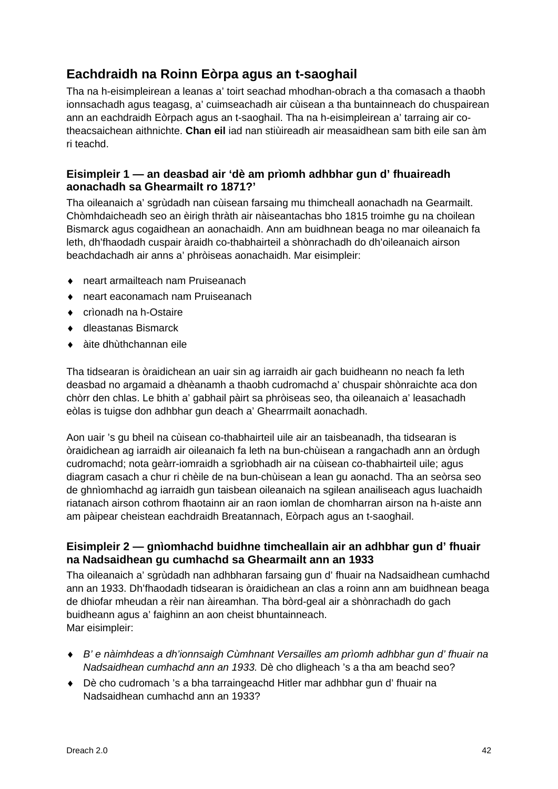## **Eachdraidh na Roinn Eòrpa agus an t-saoghail**

Tha na h-eisimpleirean a leanas a' toirt seachad mhodhan-obrach a tha comasach a thaobh ionnsachadh agus teagasg, a' cuimseachadh air cùisean a tha buntainneach do chuspairean ann an eachdraidh Eòrpach agus an t-saoghail. Tha na h-eisimpleirean a' tarraing air cotheacsaichean aithnichte. **Chan eil** iad nan stiùireadh air measaidhean sam bith eile san àm ri teachd.

## **Eisimpleir 1 — an deasbad air 'dè am prìomh adhbhar gun d' fhuaireadh aonachadh sa Ghearmailt ro 1871?'**

Tha oileanaich a' sgrùdadh nan cùisean farsaing mu thimcheall aonachadh na Gearmailt. Chòmhdaicheadh seo an èirigh thràth air nàiseantachas bho 1815 troimhe gu na choilean Bismarck agus cogaidhean an aonachaidh. Ann am buidhnean beaga no mar oileanaich fa leth, dh'fhaodadh cuspair àraidh co-thabhairteil a shònrachadh do dh'oileanaich airson beachdachadh air anns a' phròiseas aonachaidh. Mar eisimpleir:

- ♦ neart armailteach nam Pruiseanach
- ♦ neart eaconamach nam Pruiseanach
- ♦ crìonadh na h-Ostaire
- ♦ dleastanas Bismarck
- ♦ àite dhùthchannan eile

Tha tidsearan is òraidichean an uair sin ag iarraidh air gach buidheann no neach fa leth deasbad no argamaid a dhèanamh a thaobh cudromachd a' chuspair shònraichte aca don chòrr den chlas. Le bhith a' gabhail pàirt sa phròiseas seo, tha oileanaich a' leasachadh eòlas is tuigse don adhbhar gun deach a' Ghearrmailt aonachadh.

Aon uair 's gu bheil na cùisean co-thabhairteil uile air an taisbeanadh, tha tidsearan is òraidichean ag iarraidh air oileanaich fa leth na bun-chùisean a rangachadh ann an òrdugh cudromachd; nota geàrr-iomraidh a sgrìobhadh air na cùisean co-thabhairteil uile; agus diagram casach a chur ri chèile de na bun-chùisean a lean gu aonachd. Tha an seòrsa seo de ghnìomhachd ag iarraidh gun taisbean oileanaich na sgilean anailiseach agus luachaidh riatanach airson cothrom fhaotainn air an raon iomlan de chomharran airson na h-aiste ann am pàipear cheistean eachdraidh Breatannach, Eòrpach agus an t-saoghail.

## **Eisimpleir 2 — gnìomhachd buidhne timcheallain air an adhbhar gun d' fhuair na Nadsaidhean gu cumhachd sa Ghearmailt ann an 1933**

Tha oileanaich a' sgrùdadh nan adhbharan farsaing gun d' fhuair na Nadsaidhean cumhachd ann an 1933. Dh'fhaodadh tidsearan is òraidichean an clas a roinn ann am buidhnean beaga de dhiofar mheudan a rèir nan àireamhan. Tha bòrd-geal air a shònrachadh do gach buidheann agus a' faighinn an aon cheist bhuntainneach. Mar eisimpleir:

- ♦ *B' e nàimhdeas a dh'ionnsaigh Cùmhnant Versailles am prìomh adhbhar gun d' fhuair na Nadsaidhean cumhachd ann an 1933.* Dè cho dligheach 's a tha am beachd seo?
- ♦ Dè cho cudromach 's a bha tarraingeachd Hitler mar adhbhar gun d' fhuair na Nadsaidhean cumhachd ann an 1933?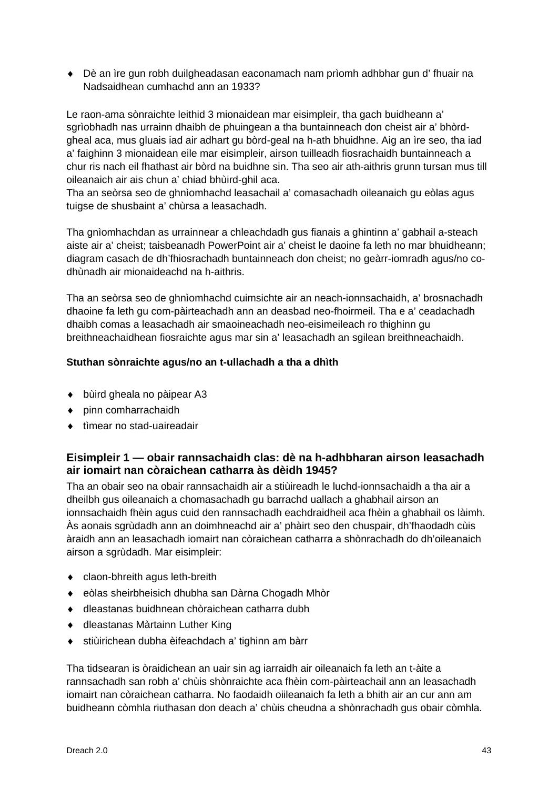♦ Dè an ìre gun robh duilgheadasan eaconamach nam prìomh adhbhar gun d' fhuair na Nadsaidhean cumhachd ann an 1933?

Le raon-ama sònraichte leithid 3 mionaidean mar eisimpleir, tha gach buidheann a' sgrìobhadh nas urrainn dhaibh de phuingean a tha buntainneach don cheist air a' bhòrdgheal aca, mus gluais iad air adhart gu bòrd-geal na h-ath bhuidhne. Aig an ìre seo, tha iad a' faighinn 3 mionaidean eile mar eisimpleir, airson tuilleadh fiosrachaidh buntainneach a chur ris nach eil fhathast air bòrd na buidhne sin. Tha seo air ath-aithris grunn tursan mus till oileanaich air ais chun a' chiad bhùird-ghil aca.

Tha an seòrsa seo de ghnìomhachd leasachail a' comasachadh oileanaich gu eòlas agus tuigse de shusbaint a' chùrsa a leasachadh.

Tha gnìomhachdan as urrainnear a chleachdadh gus fianais a ghintinn a' gabhail a-steach aiste air a' cheist; taisbeanadh PowerPoint air a' cheist le daoine fa leth no mar bhuidheann; diagram casach de dh'fhiosrachadh buntainneach don cheist; no geàrr-iomradh agus/no codhùnadh air mionaideachd na h-aithris.

Tha an seòrsa seo de ghnìomhachd cuimsichte air an neach-ionnsachaidh, a' brosnachadh dhaoine fa leth gu com-pàirteachadh ann an deasbad neo-fhoirmeil. Tha e a' ceadachadh dhaibh comas a leasachadh air smaoineachadh neo-eisimeileach ro thighinn gu breithneachaidhean fiosraichte agus mar sin a' leasachadh an sgilean breithneachaidh.

### **Stuthan sònraichte agus/no an t-ullachadh a tha a dhìth**

- ♦ bùird gheala no pàipear A3
- ♦ pinn comharrachaidh
- ♦ tìmear no stad-uaireadair

## **Eisimpleir 1 — obair rannsachaidh clas: dè na h-adhbharan airson leasachadh air iomairt nan còraichean catharra às dèidh 1945?**

Tha an obair seo na obair rannsachaidh air a stiùireadh le luchd-ionnsachaidh a tha air a dheilbh gus oileanaich a chomasachadh gu barrachd uallach a ghabhail airson an ionnsachaidh fhèin agus cuid den rannsachadh eachdraidheil aca fhèin a ghabhail os làimh. Às aonais sgrùdadh ann an doimhneachd air a' phàirt seo den chuspair, dh'fhaodadh cùis àraidh ann an leasachadh iomairt nan còraichean catharra a shònrachadh do dh'oileanaich airson a sgrùdadh. Mar eisimpleir:

- ♦ claon-bhreith agus leth-breith
- ♦ eòlas sheirbheisich dhubha san Dàrna Chogadh Mhòr
- ♦ dleastanas buidhnean chòraichean catharra dubh
- ♦ dleastanas Màrtainn Luther King
- ♦ stiùirichean dubha èifeachdach a' tighinn am bàrr

Tha tidsearan is òraidichean an uair sin ag iarraidh air oileanaich fa leth an t-àite a rannsachadh san robh a' chùis shònraichte aca fhèin com-pàirteachail ann an leasachadh iomairt nan còraichean catharra. No faodaidh oiileanaich fa leth a bhith air an cur ann am buidheann còmhla riuthasan don deach a' chùis cheudna a shònrachadh gus obair còmhla.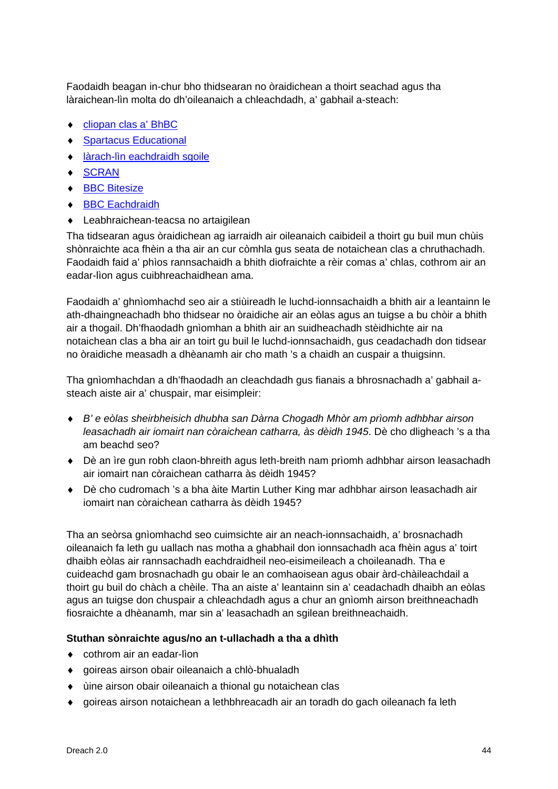Faodaidh beagan in-chur bho thidsearan no òraidichean a thoirt seachad agus tha làraichean-lìn molta do dh'oileanaich a chleachdadh, a' gabhail a-steach:

- ♦ [cliopan clas a' BhBC](http://www.bbc.co.uk/learningzone/clips/)
- ♦ [Spartacus Educational](http://spartacus-educational.com/)
- ♦ [làrach-lìn eachdraidh sgoile](http://www.schoolhistory.co.uk/)
- ♦ [SCRAN](https://www.scran.ac.uk/)
- ♦ [BBC Bitesize](http://www.bbc.co.uk/scotland/learning/bitesize/higher)
- ♦ [BBC Eachdraidh](https://www.bbc.co.uk/history)
- ♦ Leabhraichean-teacsa no artaigilean

Tha tidsearan agus òraidichean ag iarraidh air oileanaich caibideil a thoirt gu buil mun chùis shònraichte aca fhèin a tha air an cur còmhla gus seata de notaichean clas a chruthachadh. Faodaidh faid a' phìos rannsachaidh a bhith diofraichte a rèir comas a' chlas, cothrom air an eadar-lìon agus cuibhreachaidhean ama.

Faodaidh a' ghnìomhachd seo air a stiùireadh le luchd-ionnsachaidh a bhith air a leantainn le ath-dhaingneachadh bho thidsear no òraidiche air an eòlas agus an tuigse a bu chòir a bhith air a thogail. Dh'fhaodadh gnìomhan a bhith air an suidheachadh stèidhichte air na notaichean clas a bha air an toirt gu buil le luchd-ionnsachaidh, gus ceadachadh don tidsear no òraidiche measadh a dhèanamh air cho math 's a chaidh an cuspair a thuigsinn.

Tha gnìomhachdan a dh'fhaodadh an cleachdadh gus fianais a bhrosnachadh a' gabhail asteach aiste air a' chuspair, mar eisimpleir:

- ♦ *B' e eòlas sheirbheisich dhubha san Dàrna Chogadh Mhòr am prìomh adhbhar airson leasachadh air iomairt nan còraichean catharra, às dèidh 1945*. Dè cho dligheach 's a tha am beachd seo?
- ♦ Dè an ìre gun robh claon-bhreith agus leth-breith nam prìomh adhbhar airson leasachadh air iomairt nan còraichean catharra às dèidh 1945?
- ♦ Dè cho cudromach 's a bha àite Martin Luther King mar adhbhar airson leasachadh air iomairt nan còraichean catharra às dèidh 1945?

Tha an seòrsa gnìomhachd seo cuimsichte air an neach-ionnsachaidh, a' brosnachadh oileanaich fa leth gu uallach nas motha a ghabhail don ionnsachadh aca fhèin agus a' toirt dhaibh eòlas air rannsachadh eachdraidheil neo-eisimeileach a choileanadh. Tha e cuideachd gam brosnachadh gu obair le an comhaoisean agus obair àrd-chàileachdail a thoirt gu buil do chàch a chèile. Tha an aiste a' leantainn sin a' ceadachadh dhaibh an eòlas agus an tuigse don chuspair a chleachdadh agus a chur an gnìomh airson breithneachadh fiosraichte a dhèanamh, mar sin a' leasachadh an sgilean breithneachaidh.

## **Stuthan sònraichte agus/no an t-ullachadh a tha a dhìth**

- ♦ cothrom air an eadar-lìon
- ♦ goireas airson obair oileanaich a chlò-bhualadh
- ♦ ùine airson obair oileanaich a thional gu notaichean clas
- ♦ goireas airson notaichean a lethbhreacadh air an toradh do gach oileanach fa leth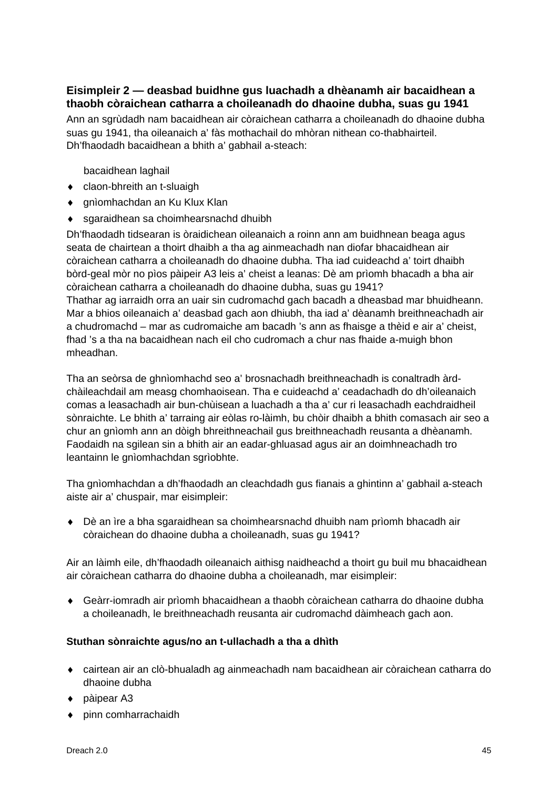## **Eisimpleir 2 — deasbad buidhne gus luachadh a dhèanamh air bacaidhean a thaobh còraichean catharra a choileanadh do dhaoine dubha, suas gu 1941**

Ann an sgrùdadh nam bacaidhean air còraichean catharra a choileanadh do dhaoine dubha suas gu 1941, tha oileanaich a' fàs mothachail do mhòran nithean co-thabhairteil. Dh'fhaodadh bacaidhean a bhith a' gabhail a-steach:

bacaidhean laghail

- ♦ claon-bhreith an t-sluaigh
- ◆ gnìomhachdan an Ku Klux Klan
- ♦ sgaraidhean sa choimhearsnachd dhuibh

Dh'fhaodadh tidsearan is òraidichean oileanaich a roinn ann am buidhnean beaga agus seata de chairtean a thoirt dhaibh a tha ag ainmeachadh nan diofar bhacaidhean air còraichean catharra a choileanadh do dhaoine dubha. Tha iad cuideachd a' toirt dhaibh bòrd-geal mòr no pìos pàipeir A3 leis a' cheist a leanas: Dè am prìomh bhacadh a bha air còraichean catharra a choileanadh do dhaoine dubha, suas gu 1941?

Thathar ag iarraidh orra an uair sin cudromachd gach bacadh a dheasbad mar bhuidheann. Mar a bhios oileanaich a' deasbad gach aon dhiubh, tha iad a' dèanamh breithneachadh air a chudromachd – mar as cudromaiche am bacadh 's ann as fhaisge a thèid e air a' cheist, fhad 's a tha na bacaidhean nach eil cho cudromach a chur nas fhaide a-muigh bhon mheadhan.

Tha an seòrsa de ghnìomhachd seo a' brosnachadh breithneachadh is conaltradh àrdchàileachdail am measg chomhaoisean. Tha e cuideachd a' ceadachadh do dh'oileanaich comas a leasachadh air bun-chùisean a luachadh a tha a' cur ri leasachadh eachdraidheil sònraichte. Le bhith a' tarraing air eòlas ro-làimh, bu chòir dhaibh a bhith comasach air seo a chur an gnìomh ann an dòigh bhreithneachail gus breithneachadh reusanta a dhèanamh. Faodaidh na sgilean sin a bhith air an eadar-ghluasad agus air an doimhneachadh tro leantainn le gnìomhachdan sgrìobhte.

Tha gnìomhachdan a dh'fhaodadh an cleachdadh gus fianais a ghintinn a' gabhail a-steach aiste air a' chuspair, mar eisimpleir:

♦ Dè an ìre a bha sgaraidhean sa choimhearsnachd dhuibh nam prìomh bhacadh air còraichean do dhaoine dubha a choileanadh, suas gu 1941?

Air an làimh eile, dh'fhaodadh oileanaich aithisg naidheachd a thoirt gu buil mu bhacaidhean air còraichean catharra do dhaoine dubha a choileanadh, mar eisimpleir:

♦ Geàrr-iomradh air prìomh bhacaidhean a thaobh còraichean catharra do dhaoine dubha a choileanadh, le breithneachadh reusanta air cudromachd dàimheach gach aon.

### **Stuthan sònraichte agus/no an t-ullachadh a tha a dhìth**

- ♦ cairtean air an clò-bhualadh ag ainmeachadh nam bacaidhean air còraichean catharra do dhaoine dubha
- ◆ pàipear A3
- ♦ pinn comharrachaidh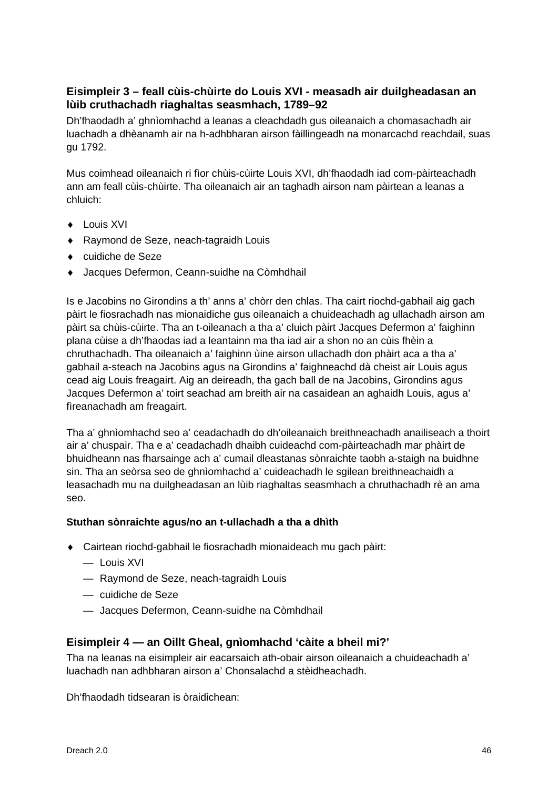## **Eisimpleir 3 – feall cùis-chùirte do Louis XVI - measadh air duilgheadasan an lùib cruthachadh riaghaltas seasmhach, 1789–92**

Dh'fhaodadh a' ghnìomhachd a leanas a cleachdadh gus oileanaich a chomasachadh air luachadh a dhèanamh air na h-adhbharan airson fàillingeadh na monarcachd reachdail, suas gu 1792.

Mus coimhead oileanaich ri fìor chùis-cùirte Louis XVI, dh'fhaodadh iad com-pàirteachadh ann am feall cùis-chùirte. Tha oileanaich air an taghadh airson nam pàirtean a leanas a chluich:

- ♦ Louis XVI
- ♦ Raymond de Seze, neach-tagraidh Louis
- ♦ cuidiche de Seze
- ♦ Jacques Defermon, Ceann-suidhe na Còmhdhail

Is e Jacobins no Girondins a th' anns a' chòrr den chlas. Tha cairt riochd-gabhail aig gach pàirt le fiosrachadh nas mionaidiche gus oileanaich a chuideachadh ag ullachadh airson am pàirt sa chùis-cùirte. Tha an t-oileanach a tha a' cluich pàirt Jacques Defermon a' faighinn plana cùise a dh'fhaodas iad a leantainn ma tha iad air a shon no an cùis fhèin a chruthachadh. Tha oileanaich a' faighinn ùine airson ullachadh don phàirt aca a tha a' gabhail a-steach na Jacobins agus na Girondins a' faighneachd dà cheist air Louis agus cead aig Louis freagairt. Aig an deireadh, tha gach ball de na Jacobins, Girondins agus Jacques Defermon a' toirt seachad am breith air na casaidean an aghaidh Louis, agus a' fìreanachadh am freagairt.

Tha a' ghnìomhachd seo a' ceadachadh do dh'oileanaich breithneachadh anailiseach a thoirt air a' chuspair. Tha e a' ceadachadh dhaibh cuideachd com-pàirteachadh mar phàirt de bhuidheann nas fharsainge ach a' cumail dleastanas sònraichte taobh a-staigh na buidhne sin. Tha an seòrsa seo de ghnìomhachd a' cuideachadh le sgilean breithneachaidh a leasachadh mu na duilgheadasan an lùib riaghaltas seasmhach a chruthachadh rè an ama seo.

### **Stuthan sònraichte agus/no an t-ullachadh a tha a dhìth**

- ♦ Cairtean riochd-gabhail le fiosrachadh mionaideach mu gach pàirt:
	- Louis XVI
	- Raymond de Seze, neach-tagraidh Louis
	- cuidiche de Seze
	- Jacques Defermon, Ceann-suidhe na Còmhdhail

### **Eisimpleir 4 — an Oillt Gheal, gnìomhachd 'càite a bheil mi?'**

Tha na leanas na eisimpleir air eacarsaich ath-obair airson oileanaich a chuideachadh a' luachadh nan adhbharan airson a' Chonsalachd a stèidheachadh.

Dh'fhaodadh tidsearan is òraidichean: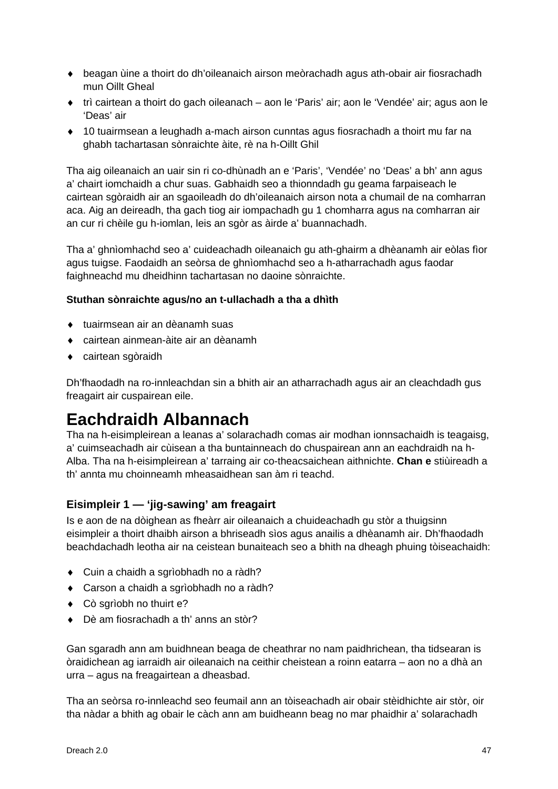- ♦ beagan ùine a thoirt do dh'oileanaich airson meòrachadh agus ath-obair air fiosrachadh mun Oillt Gheal
- ♦ trì cairtean a thoirt do gach oileanach aon le 'Paris' air; aon le 'Vendée' air; agus aon le 'Deas' air
- ♦ 10 tuairmsean a leughadh a-mach airson cunntas agus fiosrachadh a thoirt mu far na ghabh tachartasan sònraichte àite, rè na h-Oillt Ghil

Tha aig oileanaich an uair sin ri co-dhùnadh an e 'Paris', 'Vendée' no 'Deas' a bh' ann agus a' chairt iomchaidh a chur suas. Gabhaidh seo a thionndadh gu geama farpaiseach le cairtean sgòraidh air an sgaoileadh do dh'oileanaich airson nota a chumail de na comharran aca. Aig an deireadh, tha gach tiog air iompachadh gu 1 chomharra agus na comharran air an cur ri chèile gu h-iomlan, leis an sgòr as àirde a' buannachadh.

Tha a' ghnìomhachd seo a' cuideachadh oileanaich gu ath-ghairm a dhèanamh air eòlas fìor agus tuigse. Faodaidh an seòrsa de ghnìomhachd seo a h-atharrachadh agus faodar faighneachd mu dheidhinn tachartasan no daoine sònraichte.

### **Stuthan sònraichte agus/no an t-ullachadh a tha a dhìth**

- ♦ tuairmsean air an dèanamh suas
- ♦ cairtean ainmean-àite air an dèanamh
- ♦ cairtean sgòraidh

Dh'fhaodadh na ro-innleachdan sin a bhith air an atharrachadh agus air an cleachdadh gus freagairt air cuspairean eile.

## **Eachdraidh Albannach**

Tha na h-eisimpleirean a leanas a' solarachadh comas air modhan ionnsachaidh is teagaisg, a' cuimseachadh air cùisean a tha buntainneach do chuspairean ann an eachdraidh na h-Alba. Tha na h-eisimpleirean a' tarraing air co-theacsaichean aithnichte. **Chan e** stiùireadh a th' annta mu choinneamh mheasaidhean san àm ri teachd.

### **Eisimpleir 1 — 'jig-sawing' am freagairt**

Is e aon de na dòighean as fheàrr air oileanaich a chuideachadh gu stòr a thuigsinn eisimpleir a thoirt dhaibh airson a bhriseadh sìos agus anailis a dhèanamh air. Dh'fhaodadh beachdachadh leotha air na ceistean bunaiteach seo a bhith na dheagh phuing tòiseachaidh:

- ♦ Cuin a chaidh a sgrìobhadh no a ràdh?
- ♦ Carson a chaidh a sgrìobhadh no a ràdh?
- ♦ Cò sgrìobh no thuirt e?
- ♦ Dè am fiosrachadh a th' anns an stòr?

Gan sgaradh ann am buidhnean beaga de cheathrar no nam paidhrichean, tha tidsearan is òraidichean ag iarraidh air oileanaich na ceithir cheistean a roinn eatarra – aon no a dhà an urra – agus na freagairtean a dheasbad.

Tha an seòrsa ro-innleachd seo feumail ann an tòiseachadh air obair stèidhichte air stòr, oir tha nàdar a bhith ag obair le càch ann am buidheann beag no mar phaidhir a' solarachadh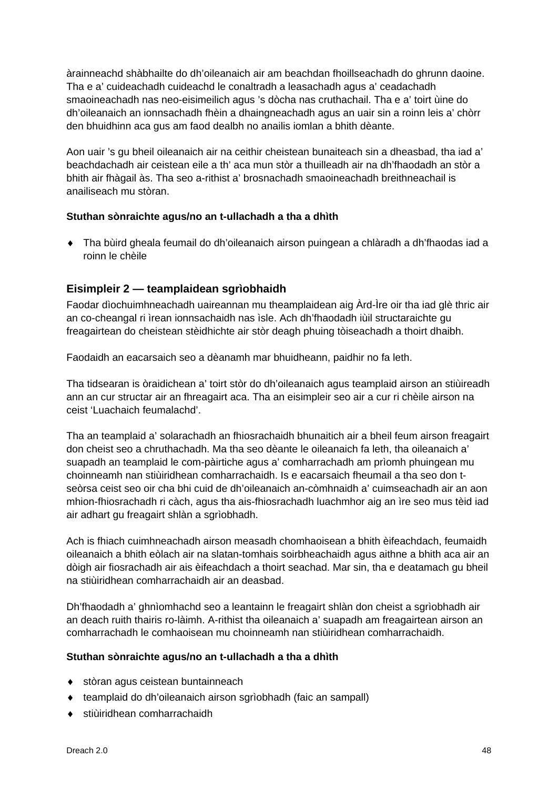àrainneachd shàbhailte do dh'oileanaich air am beachdan fhoillseachadh do ghrunn daoine. Tha e a' cuideachadh cuideachd le conaltradh a leasachadh agus a' ceadachadh smaoineachadh nas neo-eisimeilich agus 's dòcha nas cruthachail. Tha e a' toirt ùine do dh'oileanaich an ionnsachadh fhèin a dhaingneachadh agus an uair sin a roinn leis a' chòrr den bhuidhinn aca gus am faod dealbh no anailis iomlan a bhith dèante.

Aon uair 's gu bheil oileanaich air na ceithir cheistean bunaiteach sin a dheasbad, tha iad a' beachdachadh air ceistean eile a th' aca mun stòr a thuilleadh air na dh'fhaodadh an stòr a bhith air fhàgail às. Tha seo a-rithist a' brosnachadh smaoineachadh breithneachail is anailiseach mu stòran.

## **Stuthan sònraichte agus/no an t-ullachadh a tha a dhìth**

♦ Tha bùird gheala feumail do dh'oileanaich airson puingean a chlàradh a dh'fhaodas iad a roinn le chèile

## **Eisimpleir 2 — teamplaidean sgrìobhaidh**

Faodar dìochuimhneachadh uaireannan mu theamplaidean aig Àrd-Ìre oir tha iad glè thric air an co-cheangal ri ìrean ionnsachaidh nas ìsle. Ach dh'fhaodadh iùil structaraichte gu freagairtean do cheistean stèidhichte air stòr deagh phuing tòiseachadh a thoirt dhaibh.

Faodaidh an eacarsaich seo a dèanamh mar bhuidheann, paidhir no fa leth.

Tha tidsearan is òraidichean a' toirt stòr do dh'oileanaich agus teamplaid airson an stiùireadh ann an cur structar air an fhreagairt aca. Tha an eisimpleir seo air a cur ri chèile airson na ceist 'Luachaich feumalachd'.

Tha an teamplaid a' solarachadh an fhiosrachaidh bhunaitich air a bheil feum airson freagairt don cheist seo a chruthachadh. Ma tha seo dèante le oileanaich fa leth, tha oileanaich a' suapadh an teamplaid le com-pàirtiche agus a' comharrachadh am prìomh phuingean mu choinneamh nan stiùiridhean comharrachaidh. Is e eacarsaich fheumail a tha seo don tseòrsa ceist seo oir cha bhi cuid de dh'oileanaich an-còmhnaidh a' cuimseachadh air an aon mhion-fhiosrachadh ri càch, agus tha ais-fhiosrachadh luachmhor aig an ìre seo mus tèid iad air adhart gu freagairt shlàn a sgrìobhadh.

Ach is fhiach cuimhneachadh airson measadh chomhaoisean a bhith èifeachdach, feumaidh oileanaich a bhith eòlach air na slatan-tomhais soirbheachaidh agus aithne a bhith aca air an dòigh air fiosrachadh air ais èifeachdach a thoirt seachad. Mar sin, tha e deatamach gu bheil na stiùiridhean comharrachaidh air an deasbad.

Dh'fhaodadh a' ghnìomhachd seo a leantainn le freagairt shlàn don cheist a sgrìobhadh air an deach ruith thairis ro-làimh. A-rithist tha oileanaich a' suapadh am freagairtean airson an comharrachadh le comhaoisean mu choinneamh nan stiùiridhean comharrachaidh.

### **Stuthan sònraichte agus/no an t-ullachadh a tha a dhìth**

- ♦ stòran agus ceistean buntainneach
- ♦ teamplaid do dh'oileanaich airson sgrìobhadh (faic an sampall)
- ♦ stiùiridhean comharrachaidh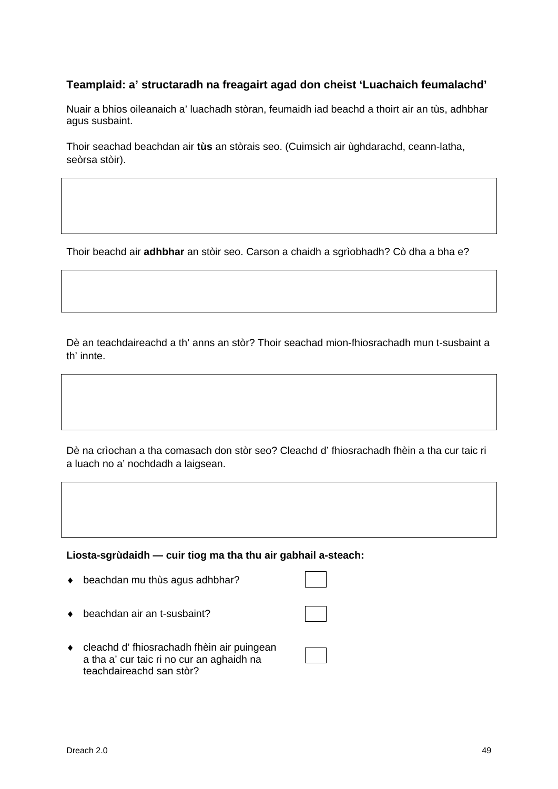## **Teamplaid: a' structaradh na freagairt agad don cheist 'Luachaich feumalachd'**

Nuair a bhios oileanaich a' luachadh stòran, feumaidh iad beachd a thoirt air an tùs, adhbhar agus susbaint.

Thoir seachad beachdan air **tùs** an stòrais seo. (Cuimsich air ùghdarachd, ceann-latha, seòrsa stòir).

Thoir beachd air **adhbhar** an stòir seo. Carson a chaidh a sgrìobhadh? Cò dha a bha e?

Dè an teachdaireachd a th' anns an stòr? Thoir seachad mion-fhiosrachadh mun t-susbaint a th' innte.

Dè na crìochan a tha comasach don stòr seo? Cleachd d' fhiosrachadh fhèin a tha cur taic ri a luach no a' nochdadh a laigsean.

**Liosta-sgrùdaidh — cuir tiog ma tha thu air gabhail a-steach:** 

- ♦ beachdan mu thùs agus adhbhar?
- ♦ beachdan air an t-susbaint?
- ♦ cleachd d' fhiosrachadh fhèin air puingean a tha a' cur taic ri no cur an aghaidh na teachdaireachd san stòr?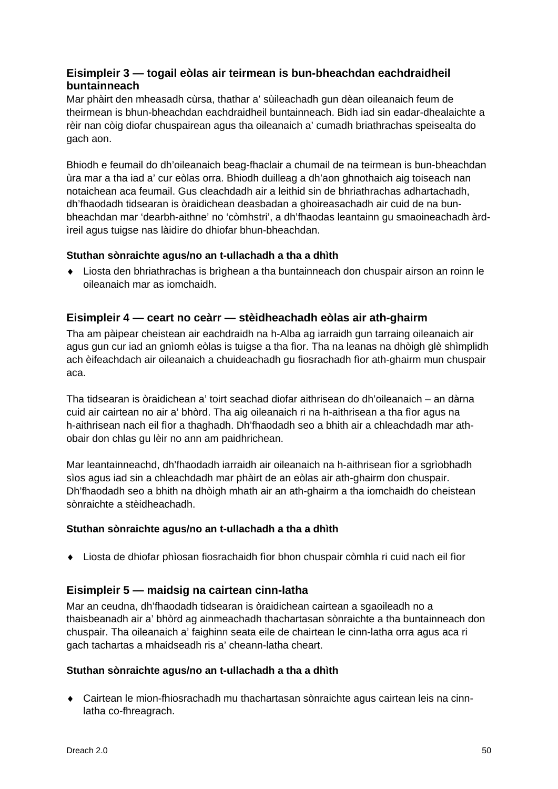## **Eisimpleir 3 — togail eòlas air teirmean is bun-bheachdan eachdraidheil buntainneach**

Mar phàirt den mheasadh cùrsa, thathar a' sùileachadh gun dèan oileanaich feum de theirmean is bhun-bheachdan eachdraidheil buntainneach. Bidh iad sin eadar-dhealaichte a rèir nan còig diofar chuspairean agus tha oileanaich a' cumadh briathrachas speisealta do gach aon.

Bhiodh e feumail do dh'oileanaich beag-fhaclair a chumail de na teirmean is bun-bheachdan ùra mar a tha iad a' cur eòlas orra. Bhiodh duilleag a dh'aon ghnothaich aig toiseach nan notaichean aca feumail. Gus cleachdadh air a leithid sin de bhriathrachas adhartachadh, dh'fhaodadh tidsearan is òraidichean deasbadan a ghoireasachadh air cuid de na bunbheachdan mar 'dearbh-aithne' no 'còmhstri', a dh'fhaodas leantainn gu smaoineachadh àrdìreil agus tuigse nas làidire do dhiofar bhun-bheachdan.

## **Stuthan sònraichte agus/no an t-ullachadh a tha a dhìth**

♦ Liosta den bhriathrachas is brìghean a tha buntainneach don chuspair airson an roinn le oileanaich mar as iomchaidh.

## **Eisimpleir 4 — ceart no ceàrr — stèidheachadh eòlas air ath-ghairm**

Tha am pàipear cheistean air eachdraidh na h-Alba ag iarraidh gun tarraing oileanaich air agus gun cur iad an gnìomh eòlas is tuigse a tha fìor. Tha na leanas na dhòigh glè shìmplidh ach èifeachdach air oileanaich a chuideachadh gu fiosrachadh fìor ath-ghairm mun chuspair aca.

Tha tidsearan is òraidichean a' toirt seachad diofar aithrisean do dh'oileanaich – an dàrna cuid air cairtean no air a' bhòrd. Tha aig oileanaich ri na h-aithrisean a tha fìor agus na h-aithrisean nach eil fìor a thaghadh. Dh'fhaodadh seo a bhith air a chleachdadh mar athobair don chlas gu lèir no ann am paidhrichean.

Mar leantainneachd, dh'fhaodadh iarraidh air oileanaich na h-aithrisean fìor a sgrìobhadh sìos agus iad sin a chleachdadh mar phàirt de an eòlas air ath-ghairm don chuspair. Dh'fhaodadh seo a bhith na dhòigh mhath air an ath-ghairm a tha iomchaidh do cheistean sònraichte a stèidheachadh.

### **Stuthan sònraichte agus/no an t-ullachadh a tha a dhìth**

♦ Liosta de dhiofar phìosan fiosrachaidh fìor bhon chuspair còmhla ri cuid nach eil fìor

## **Eisimpleir 5 — maidsig na cairtean cinn-latha**

Mar an ceudna, dh'fhaodadh tidsearan is òraidichean cairtean a sgaoileadh no a thaisbeanadh air a' bhòrd ag ainmeachadh thachartasan sònraichte a tha buntainneach don chuspair. Tha oileanaich a' faighinn seata eile de chairtean le cinn-latha orra agus aca ri gach tachartas a mhaidseadh ris a' cheann-latha cheart.

### **Stuthan sònraichte agus/no an t-ullachadh a tha a dhìth**

♦ Cairtean le mion-fhiosrachadh mu thachartasan sònraichte agus cairtean leis na cinnlatha co-fhreagrach.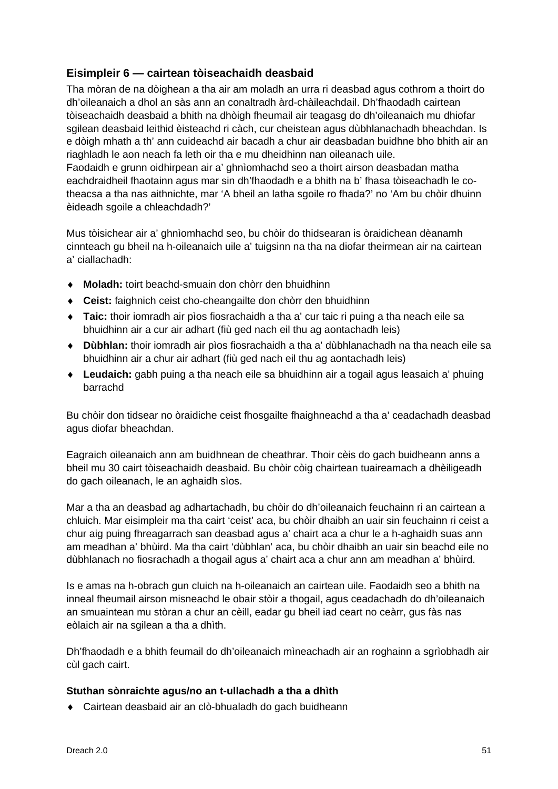## **Eisimpleir 6 — cairtean tòiseachaidh deasbaid**

Tha mòran de na dòighean a tha air am moladh an urra ri deasbad agus cothrom a thoirt do dh'oileanaich a dhol an sàs ann an conaltradh àrd-chàileachdail. Dh'fhaodadh cairtean tòiseachaidh deasbaid a bhith na dhòigh fheumail air teagasg do dh'oileanaich mu dhiofar sgilean deasbaid leithid èisteachd ri càch, cur cheistean agus dùbhlanachadh bheachdan. Is e dòigh mhath a th' ann cuideachd air bacadh a chur air deasbadan buidhne bho bhith air an riaghladh le aon neach fa leth oir tha e mu dheidhinn nan oileanach uile. Faodaidh e grunn oidhirpean air a' ghnìomhachd seo a thoirt airson deasbadan matha eachdraidheil fhaotainn agus mar sin dh'fhaodadh e a bhith na b' fhasa tòiseachadh le co-

theacsa a tha nas aithnichte, mar 'A bheil an latha sgoile ro fhada?' no 'Am bu chòir dhuinn èideadh sgoile a chleachdadh?'

Mus tòisichear air a' ghnìomhachd seo, bu chòir do thidsearan is òraidichean dèanamh cinnteach gu bheil na h-oileanaich uile a' tuigsinn na tha na diofar theirmean air na cairtean a' ciallachadh:

- ♦ **Moladh:** toirt beachd-smuain don chòrr den bhuidhinn
- ♦ **Ceist:** faighnich ceist cho-cheangailte don chòrr den bhuidhinn
- ♦ **Taic:** thoir iomradh air pìos fiosrachaidh a tha a' cur taic ri puing a tha neach eile sa bhuidhinn air a cur air adhart (fiù ged nach eil thu ag aontachadh leis)
- ♦ **Dùbhlan:** thoir iomradh air pìos fiosrachaidh a tha a' dùbhlanachadh na tha neach eile sa bhuidhinn air a chur air adhart (fiù ged nach eil thu ag aontachadh leis)
- ♦ **Leudaich:** gabh puing a tha neach eile sa bhuidhinn air a togail agus leasaich a' phuing barrachd

Bu chòir don tidsear no òraidiche ceist fhosgailte fhaighneachd a tha a' ceadachadh deasbad agus diofar bheachdan.

Eagraich oileanaich ann am buidhnean de cheathrar. Thoir cèis do gach buidheann anns a bheil mu 30 cairt tòiseachaidh deasbaid. Bu chòir còig chairtean tuaireamach a dhèiligeadh do gach oileanach, le an aghaidh sìos.

Mar a tha an deasbad ag adhartachadh, bu chòir do dh'oileanaich feuchainn ri an cairtean a chluich. Mar eisimpleir ma tha cairt 'ceist' aca, bu chòir dhaibh an uair sin feuchainn ri ceist a chur aig puing fhreagarrach san deasbad agus a' chairt aca a chur le a h-aghaidh suas ann am meadhan a' bhùird. Ma tha cairt 'dùbhlan' aca, bu chòir dhaibh an uair sin beachd eile no dùbhlanach no fiosrachadh a thogail agus a' chairt aca a chur ann am meadhan a' bhùird.

Is e amas na h-obrach gun cluich na h-oileanaich an cairtean uile. Faodaidh seo a bhith na inneal fheumail airson misneachd le obair stòir a thogail, agus ceadachadh do dh'oileanaich an smuaintean mu stòran a chur an cèill, eadar gu bheil iad ceart no ceàrr, gus fàs nas eòlaich air na sgilean a tha a dhìth.

Dh'fhaodadh e a bhith feumail do dh'oileanaich mìneachadh air an roghainn a sgrìobhadh air cùl gach cairt.

### **Stuthan sònraichte agus/no an t-ullachadh a tha a dhìth**

♦ Cairtean deasbaid air an clò-bhualadh do gach buidheann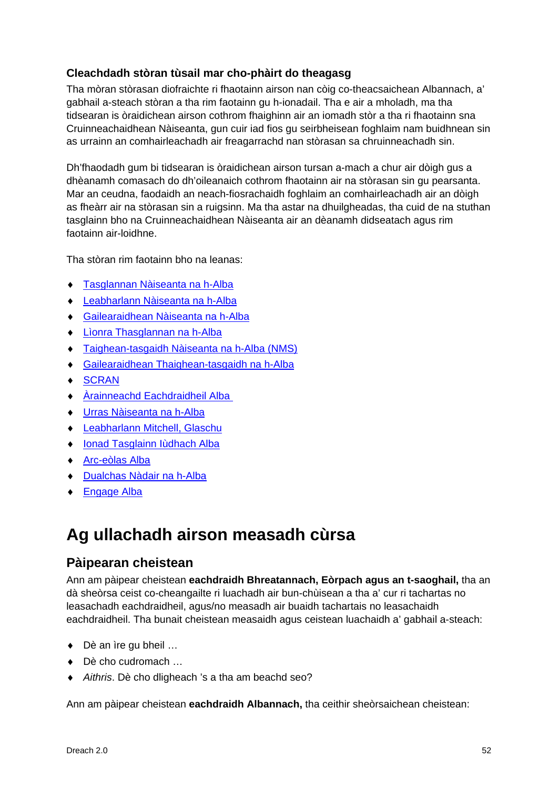## **Cleachdadh stòran tùsail mar cho-phàirt do theagasg**

Tha mòran stòrasan diofraichte ri fhaotainn airson nan còig co-theacsaichean Albannach, a' gabhail a-steach stòran a tha rim faotainn gu h-ionadail. Tha e air a mholadh, ma tha tidsearan is òraidichean airson cothrom fhaighinn air an iomadh stòr a tha ri fhaotainn sna Cruinneachaidhean Nàiseanta, gun cuir iad fios gu seirbheisean foghlaim nam buidhnean sin as urrainn an comhairleachadh air freagarrachd nan stòrasan sa chruinneachadh sin.

Dh'fhaodadh gum bi tidsearan is òraidichean airson tursan a-mach a chur air dòigh gus a dhèanamh comasach do dh'oileanaich cothrom fhaotainn air na stòrasan sin gu pearsanta. Mar an ceudna, faodaidh an neach-fiosrachaidh foghlaim an comhairleachadh air an dòigh as fheàrr air na stòrasan sin a ruigsinn. Ma tha astar na dhuilgheadas, tha cuid de na stuthan tasglainn bho na Cruinneachaidhean Nàiseanta air an dèanamh didseatach agus rim faotainn air-loidhne.

Tha stòran rim faotainn bho na leanas:

- ♦ [Tasglannan Nàiseanta na h-Alba](http://www.nas.gov.uk/)
- ♦ [Leabharlann Nàiseanta na h-Alba](http://www.nls.uk/)
- ♦ [Gailearaidhean Nàiseanta na h-Alba](http://www.nationalgalleries.org/)
- ♦ [Lìonra Thasglannan na](http://www.scan.org.uk/) h-Alba
- ♦ [Taighean-tasgaidh Nàiseanta na h-Alba](http://www.nms.ac.uk/) (NMS)
- ♦ [Gailearaidhean Thaighean-tasgaidh na h-Alba](http://www.museumsgalleriesscotland.org.uk/)
- ♦ [SCRAN](http://www.scran.ac.uk/)
- ♦ [Àrainneachd Eachdraidheil Alba](http://www.rcahms.gov.uk/big-picture-feed.html)
- ♦ [Urras Nàiseanta na h-Alba](http://www.nts.org.uk/Home)
- ♦ Leabharlann [Mitchell, Glaschu](http://www.mitchelllibrary.org/virtualmitchell)
- ♦ [Ionad Tasglainn Iùdhach Alba](http://www.sjac.org.uk/)
- ♦ [Arc-eòlas Alba](http://www.archaeologyscotland.org.uk/)
- ♦ Dualchas Nàdair na h-Alba
- <span id="page-53-0"></span>♦ Engage Alba

## **Ag ullachadh airson measadh cùrsa**

## **Pàipearan cheistean**

Ann am pàipear cheistean **eachdraidh Bhreatannach, Eòrpach agus an t-saoghail,** tha an dà sheòrsa ceist co-cheangailte ri luachadh air bun-chùisean a tha a' cur ri tachartas no leasachadh eachdraidheil, agus/no measadh air buaidh tachartais no leasachaidh eachdraidheil. Tha bunait cheistean measaidh agus ceistean luachaidh a' gabhail a-steach:

- ◆ Dè an ìre gu bheil ...
- ♦ Dè cho cudromach …
- ♦ *Aithris*. Dè cho dligheach 's a tha am beachd seo?

Ann am pàipear cheistean **eachdraidh Albannach,** tha ceithir sheòrsaichean cheistean: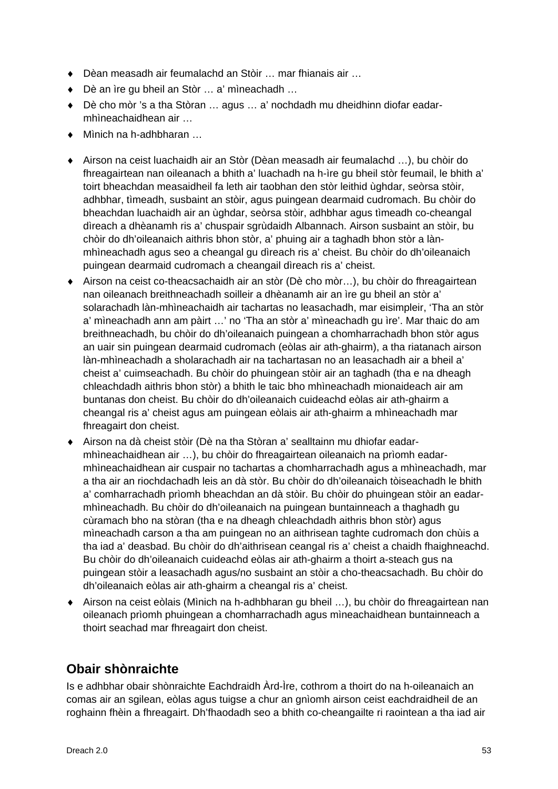- ♦ Dèan measadh air feumalachd an Stòir … mar fhianais air …
- ♦ Dè an ìre gu bheil an Stòr … a' mìneachadh …
- ♦ Dè cho mòr 's a tha Stòran … agus … a' nochdadh mu dheidhinn diofar eadarmhìneachaidhean air …
- ♦ Mìnich na h-adhbharan …
- ♦ Airson na ceist luachaidh air an Stòr (Dèan measadh air feumalachd …), bu chòir do fhreagairtean nan oileanach a bhith a' luachadh na h-ìre gu bheil stòr feumail, le bhith a' toirt bheachdan measaidheil fa leth air taobhan den stòr leithid ùghdar, seòrsa stòir, adhbhar, tìmeadh, susbaint an stòir, agus puingean dearmaid cudromach. Bu chòir do bheachdan luachaidh air an ùghdar, seòrsa stòir, adhbhar agus tìmeadh co-cheangal dìreach a dhèanamh ris a' chuspair sgrùdaidh Albannach. Airson susbaint an stòir, bu chòir do dh'oileanaich aithris bhon stòr, a' phuing air a taghadh bhon stòr a lànmhìneachadh agus seo a cheangal gu dìreach ris a' cheist. Bu chòir do dh'oileanaich puingean dearmaid cudromach a cheangail dìreach ris a' cheist.
- ♦ Airson na ceist co-theacsachaidh air an stòr (Dè cho mòr…), bu chòir do fhreagairtean nan oileanach breithneachadh soilleir a dhèanamh air an ìre gu bheil an stòr a' solarachadh làn-mhìneachaidh air tachartas no leasachadh, mar eisimpleir, 'Tha an stòr a' mìneachadh ann am pàirt …' no 'Tha an stòr a' mìneachadh gu ìre'. Mar thaic do am breithneachadh, bu chòir do dh'oileanaich puingean a chomharrachadh bhon stòr agus an uair sin puingean dearmaid cudromach (eòlas air ath-ghairm), a tha riatanach airson làn-mhìneachadh a sholarachadh air na tachartasan no an leasachadh air a bheil a' cheist a' cuimseachadh. Bu chòir do phuingean stòir air an taghadh (tha e na dheagh chleachdadh aithris bhon stòr) a bhith le taic bho mhìneachadh mionaideach air am buntanas don cheist. Bu chòir do dh'oileanaich cuideachd eòlas air ath-ghairm a cheangal ris a' cheist agus am puingean eòlais air ath-ghairm a mhìneachadh mar fhreagairt don cheist.
- ♦ Airson na dà cheist stòir (Dè na tha Stòran a' sealltainn mu dhiofar eadarmhìneachaidhean air …), bu chòir do fhreagairtean oileanaich na prìomh eadarmhìneachaidhean air cuspair no tachartas a chomharrachadh agus a mhìneachadh, mar a tha air an riochdachadh leis an dà stòr. Bu chòir do dh'oileanaich tòiseachadh le bhith a' comharrachadh prìomh bheachdan an dà stòir. Bu chòir do phuingean stòir an eadarmhìneachadh. Bu chòir do dh'oileanaich na puingean buntainneach a thaghadh gu cùramach bho na stòran (tha e na dheagh chleachdadh aithris bhon stòr) agus mìneachadh carson a tha am puingean no an aithrisean taghte cudromach don chùis a tha iad a' deasbad. Bu chòir do dh'aithrisean ceangal ris a' cheist a chaidh fhaighneachd. Bu chòir do dh'oileanaich cuideachd eòlas air ath-ghairm a thoirt a-steach gus na puingean stòir a leasachadh agus/no susbaint an stòir a cho-theacsachadh. Bu chòir do dh'oileanaich eòlas air ath-ghairm a cheangal ris a' cheist.
- ♦ Airson na ceist eòlais (Mìnich na h-adhbharan gu bheil …), bu chòir do fhreagairtean nan oileanach prìomh phuingean a chomharrachadh agus mìneachaidhean buntainneach a thoirt seachad mar fhreagairt don cheist.

## **Obair shònraichte**

Is e adhbhar obair shònraichte Eachdraidh Àrd-Ìre, cothrom a thoirt do na h-oileanaich an comas air an sgilean, eòlas agus tuigse a chur an gnìomh airson ceist eachdraidheil de an roghainn fhèin a fhreagairt. Dh'fhaodadh seo a bhith co-cheangailte ri raointean a tha iad air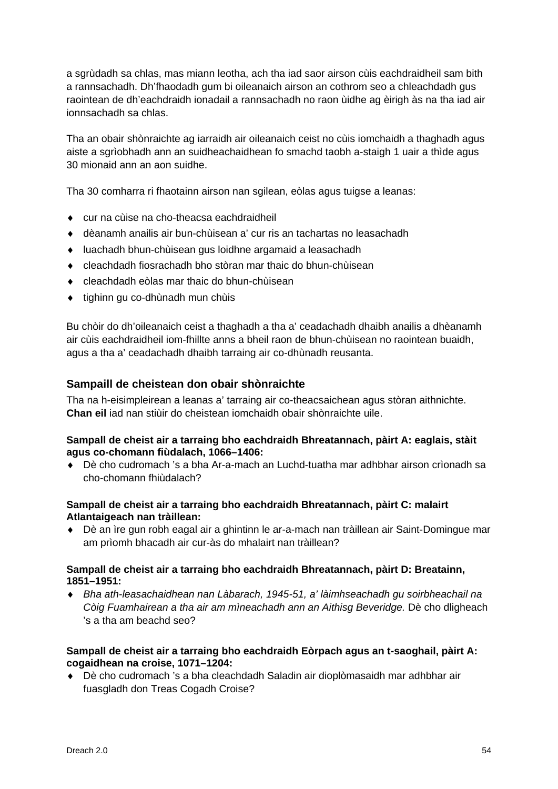a sgrùdadh sa chlas, mas miann leotha, ach tha iad saor airson cùis eachdraidheil sam bith a rannsachadh. Dh'fhaodadh gum bi oileanaich airson an cothrom seo a chleachdadh gus raointean de dh'eachdraidh ionadail a rannsachadh no raon ùidhe ag èirigh às na tha iad air ionnsachadh sa chlas.

Tha an obair shònraichte ag iarraidh air oileanaich ceist no cùis iomchaidh a thaghadh agus aiste a sgrìobhadh ann an suidheachaidhean fo smachd taobh a-staigh 1 uair a thìde agus 30 mionaid ann an aon suidhe.

Tha 30 comharra ri fhaotainn airson nan sgilean, eòlas agus tuigse a leanas:

- ♦ cur na cùise na cho-theacsa eachdraidheil
- ♦ dèanamh anailis air bun-chùisean a' cur ris an tachartas no leasachadh
- ♦ luachadh bhun-chùisean gus loidhne argamaid a leasachadh
- ♦ cleachdadh fiosrachadh bho stòran mar thaic do bhun-chùisean
- ♦ cleachdadh eòlas mar thaic do bhun-chùisean
- ♦ tighinn gu co-dhùnadh mun chùis

Bu chòir do dh'oileanaich ceist a thaghadh a tha a' ceadachadh dhaibh anailis a dhèanamh air cùis eachdraidheil iom-fhillte anns a bheil raon de bhun-chùisean no raointean buaidh, agus a tha a' ceadachadh dhaibh tarraing air co-dhùnadh reusanta.

## **Sampaill de cheistean don obair shònraichte**

Tha na h-eisimpleirean a leanas a' tarraing air co-theacsaichean agus stòran aithnichte. **Chan eil** iad nan stiùir do cheistean iomchaidh obair shònraichte uile.

### **Sampall de cheist air a tarraing bho eachdraidh Bhreatannach, pàirt A: eaglais, stàit agus co-chomann fiùdalach, 1066–1406:**

♦ Dè cho cudromach 's a bha Ar-a-mach an Luchd-tuatha mar adhbhar airson crìonadh sa cho-chomann fhiùdalach?

### **Sampall de cheist air a tarraing bho eachdraidh Bhreatannach, pàirt C: malairt Atlantaigeach nan tràillean:**

♦ Dè an ìre gun robh eagal air a ghintinn le ar-a-mach nan tràillean air Saint-Domingue mar am prìomh bhacadh air cur-às do mhalairt nan tràillean?

### **Sampall de cheist air a tarraing bho eachdraidh Bhreatannach, pàirt D: Breatainn, 1851–1951:**

♦ *Bha ath-leasachaidhean nan Làbarach, 1945-51, a' làimhseachadh gu soirbheachail na Còig Fuamhairean a tha air am mìneachadh ann an Aithisg Beveridge.* Dè cho dligheach 's a tha am beachd seo?

### **Sampall de cheist air a tarraing bho eachdraidh Eòrpach agus an t-saoghail, pàirt A: cogaidhean na croise, 1071–1204:**

♦ Dè cho cudromach 's a bha cleachdadh Saladin air dioplòmasaidh mar adhbhar air fuasgladh don Treas Cogadh Croise?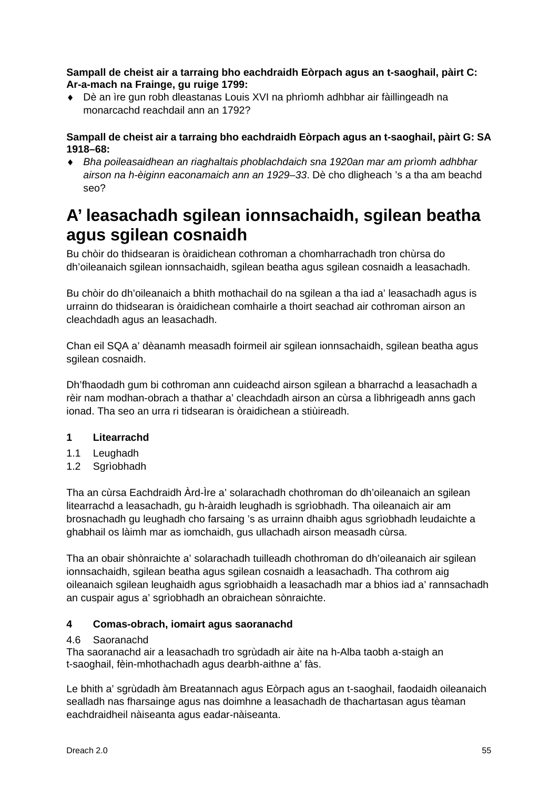### **Sampall de cheist air a tarraing bho eachdraidh Eòrpach agus an t-saoghail, pàirt C: Ar-a-mach na Frainge, gu ruige 1799:**

♦ Dè an ìre gun robh dleastanas Louis XVI na phrìomh adhbhar air fàillingeadh na monarcachd reachdail ann an 1792?

### **Sampall de cheist air a tarraing bho eachdraidh Eòrpach agus an t-saoghail, pàirt G: SA 1918–68:**

♦ *Bha poileasaidhean an riaghaltais phoblachdaich sna 1920an mar am prìomh adhbhar airson na h-èiginn eaconamaich ann an 1929–33*. Dè cho dligheach 's a tha am beachd seo?

## <span id="page-56-0"></span>**A' leasachadh sgilean ionnsachaidh, sgilean beatha agus sgilean cosnaidh**

Bu chòir do thidsearan is òraidichean cothroman a chomharrachadh tron chùrsa do dh'oileanaich sgilean ionnsachaidh, sgilean beatha agus sgilean cosnaidh a leasachadh.

Bu chòir do dh'oileanaich a bhith mothachail do na sgilean a tha iad a' leasachadh agus is urrainn do thidsearan is òraidichean comhairle a thoirt seachad air cothroman airson an cleachdadh agus an leasachadh.

Chan eil SQA a' dèanamh measadh foirmeil air sgilean ionnsachaidh, sgilean beatha agus sgilean cosnaidh.

Dh'fhaodadh gum bi cothroman ann cuideachd airson sgilean a bharrachd a leasachadh a rèir nam modhan-obrach a thathar a' cleachdadh airson an cùrsa a lìbhrigeadh anns gach ionad. Tha seo an urra ri tidsearan is òraidichean a stiùireadh.

## **1 Litearrachd**

- 1.1 Leughadh
- 1.2 Sgrìobhadh

Tha an cùrsa Eachdraidh Àrd-Ìre a' solarachadh chothroman do dh'oileanaich an sgilean litearrachd a leasachadh, gu h-àraidh leughadh is sgrìobhadh. Tha oileanaich air am brosnachadh gu leughadh cho farsaing 's as urrainn dhaibh agus sgrìobhadh leudaichte a ghabhail os làimh mar as iomchaidh, gus ullachadh airson measadh cùrsa.

Tha an obair shònraichte a' solarachadh tuilleadh chothroman do dh'oileanaich air sgilean ionnsachaidh, sgilean beatha agus sgilean cosnaidh a leasachadh. Tha cothrom aig oileanaich sgilean leughaidh agus sgrìobhaidh a leasachadh mar a bhios iad a' rannsachadh an cuspair agus a' sgrìobhadh an obraichean sònraichte.

## **4 Comas-obrach, iomairt agus saoranachd**

## 4.6 Saoranachd

Tha saoranachd air a leasachadh tro sgrùdadh air àite na h-Alba taobh a-staigh an t-saoghail, fèin-mhothachadh agus dearbh-aithne a' fàs.

Le bhith a' sgrùdadh àm Breatannach agus Eòrpach agus an t-saoghail, faodaidh oileanaich sealladh nas fharsainge agus nas doimhne a leasachadh de thachartasan agus tèaman eachdraidheil nàiseanta agus eadar-nàiseanta.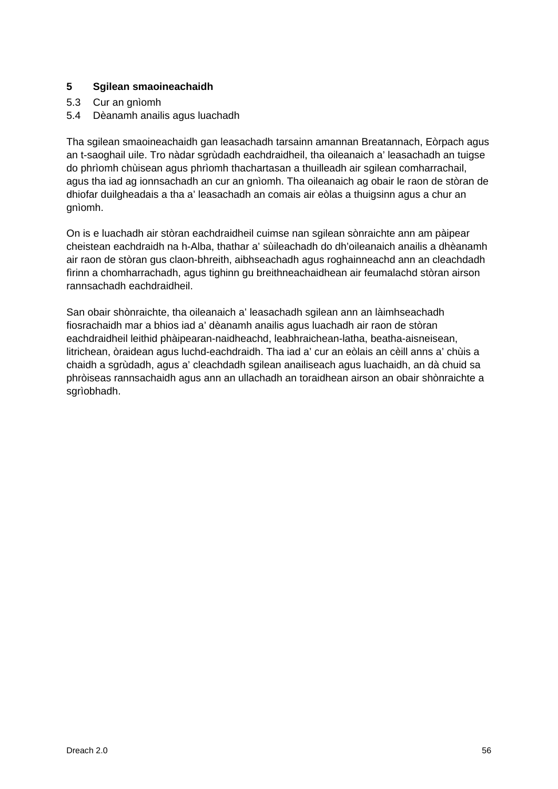### **5 Sgilean smaoineachaidh**

- 5.3 Cur an gnìomh
- 5.4 Dèanamh anailis agus luachadh

Tha sgilean smaoineachaidh gan leasachadh tarsainn amannan Breatannach, Eòrpach agus an t-saoghail uile. Tro nàdar sgrùdadh eachdraidheil, tha oileanaich a' leasachadh an tuigse do phrìomh chùisean agus phrìomh thachartasan a thuilleadh air sgilean comharrachail, agus tha iad ag ionnsachadh an cur an gnìomh. Tha oileanaich ag obair le raon de stòran de dhiofar duilgheadais a tha a' leasachadh an comais air eòlas a thuigsinn agus a chur an gnìomh.

On is e luachadh air stòran eachdraidheil cuimse nan sgilean sònraichte ann am pàipear cheistean eachdraidh na h-Alba, thathar a' sùileachadh do dh'oileanaich anailis a dhèanamh air raon de stòran gus claon-bhreith, aibhseachadh agus roghainneachd ann an cleachdadh fìrinn a chomharrachadh, agus tighinn gu breithneachaidhean air feumalachd stòran airson rannsachadh eachdraidheil.

San obair shònraichte, tha oileanaich a' leasachadh sgilean ann an làimhseachadh fiosrachaidh mar a bhios iad a' dèanamh anailis agus luachadh air raon de stòran eachdraidheil leithid phàipearan-naidheachd, leabhraichean-latha, beatha-aisneisean, litrichean, òraidean agus luchd-eachdraidh. Tha iad a' cur an eòlais an cèill anns a' chùis a chaidh a sgrùdadh, agus a' cleachdadh sgilean anailiseach agus luachaidh, an dà chuid sa phròiseas rannsachaidh agus ann an ullachadh an toraidhean airson an obair shònraichte a sgrìobhadh.